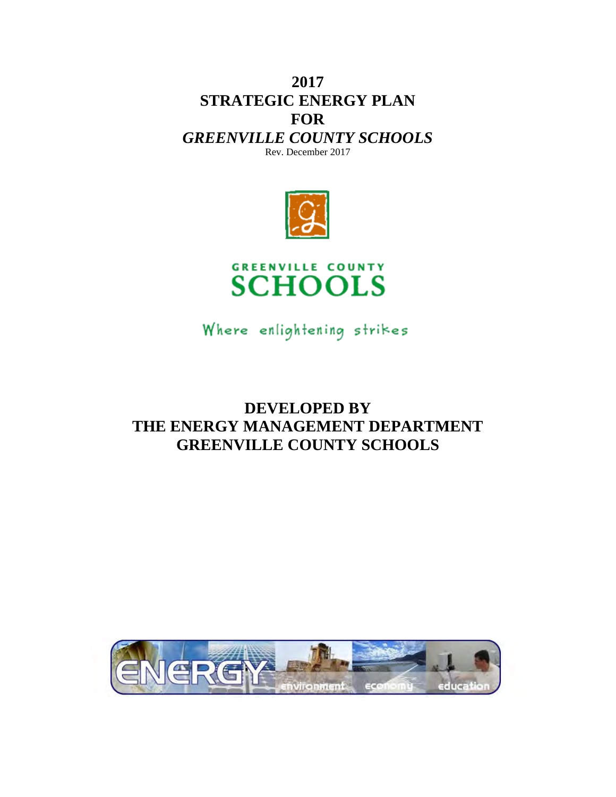**2017 STRATEGIC ENERGY PLAN FOR** *GREENVILLE COUNTY SCHOOLS*

Rev. December 2017





Where enlightening strikes

### **DEVELOPED BY THE ENERGY MANAGEMENT DEPARTMENT GREENVILLE COUNTY SCHOOLS**

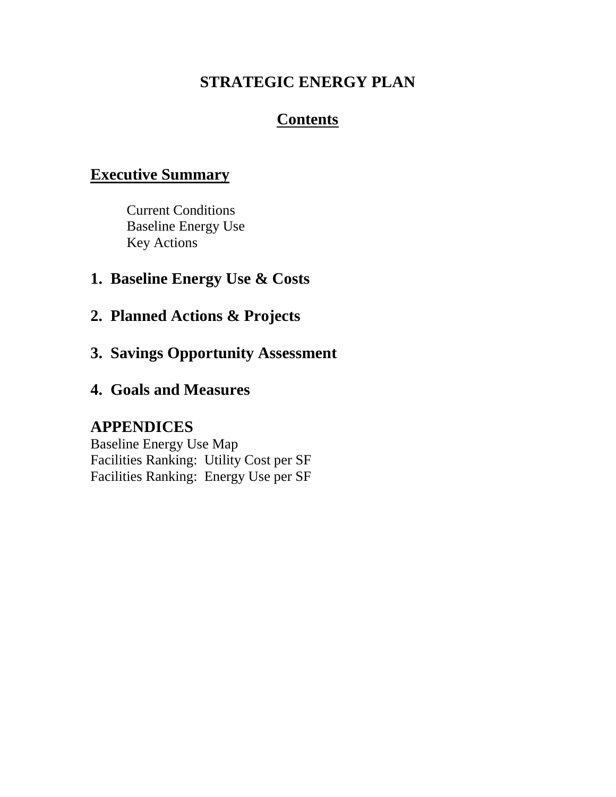### **STRATEGIC ENERGY PLAN**

### **Contents**

### **Executive Summary**

Current Conditions Baseline Energy Use Key Actions

### **1. Baseline Energy Use & Costs**

- **2. Planned Actions & Projects**
- **3. Savings Opportunity Assessment**
- **4. Goals and Measures**

### **APPENDICES**

Baseline Energy Use Map Facilities Ranking: Utility Cost per SF Facilities Ranking: Energy Use per SF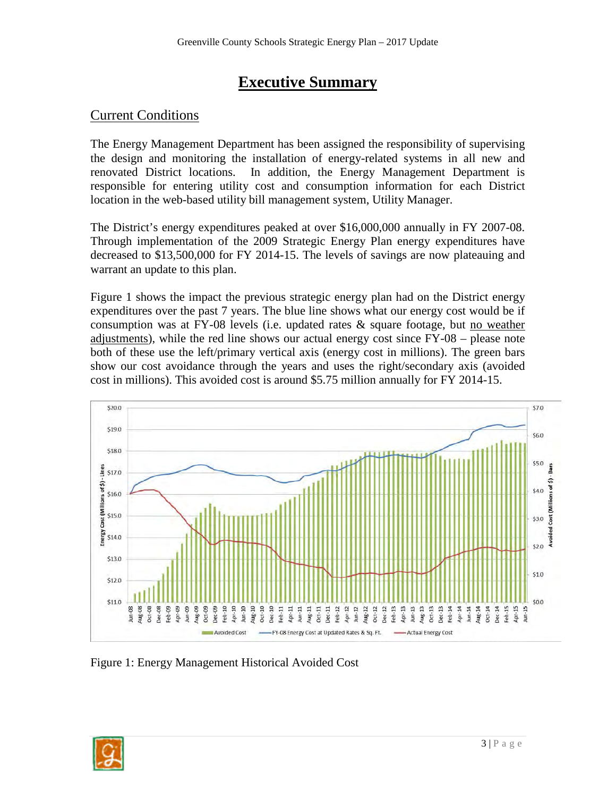### **Executive Summary**

### Current Conditions

The Energy Management Department has been assigned the responsibility of supervising the design and monitoring the installation of energy-related systems in all new and renovated District locations. In addition, the Energy Management Department is responsible for entering utility cost and consumption information for each District location in the web-based utility bill management system, Utility Manager.

The District's energy expenditures peaked at over \$16,000,000 annually in FY 2007-08. Through implementation of the 2009 Strategic Energy Plan energy expenditures have decreased to \$13,500,000 for FY 2014-15. The levels of savings are now plateauing and warrant an update to this plan.

Figure 1 shows the impact the previous strategic energy plan had on the District energy expenditures over the past 7 years. The blue line shows what our energy cost would be if consumption was at FY-08 levels (i.e. updated rates  $\&$  square footage, but no weather adjustments), while the red line shows our actual energy cost since FY-08 – please note both of these use the left/primary vertical axis (energy cost in millions). The green bars show our cost avoidance through the years and uses the right/secondary axis (avoided cost in millions). This avoided cost is around \$5.75 million annually for FY 2014-15.



Figure 1: Energy Management Historical Avoided Cost

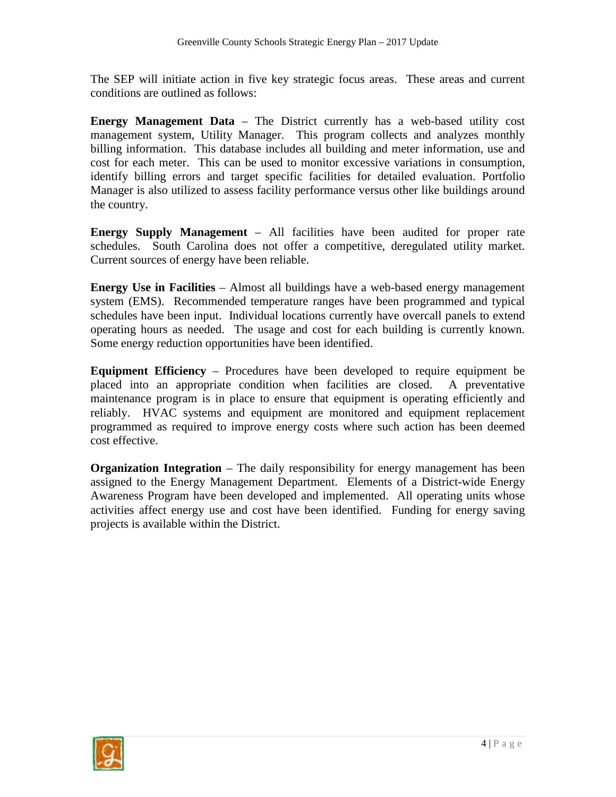The SEP will initiate action in five key strategic focus areas. These areas and current conditions are outlined as follows:

**Energy Management Data** – The District currently has a web-based utility cost management system, Utility Manager. This program collects and analyzes monthly billing information. This database includes all building and meter information, use and cost for each meter. This can be used to monitor excessive variations in consumption, identify billing errors and target specific facilities for detailed evaluation. Portfolio Manager is also utilized to assess facility performance versus other like buildings around the country.

**Energy Supply Management** – All facilities have been audited for proper rate schedules. South Carolina does not offer a competitive, deregulated utility market. Current sources of energy have been reliable.

**Energy Use in Facilities** – Almost all buildings have a web-based energy management system (EMS). Recommended temperature ranges have been programmed and typical schedules have been input. Individual locations currently have overcall panels to extend operating hours as needed. The usage and cost for each building is currently known. Some energy reduction opportunities have been identified.

**Equipment Efficiency** – Procedures have been developed to require equipment be placed into an appropriate condition when facilities are closed. A preventative maintenance program is in place to ensure that equipment is operating efficiently and reliably. HVAC systems and equipment are monitored and equipment replacement programmed as required to improve energy costs where such action has been deemed cost effective.

**Organization Integration** – The daily responsibility for energy management has been assigned to the Energy Management Department. Elements of a District-wide Energy Awareness Program have been developed and implemented. All operating units whose activities affect energy use and cost have been identified. Funding for energy saving projects is available within the District.

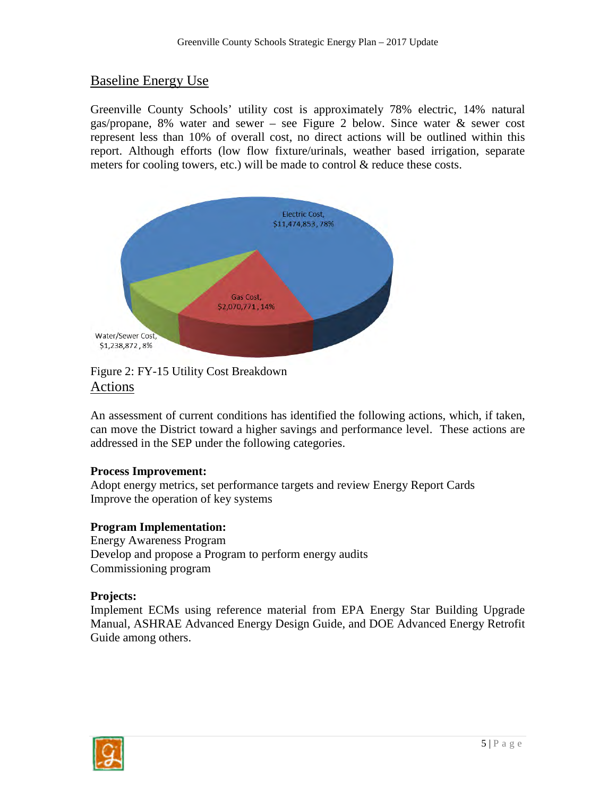#### Baseline Energy Use

Greenville County Schools' utility cost is approximately 78% electric, 14% natural gas/propane, 8% water and sewer – see Figure 2 below. Since water  $\&$  sewer cost represent less than 10% of overall cost, no direct actions will be outlined within this report. Although efforts (low flow fixture/urinals, weather based irrigation, separate meters for cooling towers, etc.) will be made to control & reduce these costs.



#### Figure 2: FY-15 Utility Cost Breakdown Actions

An assessment of current conditions has identified the following actions, which, if taken, can move the District toward a higher savings and performance level. These actions are addressed in the SEP under the following categories.

#### **Process Improvement:**

Adopt energy metrics, set performance targets and review Energy Report Cards Improve the operation of key systems

#### **Program Implementation:**

Energy Awareness Program Develop and propose a Program to perform energy audits Commissioning program

#### **Projects:**

Implement ECMs using reference material from EPA Energy Star Building Upgrade Manual, ASHRAE Advanced Energy Design Guide, and DOE Advanced Energy Retrofit Guide among others.

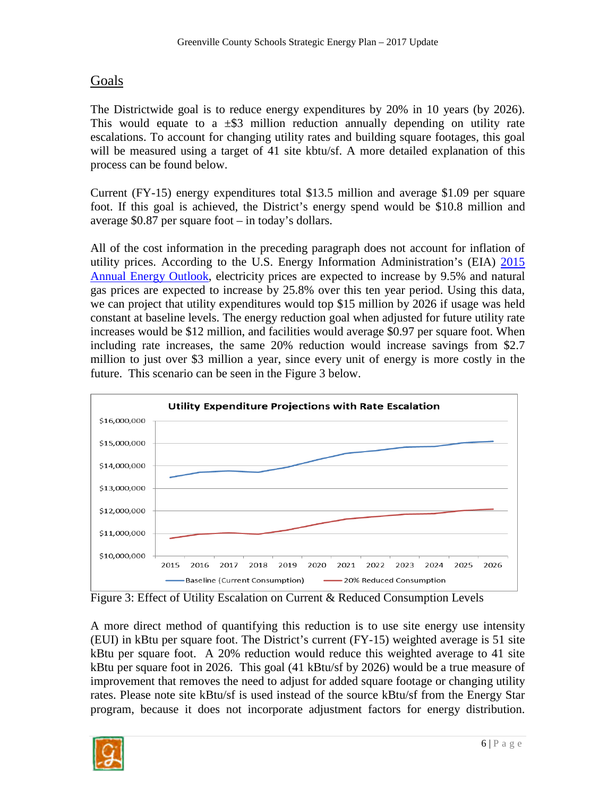### Goals

The Districtwide goal is to reduce energy expenditures by 20% in 10 years (by 2026). This would equate to a  $\pm$ \$3 million reduction annually depending on utility rate escalations. To account for changing utility rates and building square footages, this goal will be measured using a target of 41 site kbtu/sf. A more detailed explanation of this process can be found below.

Current (FY-15) energy expenditures total \$13.5 million and average \$1.09 per square foot. If this goal is achieved, the District's energy spend would be \$10.8 million and average \$0.87 per square foot – in today's dollars.

All of the cost information in the preceding paragraph does not account for inflation of utility prices. According to the U.S. Energy Information Administration's (EIA) [2015](http://www.eia.gov/forecasts/aeo/data/browser/#/?id=3-AEO2015®ion=1-0&cases=ref2015&start=2012&end=2026&f=A&linechart=%7Eref2015-d021915a.12-3-AEO2015.1-0%7Eref2015-d021915a.13-3-AEO2015.1-0&map=ref2015-d021915a.5-3-AEO2015.1-0&ctype=linechart&chartindexed=0&sid=ref2015-d021915a.12-3-AEO2015.1-0%7Eref2015-d021915a.13-3-AEO2015.1-0&sourcekey=0)  [Annual Energy Outlook,](http://www.eia.gov/forecasts/aeo/data/browser/#/?id=3-AEO2015®ion=1-0&cases=ref2015&start=2012&end=2026&f=A&linechart=%7Eref2015-d021915a.12-3-AEO2015.1-0%7Eref2015-d021915a.13-3-AEO2015.1-0&map=ref2015-d021915a.5-3-AEO2015.1-0&ctype=linechart&chartindexed=0&sid=ref2015-d021915a.12-3-AEO2015.1-0%7Eref2015-d021915a.13-3-AEO2015.1-0&sourcekey=0) electricity prices are expected to increase by 9.5% and natural gas prices are expected to increase by 25.8% over this ten year period. Using this data, we can project that utility expenditures would top \$15 million by 2026 if usage was held constant at baseline levels. The energy reduction goal when adjusted for future utility rate increases would be \$12 million, and facilities would average \$0.97 per square foot. When including rate increases, the same 20% reduction would increase savings from \$2.7 million to just over \$3 million a year, since every unit of energy is more costly in the future. This scenario can be seen in the Figure 3 below.



Figure 3: Effect of Utility Escalation on Current & Reduced Consumption Levels

A more direct method of quantifying this reduction is to use site energy use intensity (EUI) in kBtu per square foot. The District's current (FY-15) weighted average is 51 site kBtu per square foot. A 20% reduction would reduce this weighted average to 41 site kBtu per square foot in 2026. This goal (41 kBtu/sf by 2026) would be a true measure of improvement that removes the need to adjust for added square footage or changing utility rates. Please note site kBtu/sf is used instead of the source kBtu/sf from the Energy Star program, because it does not incorporate adjustment factors for energy distribution.

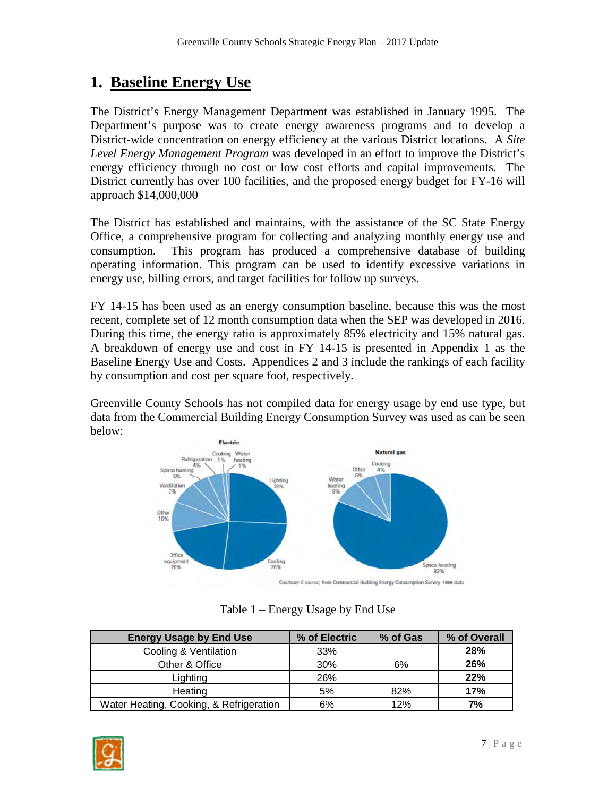### **1. Baseline Energy Use**

The District's Energy Management Department was established in January 1995. The Department's purpose was to create energy awareness programs and to develop a District-wide concentration on energy efficiency at the various District locations. A *Site Level Energy Management Program* was developed in an effort to improve the District's energy efficiency through no cost or low cost efforts and capital improvements. The District currently has over 100 facilities, and the proposed energy budget for FY-16 will approach \$14,000,000

The District has established and maintains, with the assistance of the SC State Energy Office, a comprehensive program for collecting and analyzing monthly energy use and consumption. This program has produced a comprehensive database of building operating information. This program can be used to identify excessive variations in energy use, billing errors, and target facilities for follow up surveys.

FY 14-15 has been used as an energy consumption baseline, because this was the most recent, complete set of 12 month consumption data when the SEP was developed in 2016. During this time, the energy ratio is approximately 85% electricity and 15% natural gas. A breakdown of energy use and cost in FY 14-15 is presented in Appendix 1 as the Baseline Energy Use and Costs. Appendices 2 and 3 include the rankings of each facility by consumption and cost per square foot, respectively.

Greenville County Schools has not compiled data for energy usage by end use type, but data from the Commercial Building Energy Consumption Survey was used as can be seen below:



Table 1 – Energy Usage by End Use

| <b>Energy Usage by End Use</b>          | % of Electric | % of Gas | % of Overall |
|-----------------------------------------|---------------|----------|--------------|
| Cooling & Ventilation                   | 33%           |          | 28%          |
| Other & Office                          | 30%           | 6%       | 26%          |
| Lighting                                | 26%           |          | 22%          |
| Heating                                 | 5%            | 82%      | 17%          |
| Water Heating, Cooking, & Refrigeration | 6%            | 12%      | 7%           |

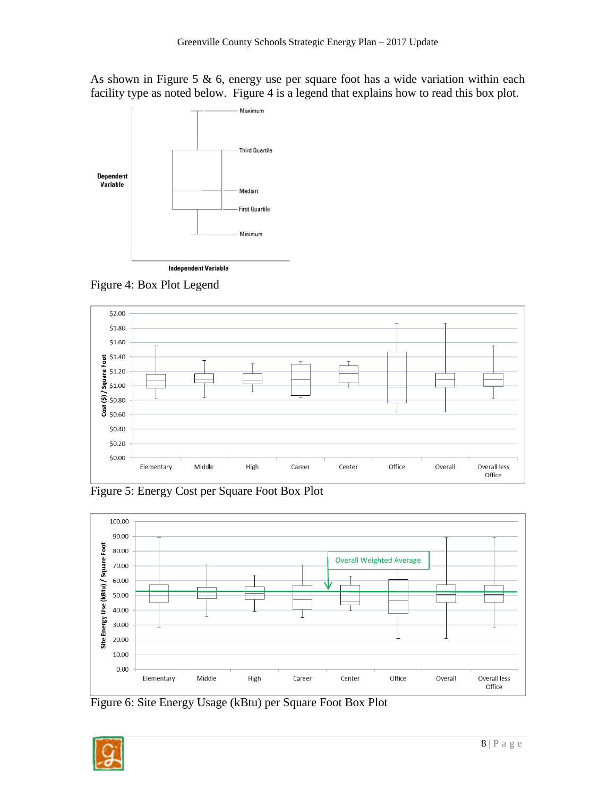As shown in Figure 5 & 6, energy use per square foot has a wide variation within each facility type as noted below. Figure 4 is a legend that explains how to read this box plot.



Figure 4: Box Plot Legend



Figure 5: Energy Cost per Square Foot Box Plot



Figure 6: Site Energy Usage (kBtu) per Square Foot Box Plot

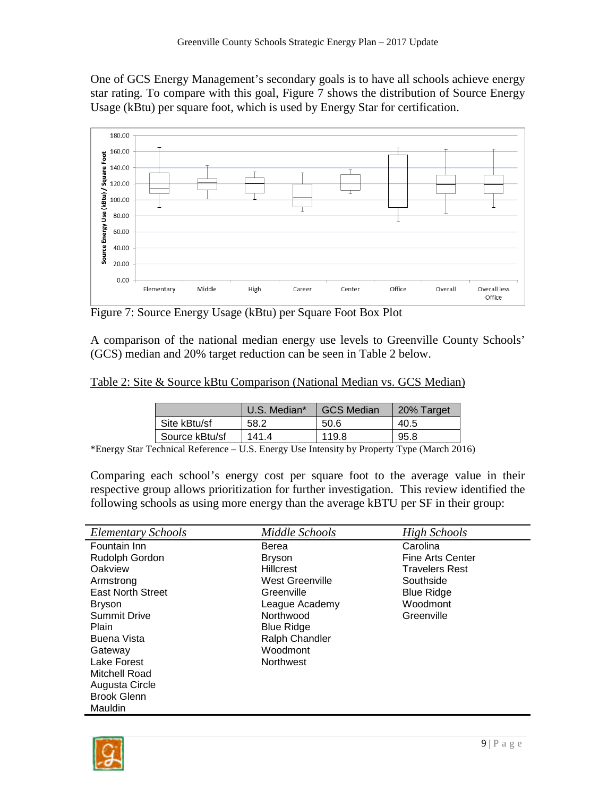One of GCS Energy Management's secondary goals is to have all schools achieve energy star rating. To compare with this goal, Figure 7 shows the distribution of Source Energy Usage (kBtu) per square foot, which is used by Energy Star for certification.



Figure 7: Source Energy Usage (kBtu) per Square Foot Box Plot

A comparison of the national median energy use levels to Greenville County Schools' (GCS) median and 20% target reduction can be seen in Table 2 below.

Table 2: Site & Source kBtu Comparison (National Median vs. GCS Median)

|                | U.S. Median* | <b>GCS Median</b> | 20% Target |
|----------------|--------------|-------------------|------------|
| Site kBtu/sf   | 58.2         | 50.6              | 40.5       |
| Source kBtu/sf | 141.4        | 119.8             | 95.8       |

\*Energy Star Technical Reference – U.S. Energy Use Intensity by Property Type (March 2016)

Comparing each school's energy cost per square foot to the average value in their respective group allows prioritization for further investigation. This review identified the following schools as using more energy than the average kBTU per SF in their group:

| Elementary Schools       | Middle Schools         | <b>High Schools</b>   |
|--------------------------|------------------------|-----------------------|
| Fountain Inn             | Berea                  | Carolina              |
| Rudolph Gordon           | <b>Bryson</b>          | Fine Arts Center      |
| Oakview                  | <b>Hillcrest</b>       | <b>Travelers Rest</b> |
| Armstrong                | <b>West Greenville</b> | Southside             |
| <b>East North Street</b> | Greenville             | <b>Blue Ridge</b>     |
| <b>Bryson</b>            | League Academy         | Woodmont              |
| <b>Summit Drive</b>      | Northwood              | Greenville            |
| Plain                    | <b>Blue Ridge</b>      |                       |
| Buena Vista              | Ralph Chandler         |                       |
| Gateway                  | Woodmont               |                       |
| Lake Forest              | <b>Northwest</b>       |                       |
| Mitchell Road            |                        |                       |
| Augusta Circle           |                        |                       |
| <b>Brook Glenn</b>       |                        |                       |
| Mauldin                  |                        |                       |

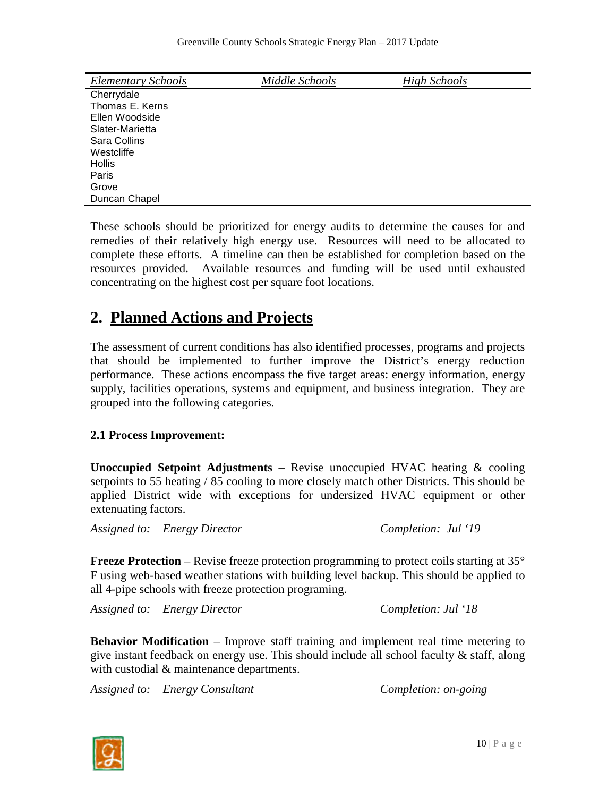| <b>Elementary Schools</b> | Middle Schools | <b>High Schools</b> |
|---------------------------|----------------|---------------------|
| Cherrydale                |                |                     |
| Thomas E. Kerns           |                |                     |
| Ellen Woodside            |                |                     |
| Slater-Marietta           |                |                     |
| Sara Collins              |                |                     |
| Westcliffe                |                |                     |
| <b>Hollis</b>             |                |                     |
| Paris                     |                |                     |
| Grove                     |                |                     |
| Duncan Chapel             |                |                     |

These schools should be prioritized for energy audits to determine the causes for and remedies of their relatively high energy use. Resources will need to be allocated to complete these efforts. A timeline can then be established for completion based on the resources provided. Available resources and funding will be used until exhausted concentrating on the highest cost per square foot locations.

### **2. Planned Actions and Projects**

The assessment of current conditions has also identified processes, programs and projects that should be implemented to further improve the District's energy reduction performance. These actions encompass the five target areas: energy information, energy supply, facilities operations, systems and equipment, and business integration. They are grouped into the following categories.

#### **2.1 Process Improvement:**

**Unoccupied Setpoint Adjustments** – Revise unoccupied HVAC heating & cooling setpoints to 55 heating / 85 cooling to more closely match other Districts. This should be applied District wide with exceptions for undersized HVAC equipment or other extenuating factors.

*Assigned to: Energy Director Completion: Jul '19* 

**Freeze Protection** – Revise freeze protection programming to protect coils starting at 35<sup>°</sup> F using web-based weather stations with building level backup. This should be applied to all 4-pipe schools with freeze protection programing.

*Assigned to: Energy Director Completion: Jul '18*

**Behavior Modification** – Improve staff training and implement real time metering to give instant feedback on energy use. This should include all school faculty & staff, along with custodial  $&$  maintenance departments.

*Assigned to:* Energy Consultant Completion: on-going Completion: on-going

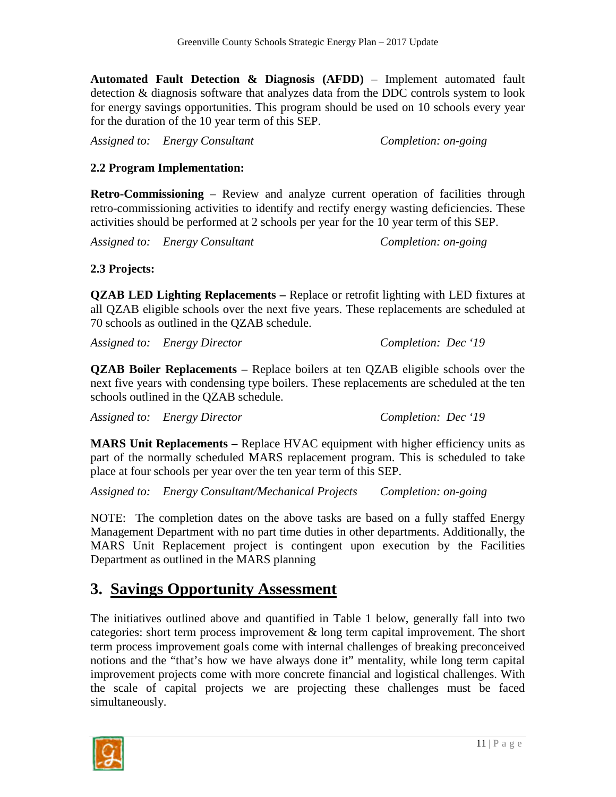**Automated Fault Detection & Diagnosis (AFDD)** – Implement automated fault detection & diagnosis software that analyzes data from the DDC controls system to look for energy savings opportunities. This program should be used on 10 schools every year for the duration of the 10 year term of this SEP.

*Assigned to:* Energy Consultant Completion: on-going Completion: 00.

#### **2.2 Program Implementation:**

**Retro-Commissioning** – Review and analyze current operation of facilities through retro-commissioning activities to identify and rectify energy wasting deficiencies. These activities should be performed at 2 schools per year for the 10 year term of this SEP.

*Assigned to:* Energy Consultant Completion: on-going Completion: on-going

#### **2.3 Projects:**

**QZAB LED Lighting Replacements –** Replace or retrofit lighting with LED fixtures at all QZAB eligible schools over the next five years. These replacements are scheduled at 70 schools as outlined in the QZAB schedule.

*Assigned to: Energy Director Completion: Dec '19* 

**QZAB Boiler Replacements –** Replace boilers at ten QZAB eligible schools over the next five years with condensing type boilers. These replacements are scheduled at the ten schools outlined in the QZAB schedule.

*Assigned to: Energy Director Completion: Dec '19* 

**MARS Unit Replacements –** Replace HVAC equipment with higher efficiency units as part of the normally scheduled MARS replacement program. This is scheduled to take place at four schools per year over the ten year term of this SEP.

*Assigned to: Energy Consultant/Mechanical Projects Completion: on-going* 

NOTE: The completion dates on the above tasks are based on a fully staffed Energy Management Department with no part time duties in other departments. Additionally, the MARS Unit Replacement project is contingent upon execution by the Facilities Department as outlined in the MARS planning

### **3. Savings Opportunity Assessment**

The initiatives outlined above and quantified in Table 1 below, generally fall into two categories: short term process improvement & long term capital improvement. The short term process improvement goals come with internal challenges of breaking preconceived notions and the "that's how we have always done it" mentality, while long term capital improvement projects come with more concrete financial and logistical challenges. With the scale of capital projects we are projecting these challenges must be faced simultaneously.

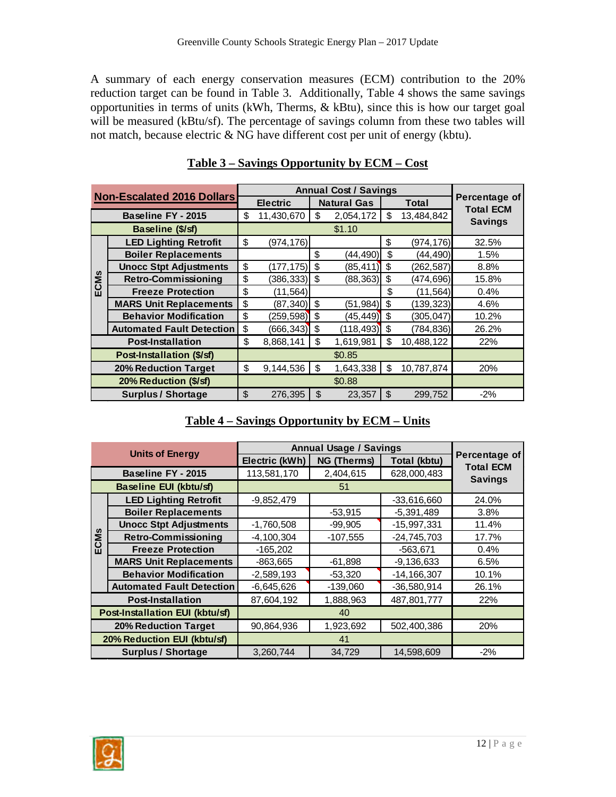A summary of each energy conservation measures (ECM) contribution to the 20% reduction target can be found in Table 3. Additionally, Table 4 shows the same savings opportunities in terms of units (kWh, Therms, & kBtu), since this is how our target goal will be measured (kBtu/sf). The percentage of savings column from these two tables will not match, because electric & NG have different cost per unit of energy (kbtu).

|                       |                                   |    |                 |    | <b>Annual Cost / Savings</b> |     |              |                                   |
|-----------------------|-----------------------------------|----|-----------------|----|------------------------------|-----|--------------|-----------------------------------|
|                       | <b>Non-Escalated 2016 Dollars</b> |    | <b>Electric</b> |    | <b>Natural Gas</b>           |     | <b>Total</b> | Percentage of<br><b>Total ECM</b> |
|                       | Baseline FY - 2015                | \$ | 11,430,670      | S  | 2,054,172                    | S   | 13,484,842   | <b>Savings</b>                    |
|                       | Baseline (\$/sf)                  |    |                 |    | \$1.10                       |     |              |                                   |
|                       | <b>LED Lighting Retrofit</b>      | \$ | (974, 176)      |    |                              | \$  | (974, 176)   | 32.5%                             |
|                       | <b>Boiler Replacements</b>        |    |                 | \$ | (44, 490)                    | \$  | (44, 490)    | 1.5%                              |
|                       | <b>Unocc Stpt Adjustments</b>     | \$ | (177,175)       | \$ | (85, 411)                    | \$  | (262, 587)   | 8.8%                              |
| CMS                   | <b>Retro-Commissioning</b>        | \$ | (386, 333)      | \$ | (88, 363)                    | \$  | (474, 696)   | 15.8%                             |
| ш                     | <b>Freeze Protection</b>          | \$ | (11, 564)       |    |                              | \$  | (11, 564)    | 0.4%                              |
|                       | <b>MARS Unit Replacements</b>     | \$ | $(87, 340)$ \$  |    | (51, 984)                    | \$  | (139, 323)   | 4.6%                              |
|                       | <b>Behavior Modification</b>      | \$ | $(259, 598)$ \$ |    | (45, 449)                    | -\$ | (305, 047)   | 10.2%                             |
|                       | <b>Automated Fault Detection</b>  | \$ | (666, 343)      | \$ | (118, 493)                   | \$  | (784, 836)   | 26.2%                             |
|                       | <b>Post-Installation</b>          | \$ | 8,868,141       | \$ | 1,619,981                    | \$  | 10,488,122   | 22%                               |
|                       | Post-Installation (\$/sf)         |    |                 |    | \$0.85                       |     |              |                                   |
|                       | <b>20% Reduction Target</b>       | \$ | 9,144,536       | \$ | 1,643,338                    | \$  | 10,787,874   | 20%                               |
| 20% Reduction (\$/sf) |                                   |    |                 |    | \$0.88                       |     |              |                                   |
|                       | <b>Surplus / Shortage</b>         | \$ | 276,395         | \$ | 23,357                       |     | 299,752      | $-2\%$                            |

#### **Table 3 – Savings Opportunity by ECM – Cost**

|                 | <b>Units of Energy</b>           |                | <b>Annual Usage / Savings</b> |                 |                                   |  |  |  |  |  |
|-----------------|----------------------------------|----------------|-------------------------------|-----------------|-----------------------------------|--|--|--|--|--|
|                 |                                  | Electric (kWh) | <b>NG (Therms)</b>            | Total (kbtu)    | Percentage of<br><b>Total ECM</b> |  |  |  |  |  |
|                 | Baseline FY - 2015               | 113,581,170    | 2,404,615                     | 628,000,483     | <b>Savings</b>                    |  |  |  |  |  |
|                 | <b>Baseline EUI (kbtu/sf)</b>    |                | 51                            |                 |                                   |  |  |  |  |  |
|                 | <b>LED Lighting Retrofit</b>     | $-9,852,479$   |                               | $-33,616,660$   | 24.0%                             |  |  |  |  |  |
|                 | <b>Boiler Replacements</b>       |                | $-53,915$                     | $-5,391,489$    | 3.8%                              |  |  |  |  |  |
|                 | <b>Unocc Stpt Adjustments</b>    | $-1,760,508$   | $-99,905$                     | $-15,997,331$   | 11.4%                             |  |  |  |  |  |
| CM <sub>S</sub> | <b>Retro-Commissioning</b>       | $-4,100,304$   | $-107,555$                    | $-24,745,703$   | 17.7%                             |  |  |  |  |  |
| ш               | <b>Freeze Protection</b>         | $-165,202$     |                               | $-563,671$      | 0.4%                              |  |  |  |  |  |
|                 | <b>MARS Unit Replacements</b>    | $-863,665$     | $-61,898$                     | $-9,136,633$    | 6.5%                              |  |  |  |  |  |
|                 | <b>Behavior Modification</b>     | $-2,589,193$   | $-53,320$                     | $-14, 166, 307$ | 10.1%                             |  |  |  |  |  |
|                 | <b>Automated Fault Detection</b> | $-6,645,626$   | $-139,060$                    | $-36,580,914$   | 26.1%                             |  |  |  |  |  |
|                 | <b>Post-Installation</b>         | 87,604,192     | 1,888,963                     | 487,801,777     | 22%                               |  |  |  |  |  |
|                 | Post-Installation EUI (kbtu/sf)  |                | 40                            |                 |                                   |  |  |  |  |  |
|                 | <b>20% Reduction Target</b>      | 90,864,936     | 1,923,692                     | 502,400,386     | 20%                               |  |  |  |  |  |
|                 | 20% Reduction EUI (kbtu/sf)      |                |                               |                 |                                   |  |  |  |  |  |
|                 | <b>Surplus / Shortage</b>        | 3,260,744      | 34,729                        | 14,598,609      | $-2%$                             |  |  |  |  |  |

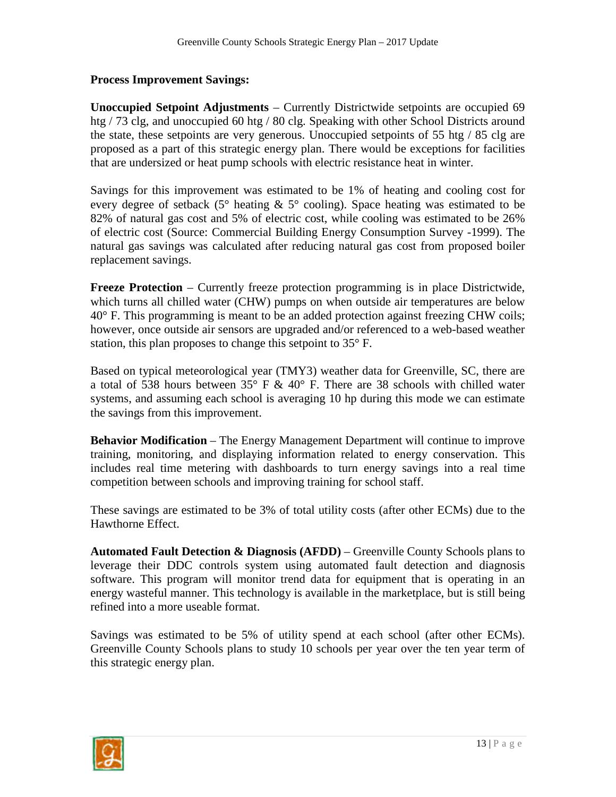#### **Process Improvement Savings:**

**Unoccupied Setpoint Adjustments** – Currently Districtwide setpoints are occupied 69 htg / 73 clg, and unoccupied 60 htg / 80 clg. Speaking with other School Districts around the state, these setpoints are very generous. Unoccupied setpoints of 55 htg / 85 clg are proposed as a part of this strategic energy plan. There would be exceptions for facilities that are undersized or heat pump schools with electric resistance heat in winter.

Savings for this improvement was estimated to be 1% of heating and cooling cost for every degree of setback ( $5^{\circ}$  heating &  $5^{\circ}$  cooling). Space heating was estimated to be 82% of natural gas cost and 5% of electric cost, while cooling was estimated to be 26% of electric cost (Source: Commercial Building Energy Consumption Survey -1999). The natural gas savings was calculated after reducing natural gas cost from proposed boiler replacement savings.

**Freeze Protection** – Currently freeze protection programming is in place Districtwide, which turns all chilled water (CHW) pumps on when outside air temperatures are below 40° F. This programming is meant to be an added protection against freezing CHW coils; however, once outside air sensors are upgraded and/or referenced to a web-based weather station, this plan proposes to change this setpoint to 35° F.

Based on typical meteorological year (TMY3) weather data for Greenville, SC, there are a total of 538 hours between  $35^{\circ}$  F &  $40^{\circ}$  F. There are 38 schools with chilled water systems, and assuming each school is averaging 10 hp during this mode we can estimate the savings from this improvement.

**Behavior Modification** – The Energy Management Department will continue to improve training, monitoring, and displaying information related to energy conservation. This includes real time metering with dashboards to turn energy savings into a real time competition between schools and improving training for school staff.

These savings are estimated to be 3% of total utility costs (after other ECMs) due to the Hawthorne Effect.

**Automated Fault Detection & Diagnosis (AFDD)** – Greenville County Schools plans to leverage their DDC controls system using automated fault detection and diagnosis software. This program will monitor trend data for equipment that is operating in an energy wasteful manner. This technology is available in the marketplace, but is still being refined into a more useable format.

Savings was estimated to be 5% of utility spend at each school (after other ECMs). Greenville County Schools plans to study 10 schools per year over the ten year term of this strategic energy plan.

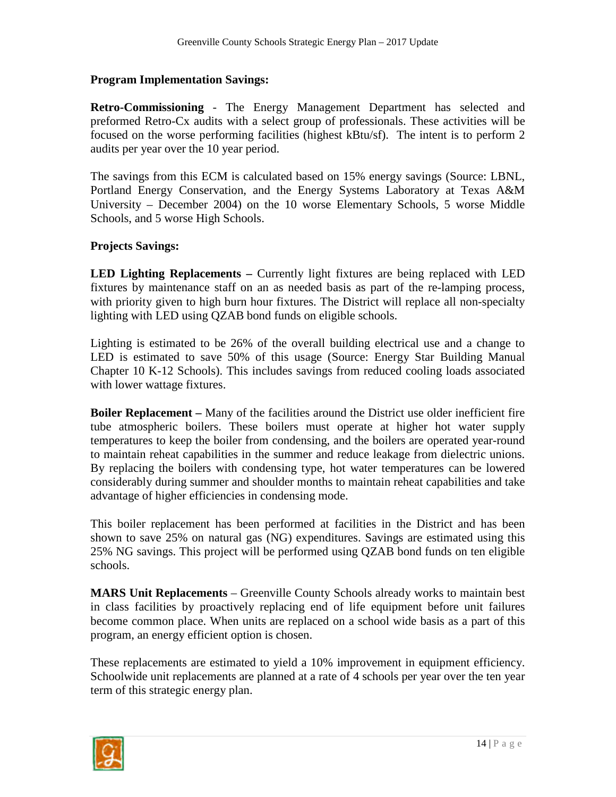#### **Program Implementation Savings:**

**Retro-Commissioning** - The Energy Management Department has selected and preformed Retro-Cx audits with a select group of professionals. These activities will be focused on the worse performing facilities (highest kBtu/sf). The intent is to perform 2 audits per year over the 10 year period.

The savings from this ECM is calculated based on 15% energy savings (Source: LBNL, Portland Energy Conservation, and the Energy Systems Laboratory at Texas A&M University – December 2004) on the 10 worse Elementary Schools, 5 worse Middle Schools, and 5 worse High Schools.

#### **Projects Savings:**

**LED Lighting Replacements –** Currently light fixtures are being replaced with LED fixtures by maintenance staff on an as needed basis as part of the re-lamping process, with priority given to high burn hour fixtures. The District will replace all non-specialty lighting with LED using QZAB bond funds on eligible schools.

Lighting is estimated to be 26% of the overall building electrical use and a change to LED is estimated to save 50% of this usage (Source: Energy Star Building Manual Chapter 10 K-12 Schools). This includes savings from reduced cooling loads associated with lower wattage fixtures.

**Boiler Replacement –** Many of the facilities around the District use older inefficient fire tube atmospheric boilers. These boilers must operate at higher hot water supply temperatures to keep the boiler from condensing, and the boilers are operated year-round to maintain reheat capabilities in the summer and reduce leakage from dielectric unions. By replacing the boilers with condensing type, hot water temperatures can be lowered considerably during summer and shoulder months to maintain reheat capabilities and take advantage of higher efficiencies in condensing mode.

This boiler replacement has been performed at facilities in the District and has been shown to save 25% on natural gas (NG) expenditures. Savings are estimated using this 25% NG savings. This project will be performed using QZAB bond funds on ten eligible schools.

**MARS Unit Replacements** – Greenville County Schools already works to maintain best in class facilities by proactively replacing end of life equipment before unit failures become common place. When units are replaced on a school wide basis as a part of this program, an energy efficient option is chosen.

These replacements are estimated to yield a 10% improvement in equipment efficiency. Schoolwide unit replacements are planned at a rate of 4 schools per year over the ten year term of this strategic energy plan.

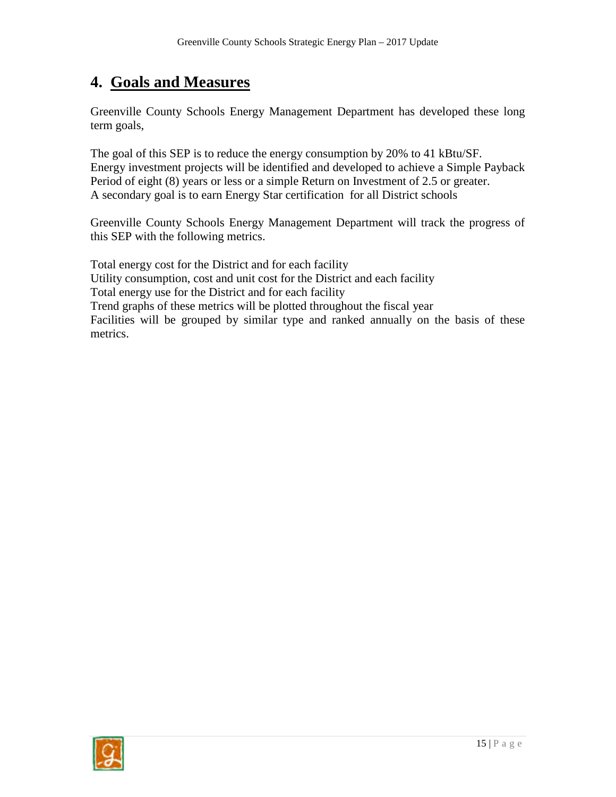### **4. Goals and Measures**

Greenville County Schools Energy Management Department has developed these long term goals,

The goal of this SEP is to reduce the energy consumption by 20% to 41 kBtu/SF. Energy investment projects will be identified and developed to achieve a Simple Payback Period of eight (8) years or less or a simple Return on Investment of 2.5 or greater. A secondary goal is to earn Energy Star certification for all District schools

Greenville County Schools Energy Management Department will track the progress of this SEP with the following metrics.

Total energy cost for the District and for each facility Utility consumption, cost and unit cost for the District and each facility Total energy use for the District and for each facility Trend graphs of these metrics will be plotted throughout the fiscal year Facilities will be grouped by similar type and ranked annually on the basis of these metrics.

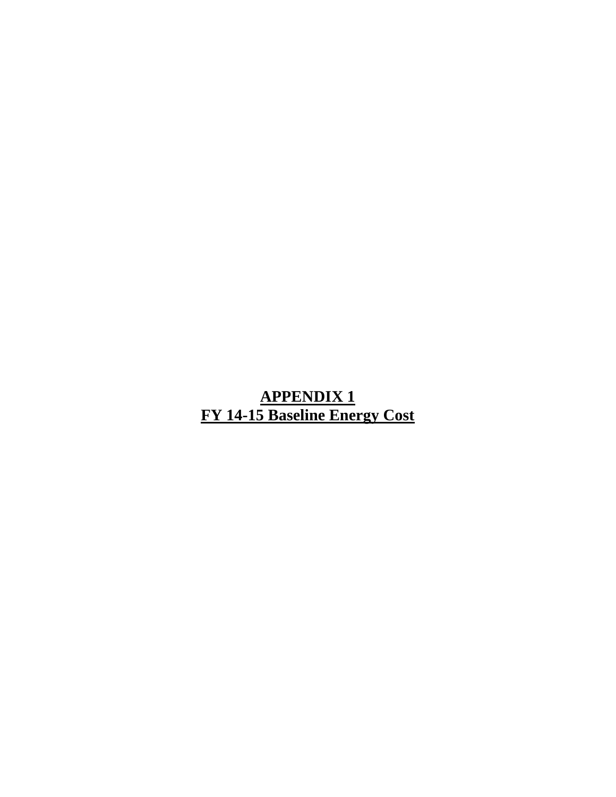**APPENDIX 1 FY 14-15 Baseline Energy Cost**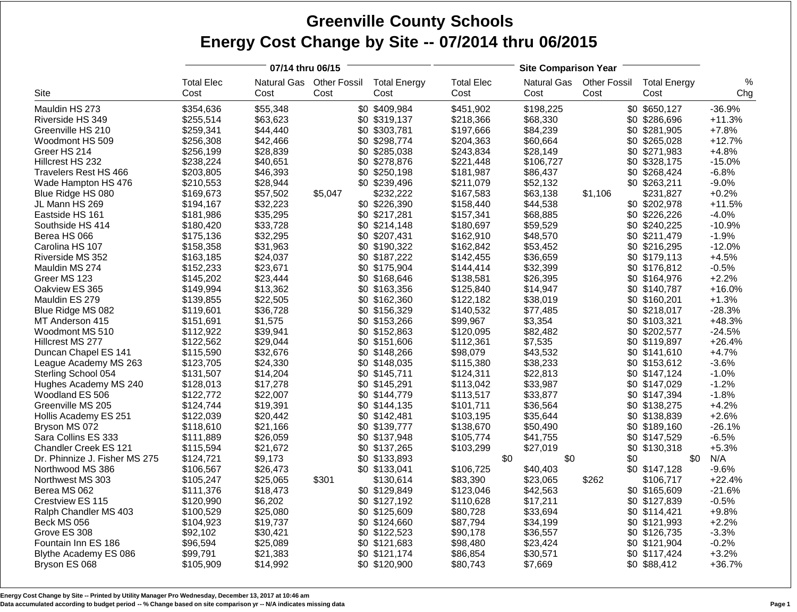|                                      |                        | 07/14 thru 06/15     |                          |                                | <b>Site Comparison Year</b> |                      |     |                     |                                |     |                      |
|--------------------------------------|------------------------|----------------------|--------------------------|--------------------------------|-----------------------------|----------------------|-----|---------------------|--------------------------------|-----|----------------------|
|                                      | <b>Total Elec</b>      |                      | Natural Gas Other Fossil | <b>Total Energy</b>            | <b>Total Elec</b>           | Natural Gas          |     | <b>Other Fossil</b> | <b>Total Energy</b>            |     | %                    |
| Site                                 | Cost                   | Cost                 | Cost                     | Cost                           | Cost                        | Cost                 |     | Cost                | Cost                           |     | Chg                  |
| Mauldin HS 273                       | \$354,636              | \$55,348             |                          | \$0 \$409,984                  | \$451,902                   | \$198,225            |     |                     | \$0 \$650,127                  |     | $-36.9%$             |
| Riverside HS 349                     | \$255,514              | \$63,623             |                          | \$0 \$319,137                  | \$218,366                   | \$68,330             |     |                     | \$0 \$286,696                  |     | $+11.3%$             |
| Greenville HS 210                    | \$259,341              | \$44,440             |                          | \$0 \$303,781                  | \$197,666                   | \$84,239             |     |                     | \$0 \$281,905                  |     | $+7.8%$              |
| Woodmont HS 509                      | \$256,308              | \$42,466             |                          | \$0 \$298,774                  | \$204,363                   | \$60,664             |     |                     | \$0 \$265,028                  |     | $+12.7%$             |
| Greer HS 214                         | \$256,199              | \$28,839             | \$0                      | \$285,038                      | \$243,834                   | \$28,149             |     |                     | \$0 \$271,983                  |     | $+4.8%$              |
| Hillcrest HS 232                     | \$238,224              | \$40,651             |                          | \$0 \$278,876                  | \$221,448                   | \$106,727            |     |                     | \$0 \$328,175                  |     | $-15.0%$             |
| Travelers Rest HS 466                | \$203,805              | \$46,393             |                          | \$0 \$250,198                  | \$181,987                   | \$86,437             |     |                     | \$0 \$268,424                  |     | $-6.8%$              |
| Wade Hampton HS 476                  | \$210,553              | \$28,944             |                          | \$0 \$239,496                  | \$211,079                   | \$52,132             |     |                     | \$0 \$263,211                  |     | $-9.0%$              |
| Blue Ridge HS 080                    | \$169,673              | \$57,502             | \$5,047                  | \$232,222                      | \$167,583                   | \$63,138             |     | \$1,106             | \$231,827                      |     | $+0.2%$              |
| JL Mann HS 269                       | \$194,167              | \$32,223             |                          | \$0 \$226,390                  | \$158,440                   | \$44,538             |     |                     | \$0 \$202,978                  |     | $+11.5%$             |
| Eastside HS 161                      | \$181,986              | \$35,295             |                          | \$0 \$217,281                  | \$157,341                   | \$68,885             |     |                     | \$0 \$226,226                  |     | $-4.0%$              |
| Southside HS 414                     | \$180,420              | \$33,728             |                          | \$0 \$214,148                  | \$180,697                   | \$59,529             |     |                     | \$0 \$240,225                  |     | $-10.9%$             |
| Berea HS 066                         | \$175,136              | \$32,295             |                          | \$0 \$207,431                  | \$162,910                   | \$48,570             |     |                     | \$0 \$211,479                  |     | $-1.9%$              |
| Carolina HS 107                      | \$158,358              | \$31,963             |                          | \$0 \$190,322                  | \$162,842                   | \$53,452             |     |                     | \$0 \$216,295                  |     | $-12.0%$             |
| Riverside MS 352                     | \$163,185              | \$24,037             |                          | \$0 \$187,222                  | \$142,455                   | \$36,659             |     |                     | \$0 \$179,113                  |     | $+4.5%$              |
| Mauldin MS 274                       | \$152,233              | \$23,671             |                          | \$0 \$175,904                  | \$144,414                   | \$32,399             |     |                     | \$0 \$176,812                  |     | $-0.5%$              |
| Greer MS 123                         | \$145,202              | \$23,444             |                          | \$0 \$168,646                  | \$138,581                   | \$26,395             |     |                     | \$0 \$164,976                  |     | $+2.2%$              |
| Oakview ES 365                       | \$149,994              | \$13,362             |                          | \$0 \$163,356                  | \$125,840                   | \$14,947             |     |                     | \$0 \$140,787                  |     | $+16.0%$             |
| Mauldin ES 279                       | \$139,855              | \$22,505             |                          | \$0 \$162,360                  | \$122,182                   | \$38,019             |     |                     | \$0 \$160,201                  |     | $+1.3%$              |
| Blue Ridge MS 082                    | \$119,601              | \$36,728             |                          | \$0 \$156,329                  | \$140,532                   | \$77,485             |     |                     | \$0 \$218,017                  |     | $-28.3%$             |
| MT Anderson 415                      | \$151,691              | \$1,575              |                          | \$0 \$153,266                  | \$99,967                    | \$3,354              |     |                     | \$0 \$103,321                  |     | $+48.3%$             |
| Woodmont MS 510                      | \$112,922              | \$39,941             |                          | \$0 \$152,863                  | \$120,095                   | \$82,482             |     |                     | \$0 \$202,577                  |     | $-24.5%$             |
| Hillcrest MS 277                     | \$122,562              | \$29,044             |                          | \$0 \$151,606                  | \$112,361                   | \$7,535              |     |                     | \$0 \$119,897                  |     | $+26.4%$             |
| Duncan Chapel ES 141                 | \$115,590              | \$32,676             |                          | \$0 \$148,266                  | \$98,079                    | \$43,532             |     |                     | \$0 \$141,610                  |     | $+4.7%$              |
| League Academy MS 263                | \$123,705              | \$24,330             |                          | \$0 \$148,035                  | \$115,380                   | \$38,233             |     |                     | \$0 \$153,612                  |     | $-3.6%$              |
| Sterling School 054                  | \$131,507              | \$14,204             |                          | \$0 \$145,711                  | \$124,311                   | \$22,813             |     |                     | \$0 \$147,124                  |     | $-1.0%$              |
| Hughes Academy MS 240                | \$128,013              | \$17,278             |                          | \$0 \$145,291                  | \$113,042                   | \$33,987             |     |                     | \$0 \$147,029                  |     | $-1.2%$              |
| Woodland ES 506                      | \$122,772              | \$22,007             |                          | \$0 \$144,779                  | \$113,517                   | \$33,877             |     |                     | \$0 \$147,394                  |     | $-1.8%$              |
| Greenville MS 205                    | \$124,744              | \$19,391             |                          | \$0 \$144,135                  | \$101,711                   | \$36,564             |     |                     | \$0 \$138,275                  |     | $+4.2%$              |
| Hollis Academy ES 251                | \$122,039              | \$20,442             |                          | \$0 \$142,481                  | \$103,195                   | \$35,644             |     |                     | \$0 \$138,839                  |     | $+2.6%$              |
| Bryson MS 072                        | \$118,610              | \$21,166             |                          | \$0 \$139,777                  | \$138,670                   | \$50,490             |     |                     | \$0 \$189,160                  |     | $-26.1%$             |
| Sara Collins ES 333                  | \$111,889              | \$26,059             |                          | \$0 \$137,948                  | \$105,774                   | \$41,755             |     |                     | \$0 \$147,529                  |     | $-6.5%$              |
| Chandler Creek ES 121                | \$115,594              | \$21,672             |                          | \$0 \$137,265                  | \$103,299                   | \$27,019             |     |                     | \$0 \$130,318                  |     | $+5.3%$              |
| Dr. Phinnize J. Fisher MS 275        | \$124,721              | \$9,173<br>\$26,473  |                          | \$0 \$133,893<br>\$0 \$133,041 |                             | \$0<br>\$40,403      | \$0 |                     | \$0<br>\$0 \$147,128           | \$0 | N/A<br>$-9.6%$       |
| Northwood MS 386                     | \$106,567              |                      | \$301                    |                                | \$106,725                   |                      |     |                     |                                |     |                      |
| Northwest MS 303                     | \$105,247              | \$25,065             |                          | \$130,614                      | \$83,390                    | \$23,065<br>\$42,563 |     | \$262               | \$106,717                      |     | $+22.4%$<br>$-21.6%$ |
| Berea MS 062                         | \$111,376              | \$18,473             |                          | \$0 \$129,849                  | \$123,046                   | \$17,211             |     |                     | \$0 \$165,609                  |     | $-0.5%$              |
| Crestview ES 115                     | \$120,990              | \$6,202              |                          | \$0 \$127,192                  | \$110,628                   |                      |     |                     | \$0 \$127,839                  |     |                      |
| Ralph Chandler MS 403<br>Beck MS 056 | \$100,529<br>\$104,923 | \$25,080<br>\$19,737 |                          | \$0 \$125,609<br>\$0 \$124,660 | \$80,728<br>\$87,794        | \$33,694<br>\$34,199 |     |                     | \$0 \$114,421<br>\$0 \$121,993 |     | $+9.8%$<br>$+2.2%$   |
| Grove ES 308                         | \$92,102               | \$30,421             |                          | \$0 \$122,523                  | \$90,178                    | \$36,557             |     |                     | \$0 \$126,735                  |     | $-3.3%$              |
| Fountain Inn ES 186                  | \$96,594               | \$25,089             |                          | \$0 \$121,683                  | \$98,480                    | \$23,424             |     |                     | \$0 \$121,904                  |     | $-0.2%$              |
| Blythe Academy ES 086                | \$99,791               | \$21,383             |                          | \$0 \$121,174                  | \$86,854                    | \$30,571             |     |                     | \$0 \$117,424                  |     | $+3.2%$              |
| Bryson ES 068                        | \$105,909              | \$14,992             |                          | \$0 \$120,900                  | \$80,743                    | \$7,669              |     |                     | \$0 \$88,412                   |     | +36.7%               |
|                                      |                        |                      |                          |                                |                             |                      |     |                     |                                |     |                      |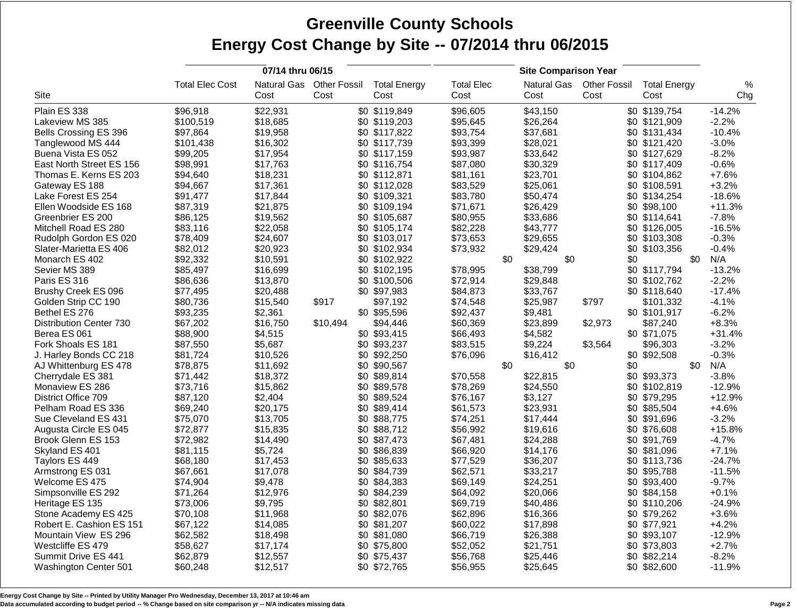|                          |                        | 07/14 thru 06/15         |          |     |                     | <b>Site Comparison Year</b> |     |             |     |                     |     |                     |     |          |
|--------------------------|------------------------|--------------------------|----------|-----|---------------------|-----------------------------|-----|-------------|-----|---------------------|-----|---------------------|-----|----------|
|                          | <b>Total Elec Cost</b> | Natural Gas Other Fossil |          |     | <b>Total Energy</b> | <b>Total Elec</b>           |     | Natural Gas |     | <b>Other Fossil</b> |     | <b>Total Energy</b> |     | %        |
| Site                     |                        | Cost                     | Cost     |     | Cost                | Cost                        |     | Cost        |     | Cost                |     | Cost                |     | Chg      |
| Plain ES 338             | \$96,918               | \$22,931                 |          |     | \$0 \$119,849       | \$96,605                    |     | \$43,150    |     |                     |     | \$0 \$139,754       |     | $-14.2%$ |
| Lakeview MS 385          | \$100,519              | \$18,685                 |          |     | \$0 \$119,203       | \$95,645                    |     | \$26,264    |     |                     |     | \$0 \$121,909       |     | $-2.2%$  |
| Bells Crossing ES 396    | \$97,864               | \$19,958                 |          |     | \$0 \$117,822       | \$93,754                    |     | \$37,681    |     |                     |     | \$0 \$131,434       |     | $-10.4%$ |
| Tanglewood MS 444        | \$101,438              | \$16,302                 |          |     | \$0 \$117,739       | \$93,399                    |     | \$28,021    |     |                     |     | \$0 \$121,420       |     | $-3.0%$  |
| Buena Vista ES 052       | \$99,205               | \$17,954                 |          |     | \$0 \$117,159       | \$93,987                    |     | \$33,642    |     |                     |     | \$0 \$127,629       |     | $-8.2%$  |
| East North Street ES 156 | \$98,991               | \$17,763                 |          |     | \$0 \$116,754       | \$87,080                    |     | \$30,329    |     |                     |     | \$0 \$117,409       |     | $-0.6%$  |
| Thomas E. Kerns ES 203   | \$94,640               | \$18,231                 |          |     | \$0 \$112,871       | \$81,161                    |     | \$23,701    |     |                     |     | \$0 \$104,862       |     | $+7.6%$  |
| Gateway ES 188           | \$94,667               | \$17,361                 |          |     | \$0 \$112,028       | \$83,529                    |     | \$25,061    |     |                     |     | \$0 \$108,591       |     | $+3.2%$  |
| Lake Forest ES 254       | \$91,477               | \$17,844                 |          |     | \$0 \$109,321       | \$83,780                    |     | \$50,474    |     |                     |     | \$0 \$134,254       |     | $-18.6%$ |
| Ellen Woodside ES 168    | \$87,319               | \$21,875                 |          |     | \$0 \$109,194       | \$71,671                    |     | \$26,429    |     |                     |     | \$0 \$98,100        |     | $+11.3%$ |
| Greenbrier ES 200        | \$86,125               | \$19,562                 |          |     | \$0 \$105,687       | \$80,955                    |     | \$33,686    |     |                     |     | \$0 \$114,641       |     | $-7.8%$  |
| Mitchell Road ES 280     | \$83,116               | \$22,058                 |          |     | \$0 \$105,174       | \$82,228                    |     | \$43,777    |     |                     |     | \$0 \$126,005       |     | $-16.5%$ |
| Rudolph Gordon ES 020    | \$78,409               | \$24,607                 |          |     | \$0 \$103,017       | \$73,653                    |     | \$29,655    |     |                     |     | \$0 \$103,308       |     | $-0.3%$  |
| Slater-Marietta ES 406   | \$82,012               | \$20,923                 |          |     | \$0 \$102,934       | \$73,932                    |     | \$29,424    |     |                     |     | \$0 \$103,356       |     | $-0.4%$  |
| Monarch ES 402           | \$92,332               | \$10,591                 |          |     | \$0 \$102,922       |                             | \$0 |             | \$0 |                     | \$0 |                     | \$0 | N/A      |
| Sevier MS 389            | \$85,497               | \$16,699                 |          |     | \$0 \$102,195       | \$78,995                    |     | \$38,799    |     |                     |     | \$0 \$117,794       |     | $-13.2%$ |
| Paris ES 316             | \$86,636               | \$13,870                 |          | \$0 | \$100,506           | \$72,914                    |     | \$29,848    |     |                     |     | \$0 \$102,762       |     | $-2.2%$  |
| Brushy Creek ES 096      | \$77,495               | \$20,488                 |          |     | \$0 \$97,983        | \$84,873                    |     | \$33,767    |     |                     |     | \$0 \$118,640       |     | $-17.4%$ |
| Golden Strip CC 190      | \$80,736               | \$15,540                 | \$917    |     | \$97,192            | \$74,548                    |     | \$25,987    |     | \$797               |     | \$101,332           |     | $-4.1%$  |
| Bethel ES 276            | \$93,235               | \$2,361                  |          |     | \$0 \$95,596        | \$92,437                    |     | \$9,481     |     |                     |     | \$0 \$101,917       |     | $-6.2%$  |
| Distribution Center 730  | \$67,202               | \$16,750                 | \$10,494 |     | \$94,446            | \$60,369                    |     | \$23,899    |     | \$2,973             |     | \$87,240            |     | $+8.3%$  |
| Berea ES 061             | \$88,900               | \$4,515                  |          |     | \$0 \$93,415        | \$66,493                    |     | \$4,582     |     |                     |     | \$0 \$71,075        |     | $+31.4%$ |
| Fork Shoals ES 181       | \$87,550               | \$5,687                  |          |     | \$0 \$93,237        | \$83,515                    |     | \$9,224     |     | \$3,564             |     | \$96,303            |     | $-3.2%$  |
| J. Harley Bonds CC 218   | \$81,724               | \$10,526                 |          |     | \$0 \$92,250        | \$76,096                    |     | \$16,412    |     |                     |     | \$0 \$92,508        |     | $-0.3%$  |
| AJ Whittenburg ES 478    | \$78,875               | \$11,692                 |          |     | \$0 \$90,567        |                             | \$0 |             | \$0 |                     | \$0 |                     | \$0 | N/A      |
| Cherrydale ES 381        | \$71,442               | \$18,372                 |          | \$0 | \$89,814            | \$70,558                    |     | \$22,815    |     |                     |     | \$0 \$93,373        |     | $-3.8%$  |
| Monaview ES 286          | \$73,716               | \$15,862                 |          |     | \$0 \$89,578        | \$78,269                    |     | \$24,550    |     |                     |     | \$0 \$102,819       |     | $-12.9%$ |
| District Office 709      | \$87,120               | \$2,404                  |          | \$0 | \$89,524            | \$76,167                    |     | \$3,127     |     |                     | \$0 | \$79,295            |     | $+12.9%$ |
| Pelham Road ES 336       | \$69,240               | \$20,175                 |          | \$0 | \$89,414            | \$61,573                    |     | \$23,931    |     |                     |     | \$0 \$85,504        |     | $+4.6%$  |
| Sue Cleveland ES 431     | \$75,070               | \$13,705                 |          | \$0 | \$88,775            | \$74,251                    |     | \$17,444    |     |                     |     | \$0 \$91,696        |     | $-3.2%$  |
| Augusta Circle ES 045    | \$72,877               | \$15,835                 |          |     | \$0 \$88,712        | \$56,992                    |     | \$19,616    |     |                     |     | \$0 \$76,608        |     | $+15.8%$ |
| Brook Glenn ES 153       | \$72,982               | \$14,490                 |          |     | \$0 \$87,473        | \$67,481                    |     | \$24,288    |     |                     |     | \$0 \$91,769        |     | $-4.7%$  |
| Skyland ES 401           | \$81,115               | \$5,724                  |          | \$0 | \$86,839            | \$66,920                    |     | \$14,176    |     |                     |     | \$0 \$81,096        |     | $+7.1%$  |
| Taylors ES 449           | \$68,180               | \$17,453                 |          | \$0 | \$85,633            | \$77,529                    |     | \$36,207    |     |                     |     | \$0 \$113,736       |     | $-24.7%$ |
| Armstrong ES 031         | \$67,661               | \$17,078                 |          | \$0 | \$84,739            | \$62,571                    |     | \$33,217    |     |                     |     | \$0 \$95,788        |     | $-11.5%$ |
| Welcome ES 475           | \$74,904               | \$9,478                  |          | \$0 | \$84,383            | \$69,149                    |     | \$24,251    |     |                     |     | \$0 \$93,400        |     | $-9.7%$  |
| Simpsonville ES 292      | \$71,264               | \$12,976                 |          | \$0 | \$84,239            | \$64,092                    |     | \$20,066    |     |                     |     | \$0 \$84,158        |     | $+0.1%$  |
| Heritage ES 135          | \$73,006               | \$9,795                  |          | \$0 | \$82,801            | \$69,719                    |     | \$40,486    |     |                     |     | \$0 \$110,206       |     | $-24.9%$ |
| Stone Academy ES 425     | \$70,108               | \$11,968                 |          | \$0 | \$82,076            | \$62,896                    |     | \$16,366    |     |                     |     | \$0 \$79,262        |     | $+3.6%$  |
| Robert E. Cashion ES 151 | \$67,122               | \$14,085                 |          | \$0 | \$81,207            | \$60,022                    |     | \$17,898    |     |                     |     | \$0 \$77,921        |     | $+4.2%$  |
| Mountain View ES 296     | \$62,582               | \$18,498                 |          | \$0 | \$81,080            | \$66,719                    |     | \$26,388    |     |                     |     | \$0 \$93,107        |     | $-12.9%$ |
| Westcliffe ES 479        | \$58,627               | \$17,174                 |          |     | \$0 \$75,800        | \$52,052                    |     | \$21,751    |     |                     |     | \$0 \$73,803        |     | $+2.7%$  |
| Summit Drive ES 441      | \$62,879               | \$12,557                 |          |     | \$0 \$75,437        | \$56,768                    |     | \$25,446    |     |                     |     | \$0 \$82,214        |     | $-8.2%$  |
| Washington Center 501    | \$60,248               | \$12,517                 |          |     | \$0 \$72,765        | \$56,955                    |     | \$25,645    |     |                     |     | \$0 \$82,600        |     | $-11.9%$ |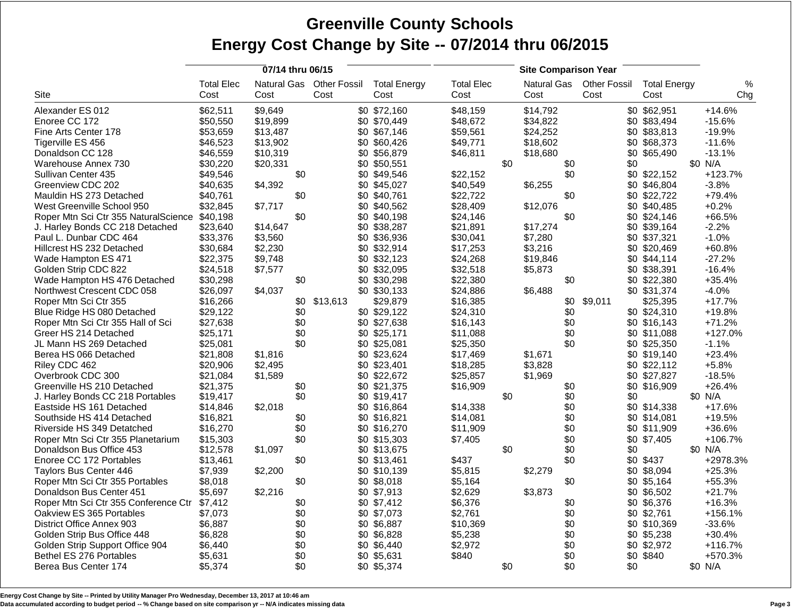|                                              |                   | 07/14 thru 06/15 |     |                          |     |                     |                   |     | <b>Site Comparison Year</b> |     |                     |                     |          |
|----------------------------------------------|-------------------|------------------|-----|--------------------------|-----|---------------------|-------------------|-----|-----------------------------|-----|---------------------|---------------------|----------|
|                                              | <b>Total Elec</b> |                  |     | Natural Gas Other Fossil |     | <b>Total Energy</b> | <b>Total Elec</b> |     | Natural Gas                 |     | <b>Other Fossil</b> | <b>Total Energy</b> | $\%$     |
| Site                                         | Cost              | Cost             |     | Cost                     |     | Cost                | Cost              |     | Cost                        |     | Cost                | Cost                | Chg      |
| Alexander ES 012                             | \$62,511          | \$9,649          |     |                          |     | \$0 \$72,160        | \$48,159          |     | \$14,792                    |     |                     | \$0 \$62,951        | $+14.6%$ |
| Enoree CC 172                                | \$50,550          | \$19,899         |     |                          |     | \$0 \$70,449        | \$48,672          |     | \$34,822                    |     |                     | \$0 \$83,494        | $-15.6%$ |
| Fine Arts Center 178                         | \$53,659          | \$13,487         |     |                          |     | \$0 \$67,146        | \$59,561          |     | \$24,252                    |     |                     | \$0 \$83,813        | $-19.9%$ |
| Tigerville ES 456                            | \$46,523          | \$13,902         |     |                          |     | \$0 \$60,426        | \$49,771          |     | \$18,602                    |     |                     | \$0 \$68,373        | $-11.6%$ |
| Donaldson CC 128                             | \$46,559          | \$10,319         |     |                          | \$0 | \$56,879            | \$46,811          |     | \$18,680                    |     | \$0                 | \$65,490            | $-13.1%$ |
| Warehouse Annex 730                          | \$30,220          | \$20,331         |     |                          | \$0 | \$50,551            |                   | \$0 |                             | \$0 | \$0                 |                     | \$0 N/A  |
| Sullivan Center 435                          | \$49,546          |                  | \$0 |                          |     | \$0 \$49,546        | \$22,152          |     |                             | \$0 |                     | \$0 \$22,152        | +123.7%  |
| Greenview CDC 202                            | \$40,635          | \$4,392          |     |                          | \$0 | \$45,027            | \$40,549          |     | \$6,255                     |     | \$0                 | \$46,804            | $-3.8%$  |
| Mauldin HS 273 Detached                      | \$40,761          |                  | \$0 |                          |     | \$0 \$40,761        | \$22,722          |     |                             | \$0 |                     | \$0 \$22,722        | +79.4%   |
| West Greenville School 950                   | \$32,845          | \$7,717          |     |                          | \$0 | \$40,562            | \$28,409          |     | \$12,076                    |     | \$0                 | \$40,485            | $+0.2%$  |
| Roper Mtn Sci Ctr 355 NaturalScience         | \$40,198          |                  | \$0 |                          | \$0 | \$40,198            | \$24,146          |     |                             | \$0 |                     | \$0 \$24,146        | +66.5%   |
| J. Harley Bonds CC 218 Detached              | \$23,640          | \$14.647         |     |                          | \$0 | \$38,287            | \$21,891          |     | \$17,274                    |     |                     | \$0 \$39,164        | $-2.2%$  |
| Paul L. Dunbar CDC 464                       | \$33,376          | \$3,560          |     |                          |     | \$0 \$36,936        | \$30,041          |     | \$7,280                     |     |                     | \$0 \$37,321        | $-1.0%$  |
| Hillcrest HS 232 Detached                    | \$30,684          | \$2,230          |     |                          | \$0 | \$32,914            | \$17,253          |     | \$3,216                     |     |                     | \$0 \$20,469        | +60.8%   |
| Wade Hampton ES 471                          | \$22,375          | \$9,748          |     |                          | \$0 | \$32,123            | \$24,268          |     | \$19,846                    |     |                     | \$0 \$44,114        | $-27.2%$ |
| Golden Strip CDC 822                         | \$24,518          | \$7,577          |     |                          | \$0 | \$32,095            | \$32,518          |     | \$5,873                     |     |                     | \$0 \$38,391        | $-16.4%$ |
| Wade Hampton HS 476 Detached                 | \$30,298          |                  | \$0 |                          | \$0 | \$30,298            | \$22,380          |     |                             | \$0 | \$0                 | \$22,380            | $+35.4%$ |
| Northwest Crescent CDC 058                   | \$26,097          | \$4,037          |     |                          |     | \$0 \$30,133        | \$24,886          |     | \$6,488                     |     |                     | \$0 \$31,374        | $-4.0%$  |
| Roper Mtn Sci Ctr 355                        | \$16,266          |                  | \$0 | \$13,613                 |     | \$29,879            | \$16,385          |     |                             | \$0 | \$9,011             | \$25,395            | $+17.7%$ |
| Blue Ridge HS 080 Detached                   | \$29,122          |                  | \$0 |                          |     | \$0 \$29,122        | \$24,310          |     |                             | \$0 |                     | \$0 \$24,310        | +19.8%   |
| Roper Mtn Sci Ctr 355 Hall of Sci            | \$27,638          |                  | \$0 |                          |     | \$0 \$27,638        | \$16,143          |     |                             | \$0 |                     | \$0 \$16,143        | $+71.2%$ |
| Greer HS 214 Detached                        | \$25,171          |                  | \$0 |                          |     | \$0 \$25,171        | \$11,088          |     |                             | \$0 |                     | \$0 \$11,088        | +127.0%  |
| JL Mann HS 269 Detached                      | \$25,081          |                  | \$0 |                          |     | \$0 \$25,081        | \$25,350          |     |                             | \$0 |                     | \$0 \$25,350        | $-1.1%$  |
| Berea HS 066 Detached                        | \$21,808          | \$1,816          |     |                          |     | \$0 \$23,624        | \$17,469          |     | \$1,671                     |     |                     | \$0 \$19,140        | $+23.4%$ |
| Riley CDC 462                                | \$20,906          | \$2,495          |     |                          |     | \$0 \$23,401        | \$18,285          |     | \$3,828                     |     |                     | \$0 \$22,112        | $+5.8%$  |
| Overbrook CDC 300                            | \$21.084          | \$1,589          |     |                          |     | \$0 \$22,672        | \$25,857          |     | \$1,969                     |     |                     | \$0 \$27,827        | $-18.5%$ |
| Greenville HS 210 Detached                   | \$21,375          |                  | \$0 |                          |     | \$0 \$21,375        | \$16,909          |     |                             | \$0 |                     | \$0 \$16,909        | $+26.4%$ |
| J. Harley Bonds CC 218 Portables             | \$19,417          |                  | \$0 |                          |     | \$0 \$19,417        |                   | \$0 |                             | \$0 | \$0                 |                     | \$0 N/A  |
| Eastside HS 161 Detached                     | \$14,846          | \$2,018          |     |                          |     | \$0 \$16,864        | \$14,338          |     |                             | \$0 |                     | \$0 \$14,338        | $+17.6%$ |
| Southside HS 414 Detached                    | \$16,821          |                  | \$0 |                          |     | \$0 \$16,821        | \$14,081          |     |                             | \$0 |                     | \$0 \$14,081        | +19.5%   |
| Riverside HS 349 Detatched                   | \$16,270          |                  | \$0 |                          |     | \$0 \$16,270        | \$11,909          |     |                             | \$0 |                     | \$0 \$11,909        | +36.6%   |
| Roper Mtn Sci Ctr 355 Planetarium            | \$15,303          |                  | \$0 |                          |     | \$0 \$15,303        | \$7,405           |     |                             | \$0 |                     | \$0 \$7,405         | +106.7%  |
| Donaldson Bus Office 453                     | \$12,578          | \$1,097          |     |                          |     | \$0 \$13,675        |                   | \$0 |                             | \$0 | \$0                 |                     | \$0 N/A  |
| Enoree CC 172 Portables                      | \$13,461          |                  | \$0 |                          |     | \$0 \$13,461        | \$437             |     |                             | \$0 |                     | \$0 \$437           | +2978.3% |
| Taylors Bus Center 446                       | \$7,939           | \$2,200          |     |                          |     | \$0 \$10,139        | \$5,815           |     | \$2,279                     |     |                     | \$0 \$8,094         | $+25.3%$ |
| Roper Mtn Sci Ctr 355 Portables              | \$8,018           |                  | \$0 |                          |     | \$0 \$8,018         | \$5,164           |     |                             | \$0 |                     | \$0 \$5,164         | +55.3%   |
| Donaldson Bus Center 451                     | \$5,697           | \$2,216          |     |                          |     | \$0 \$7,913         | \$2,629           |     | \$3,873                     |     |                     | \$0 \$6,502         | $+21.7%$ |
| Roper Mtn Sci Ctr 355 Conference Ctr \$7,412 |                   |                  | \$0 |                          |     | \$0 \$7,412         | \$6,376           |     |                             | \$0 |                     | \$0 \$6,376         | $+16.3%$ |
| Oakview ES 365 Portables                     | \$7,073           |                  | \$0 |                          | \$0 | \$7,073             | \$2,761           |     |                             | \$0 | \$0                 | \$2,761             | +156.1%  |
| District Office Annex 903                    | \$6,887           |                  | \$0 |                          |     | \$0 \$6,887         | \$10,369          |     |                             | \$0 |                     | \$0 \$10,369        | $-33.6%$ |
| Golden Strip Bus Office 448                  | \$6,828           |                  | \$0 |                          | \$0 | \$6,828             | \$5,238           |     |                             | \$0 | \$0                 | \$5,238             | $+30.4%$ |
| Golden Strip Support Office 904              | \$6,440           |                  | \$0 |                          | \$0 | \$6,440             | \$2,972           |     |                             | \$0 |                     | \$0 \$2,972         | +116.7%  |
| Bethel ES 276 Portables                      | \$5,631           |                  | \$0 |                          | \$0 | \$5,631             | \$840             |     |                             | \$0 |                     | \$0 \$840           | +570.3%  |
| Berea Bus Center 174                         | \$5,374           |                  | \$0 |                          |     | \$0 \$5,374         |                   | \$0 |                             | \$0 | \$0                 |                     | \$0 N/A  |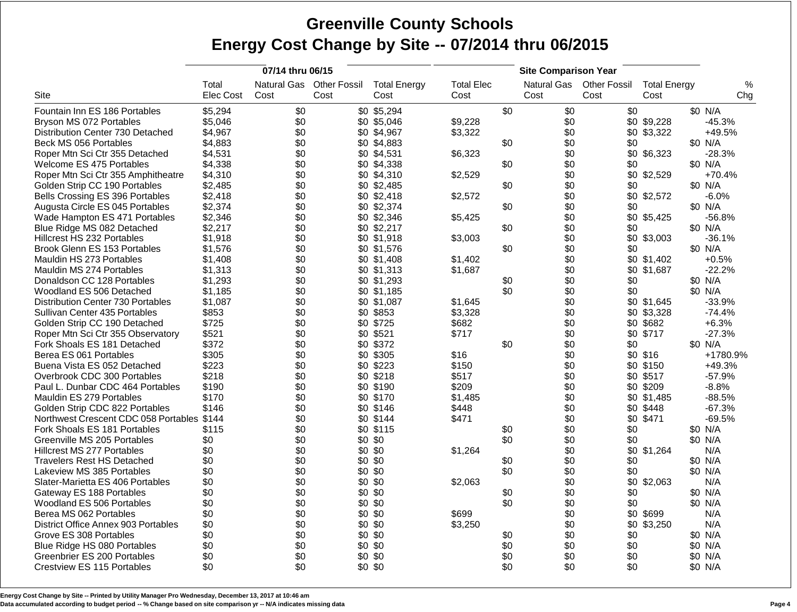|                                                                |            | 07/14 thru 06/15         |            |                     | <b>Site Comparison Year</b> |            |             |                     |                     |                |
|----------------------------------------------------------------|------------|--------------------------|------------|---------------------|-----------------------------|------------|-------------|---------------------|---------------------|----------------|
|                                                                | Total      | Natural Gas Other Fossil |            | <b>Total Energy</b> | <b>Total Elec</b>           |            | Natural Gas | <b>Other Fossil</b> | <b>Total Energy</b> | %              |
| Site                                                           | Elec Cost  | Cost                     | Cost       | Cost                | Cost                        |            | Cost        | Cost                | Cost                | Chg            |
| Fountain Inn ES 186 Portables                                  | \$5,294    | \$0                      |            | \$0 \$5,294         |                             | \$0        | \$0         | \$0                 |                     | \$0 N/A        |
| Bryson MS 072 Portables                                        | \$5,046    | \$0                      |            | \$0 \$5,046         | \$9,228                     |            | \$0         |                     | \$0 \$9,228         | $-45.3%$       |
| Distribution Center 730 Detached                               | \$4,967    | \$0                      |            | \$0 \$4,967         | \$3,322                     |            | \$0         | \$0                 | \$3,322             | +49.5%         |
| Beck MS 056 Portables                                          | \$4,883    | \$0                      |            | \$0 \$4,883         |                             | \$0        | \$0         | \$0                 |                     | \$0 N/A        |
| Roper Mtn Sci Ctr 355 Detached                                 | \$4,531    | \$0                      |            | \$0 \$4,531         | \$6,323                     |            | \$0         | \$0                 | \$6,323             | $-28.3%$       |
| Welcome ES 475 Portables                                       | \$4,338    | \$0                      |            | \$0 \$4,338         |                             | \$0        | \$0         | \$0                 |                     | \$0 N/A        |
| Roper Mtn Sci Ctr 355 Amphitheatre                             | \$4,310    | \$0                      |            | \$0 \$4,310         | \$2,529                     |            | \$0         | \$0                 | \$2,529             | $+70.4%$       |
| Golden Strip CC 190 Portables                                  | \$2,485    | \$0                      | \$0        | \$2,485             |                             | \$0        | \$0         | \$0                 |                     | \$0 N/A        |
| Bells Crossing ES 396 Portables                                | \$2,418    | \$0                      |            | $$0$ \$2,418        | \$2,572                     |            | \$0         | \$0                 | \$2,572             | $-6.0%$        |
| Augusta Circle ES 045 Portables                                | \$2,374    | \$0                      | \$0        | \$2,374             |                             | \$0        | \$0         | \$0                 |                     | \$0 N/A        |
| Wade Hampton ES 471 Portables                                  | \$2,346    | \$0                      |            | \$0 \$2,346         | \$5,425                     |            | \$0         | \$0                 | \$5,425             | $-56.8%$       |
| Blue Ridge MS 082 Detached                                     | \$2,217    | \$0                      |            | \$0 \$2,217         |                             | \$0        | \$0         | \$0                 |                     | \$0 N/A        |
| Hillcrest HS 232 Portables                                     | \$1,918    | \$0                      |            | \$0 \$1,918         | \$3,003                     |            | \$0         | \$0                 | \$3,003             | $-36.1%$       |
| Brook Glenn ES 153 Portables                                   | \$1,576    | \$0                      |            | \$0 \$1,576         |                             | \$0        | \$0         | \$0                 |                     | \$0 N/A        |
| Mauldin HS 273 Portables                                       | \$1,408    | \$0                      |            | \$0 \$1,408         | \$1,402                     |            | \$0         |                     | \$0 \$1,402         | $+0.5%$        |
| Mauldin MS 274 Portables                                       | \$1,313    | \$0                      |            | \$0 \$1,313         | \$1,687                     |            | \$0         | \$0                 | \$1,687             | $-22.2%$       |
| Donaldson CC 128 Portables                                     | \$1,293    | \$0                      |            | \$0 \$1,293         |                             | \$0        | \$0         | \$0                 |                     | \$0 N/A        |
| Woodland ES 506 Detached                                       | \$1,185    | \$0                      |            | \$0 \$1,185         |                             | \$0        | \$0         | \$0                 |                     | \$0 N/A        |
| <b>Distribution Center 730 Portables</b>                       | \$1,087    | \$0                      |            | \$0 \$1,087         | \$1,645                     |            | \$0         | \$0                 | \$1,645             | $-33.9%$       |
| Sullivan Center 435 Portables                                  | \$853      | \$0                      | \$0        | \$853               | \$3,328                     |            | \$0         | \$0                 | \$3,328             | $-74.4%$       |
| Golden Strip CC 190 Detached                                   | \$725      | \$0                      | \$0        | \$725               | \$682                       |            | \$0         | \$0                 | \$682               | $+6.3%$        |
| Roper Mtn Sci Ctr 355 Observatory                              | \$521      | \$0                      | \$0        | \$521               | \$717                       |            | \$0         | \$0                 | \$717               | $-27.3%$       |
| Fork Shoals ES 181 Detached                                    | \$372      | \$0                      | \$0        | \$372               |                             | \$0        | \$0         | \$0                 |                     | \$0 N/A        |
| Berea ES 061 Portables                                         | \$305      | \$0                      | \$0        | \$305               | \$16                        |            | \$0         |                     | \$0 \$16            | +1780.9%       |
| Buena Vista ES 052 Detached                                    | \$223      | \$0                      |            | \$0 \$223           | \$150                       |            | \$0         | \$0                 | \$150               | $+49.3%$       |
| Overbrook CDC 300 Portables                                    | \$218      | \$0                      | \$0        | \$218               | \$517                       |            | \$0         | \$0                 | \$517               | $-57.9%$       |
| Paul L. Dunbar CDC 464 Portables                               | \$190      | \$0                      |            | \$0 \$190           | \$209                       |            | \$0         | \$0                 | \$209               | $-8.8%$        |
| Mauldin ES 279 Portables                                       | \$170      | \$0                      | \$0        | \$170               | \$1,485                     |            | \$0         | \$0                 | \$1,485             | $-88.5%$       |
| Golden Strip CDC 822 Portables                                 | \$146      | \$0                      |            | \$0 \$146           | \$448                       |            | \$0         | \$0                 | \$448               | $-67.3%$       |
| Northwest Crescent CDC 058 Portables \$144                     |            | \$0                      | \$0        | \$144               | \$471                       |            | \$0         | \$0                 | \$471               | $-69.5%$       |
| Fork Shoals ES 181 Portables                                   | \$115      | \$0                      |            | \$0 \$115           |                             | \$0        | \$0         | \$0                 |                     | \$0 N/A        |
| Greenville MS 205 Portables                                    | \$0        | \$0                      | \$0        | \$0                 |                             | \$0        | \$0         | \$0                 |                     | \$0 N/A        |
| <b>Hillcrest MS 277 Portables</b>                              | \$0<br>\$0 | \$0                      | \$0<br>\$0 | \$0                 | \$1,264                     |            | \$0         | \$0<br>\$0          | \$1,264             | N/A<br>\$0 N/A |
| <b>Travelers Rest HS Detached</b><br>Lakeview MS 385 Portables | \$0        | \$0<br>\$0               | \$0        | \$0<br>\$0          |                             | \$0<br>\$0 | \$0<br>\$0  | \$0                 |                     | \$0 N/A        |
| Slater-Marietta ES 406 Portables                               | \$0        | \$0                      |            | \$0 \$0             |                             |            | \$0         | \$0                 | \$2,063             | N/A            |
| Gateway ES 188 Portables                                       | \$0        | \$0                      | \$0        | \$0                 | \$2,063                     | \$0        | \$0         | \$0                 |                     | \$0 N/A        |
| Woodland ES 506 Portables                                      | \$0        | \$0                      | \$0        | \$0                 |                             | \$0        | \$0         | \$0                 |                     | \$0 N/A        |
| Berea MS 062 Portables                                         | \$0        | \$0                      | \$0        | \$0                 | \$699                       |            | \$0         | \$0                 | \$699               | N/A            |
| District Office Annex 903 Portables                            | \$0        | \$0                      | \$0        | \$0                 | \$3,250                     |            | \$0         | \$0                 | \$3,250             | N/A            |
| Grove ES 308 Portables                                         | \$0        | \$0                      | \$0        | \$0                 |                             | \$0        | \$0         | \$0                 |                     | \$0 N/A        |
| Blue Ridge HS 080 Portables                                    | \$0        | \$0                      | \$0        | \$0                 |                             | \$0        | \$0         | \$0                 |                     | \$0 N/A        |
| Greenbrier ES 200 Portables                                    | \$0        | \$0                      | \$0        | \$0                 |                             | \$0        | \$0         | \$0                 |                     | \$0 N/A        |
| <b>Crestview ES 115 Portables</b>                              | \$0        | \$0                      |            | \$0 \$0             |                             | \$0        | \$0         | \$0                 |                     | \$0 N/A        |
|                                                                |            |                          |            |                     |                             |            |             |                     |                     |                |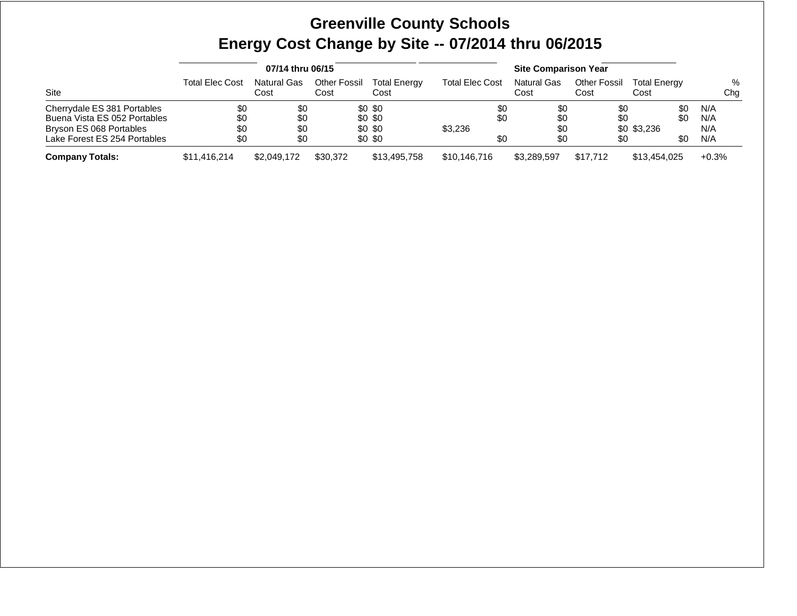|                                                                                                                        |                          | 07/14 thru 06/15           |                             |                                          |                              |                            |                             |                                                       |                          |
|------------------------------------------------------------------------------------------------------------------------|--------------------------|----------------------------|-----------------------------|------------------------------------------|------------------------------|----------------------------|-----------------------------|-------------------------------------------------------|--------------------------|
| Site                                                                                                                   | <b>Total Elec Cost</b>   | <b>Natural Gas</b><br>Cost | <b>Other Fossil</b><br>Cost | <b>Total Energy</b><br>Cost              | <b>Total Elec Cost</b>       | <b>Natural Gas</b><br>Cost | <b>Other Fossil</b><br>Cost | <b>Total Energy</b><br>Cost                           | $\%$<br>Chg              |
| Cherrydale ES 381 Portables<br>Buena Vista ES 052 Portables<br>Bryson ES 068 Portables<br>Lake Forest ES 254 Portables | \$0<br>\$0<br>\$0<br>\$0 | \$0<br>\$0<br>\$0<br>\$0   |                             | \$0 \$0<br>\$0 \$0<br>\$0 \$0<br>\$0 \$0 | \$0<br>\$0<br>\$3,236<br>\$0 | \$0<br>\$0<br>\$0<br>\$0   |                             | \$0<br>\$0<br>\$0<br>\$0<br>\$0 \$3,236<br>\$0<br>\$0 | N/A<br>N/A<br>N/A<br>N/A |
| <b>Company Totals:</b>                                                                                                 | \$11,416,214             | \$2,049,172                | \$30.372                    | \$13,495,758                             | \$10.146.716                 | \$3.289.597                | \$17.712                    | \$13,454,025                                          | $+0.3%$                  |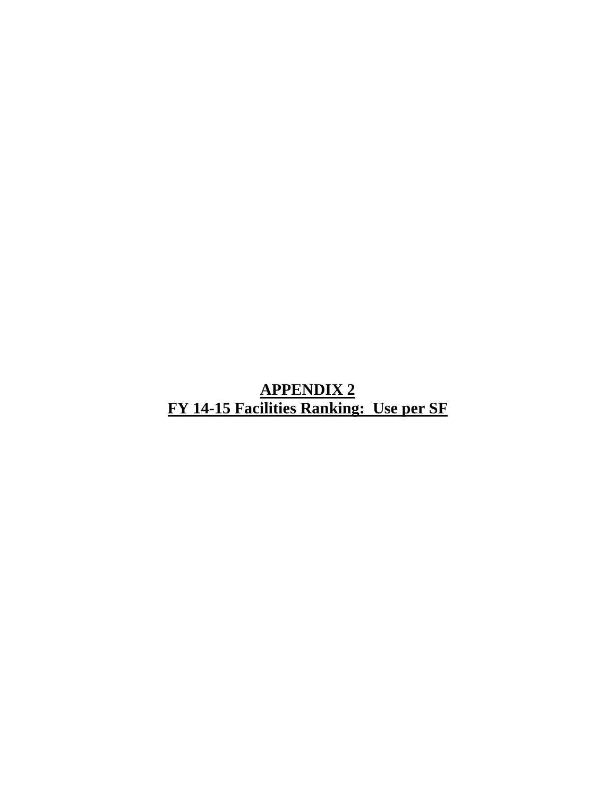**APPENDIX 2 FY 14-15 Facilities Ranking: Use per SF**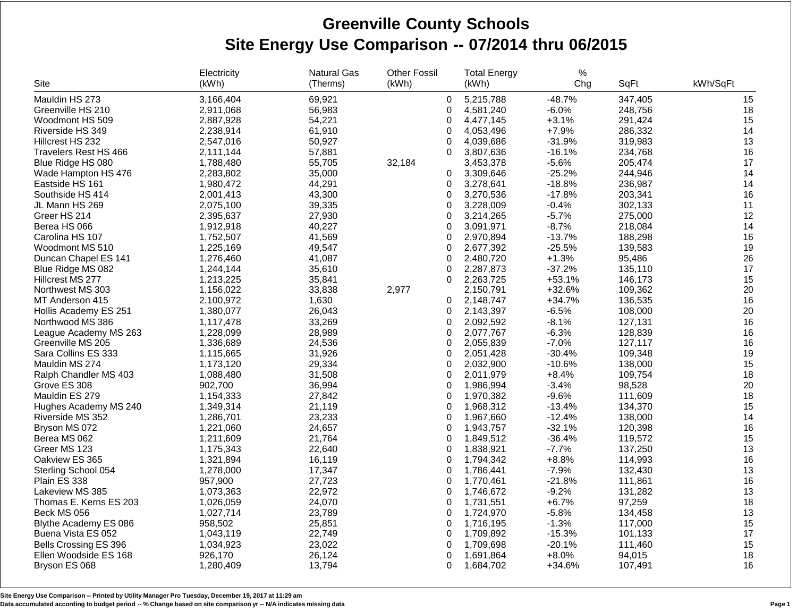## **Greenville County Schools Site Energy Use Comparison -- 07/2014 thru 06/2015**

|                        | Electricity | <b>Natural Gas</b> | <b>Other Fossil</b> |              | <b>Total Energy</b> | $\%$     |         |          |
|------------------------|-------------|--------------------|---------------------|--------------|---------------------|----------|---------|----------|
| Site                   | (kWh)       | (Therms)           | (kWh)               |              | (kWh)               | Chg      | SqFt    | kWh/SqFt |
| Mauldin HS 273         | 3,166,404   | 69,921             |                     | 0            | 5,215,788           | $-48.7%$ | 347,405 | 15       |
| Greenville HS 210      | 2,911,068   | 56,983             |                     | 0            | 4,581,240           | $-6.0%$  | 248,756 | 18       |
| Woodmont HS 509        | 2,887,928   | 54,221             |                     | 0            | 4,477,145           | $+3.1%$  | 291,424 | 15       |
| Riverside HS 349       | 2,238,914   | 61,910             |                     | $\Omega$     | 4,053,496           | $+7.9%$  | 286,332 | 14       |
| Hillcrest HS 232       | 2,547,016   | 50,927             |                     | 0            | 4,039,686           | $-31.9%$ | 319,983 | 13       |
| Travelers Rest HS 466  | 2,111,144   | 57,881             |                     | $\Omega$     | 3,807,636           | $-16.1%$ | 234,768 | 16       |
| Blue Ridge HS 080      | 1,788,480   | 55,705             | 32,184              |              | 3,453,378           | $-5.6%$  | 205,474 | 17       |
|                        |             |                    |                     |              |                     |          |         | 14       |
| Wade Hampton HS 476    | 2,283,802   | 35,000             |                     | 0            | 3,309,646           | $-25.2%$ | 244,946 |          |
| Eastside HS 161        | 1,980,472   | 44,291             |                     | $\Omega$     | 3,278,641           | $-18.8%$ | 236,987 | 14       |
| Southside HS 414       | 2,001,413   | 43,300             |                     | $\Omega$     | 3,270,536           | $-17.8%$ | 203,341 | 16       |
| JL Mann HS 269         | 2,075,100   | 39,335             |                     | $\Omega$     | 3,228,009           | $-0.4%$  | 302,133 | 11       |
| Greer HS 214           | 2,395,637   | 27,930             |                     | $\Omega$     | 3,214,265           | $-5.7%$  | 275,000 | 12       |
| Berea HS 066           | 1,912,918   | 40,227             |                     | 0            | 3,091,971           | $-8.7%$  | 218,084 | 14       |
| Carolina HS 107        | 1,752,507   | 41,569             |                     | 0            | 2,970,894           | $-13.7%$ | 188,298 | 16       |
| Woodmont MS 510        | 1,225,169   | 49,547             |                     | 0            | 2,677,392           | $-25.5%$ | 139,583 | 19       |
| Duncan Chapel ES 141   | 1,276,460   | 41,087             |                     | 0            | 2,480,720           | $+1.3%$  | 95,486  | 26       |
| Blue Ridge MS 082      | 1,244,144   | 35,610             |                     | $\mathbf 0$  | 2,287,873           | $-37.2%$ | 135,110 | 17       |
| Hillcrest MS 277       | 1,213,225   | 35,841             |                     | $\Omega$     | 2,263,725           | $+53.1%$ | 146,173 | 15       |
| Northwest MS 303       | 1,156,022   | 33,838             | 2,977               |              | 2,150,791           | +32.6%   | 109,362 | 20       |
| MT Anderson 415        | 2,100,972   | 1,630              |                     | 0            | 2,148,747           | $+34.7%$ | 136,535 | 16       |
| Hollis Academy ES 251  | 1,380,077   | 26,043             |                     | $\Omega$     | 2,143,397           | $-6.5%$  | 108,000 | 20       |
| Northwood MS 386       | 1,117,478   | 33,269             |                     | $\Omega$     | 2,092,592           | $-8.1%$  | 127,131 | 16       |
| League Academy MS 263  | 1,228,099   | 28,989             |                     | $\Omega$     | 2,077,767           | $-6.3%$  | 128,839 | 16       |
| Greenville MS 205      | 1,336,689   | 24,536             |                     | 0            | 2,055,839           | $-7.0%$  | 127,117 | 16       |
| Sara Collins ES 333    | 1,115,665   | 31,926             |                     | 0            | 2,051,428           | $-30.4%$ | 109,348 | 19       |
| Mauldin MS 274         | 1,173,120   | 29,334             |                     | 0            | 2,032,900           | $-10.6%$ | 138,000 | 15       |
| Ralph Chandler MS 403  | 1,088,480   | 31,508             |                     | $\Omega$     | 2,011,979           | $+8.4%$  | 109,754 | 18       |
|                        | 902,700     | 36,994             |                     |              | 1,986,994           | $-3.4%$  | 98,528  | 20       |
| Grove ES 308           |             |                    |                     | 0            |                     |          |         |          |
| Mauldin ES 279         | 1,154,333   | 27,842             |                     | 0            | 1,970,382           | $-9.6%$  | 111,609 | 18       |
| Hughes Academy MS 240  | 1,349,314   | 21,119             |                     | 0            | 1,968,312           | $-13.4%$ | 134,370 | 15       |
| Riverside MS 352       | 1,286,701   | 23,233             |                     | 0            | 1,967,660           | $-12.4%$ | 138,000 | 14       |
| Bryson MS 072          | 1,221,060   | 24,657             |                     | 0            | 1,943,757           | $-32.1%$ | 120,398 | 16       |
| Berea MS 062           | 1,211,609   | 21,764             |                     | $\Omega$     | 1,849,512           | $-36.4%$ | 119,572 | 15       |
| Greer MS 123           | 1,175,343   | 22,640             |                     | $\Omega$     | 1,838,921           | $-7.7%$  | 137,250 | 13       |
| Oakview ES 365         | 1,321,894   | 16,119             |                     | $\mathbf{0}$ | 1,794,342           | $+8.8%$  | 114,993 | 16       |
| Sterling School 054    | 1,278,000   | 17,347             |                     | 0            | 1,786,441           | $-7.9%$  | 132,430 | 13       |
| Plain ES 338           | 957,900     | 27,723             |                     | 0            | 1,770,461           | $-21.8%$ | 111,861 | 16       |
| Lakeview MS 385        | 1,073,363   | 22,972             |                     | 0            | 1,746,672           | $-9.2%$  | 131,282 | 13       |
| Thomas E. Kerns ES 203 | 1,026,059   | 24,070             |                     | 0            | 1,731,551           | $+6.7%$  | 97,259  | 18       |
| Beck MS 056            | 1,027,714   | 23,789             |                     | 0            | 1,724,970           | $-5.8%$  | 134,458 | 13       |
| Blythe Academy ES 086  | 958,502     | 25,851             |                     | 0            | 1,716,195           | $-1.3%$  | 117,000 | 15       |
| Buena Vista ES 052     | 1,043,119   | 22,749             |                     | $\Omega$     | 1,709,892           | $-15.3%$ | 101,133 | 17       |
| Bells Crossing ES 396  | 1,034,923   | 23,022             |                     | $\Omega$     | 1,709,698           | $-20.1%$ | 111,460 | 15       |
| Ellen Woodside ES 168  | 926,170     | 26,124             |                     | $\Omega$     | 1,691,864           | $+8.0%$  | 94,015  | 18       |
| Bryson ES 068          | 1,280,409   | 13,794             |                     | $\Omega$     | 1,684,702           | $+34.6%$ | 107,491 | 16       |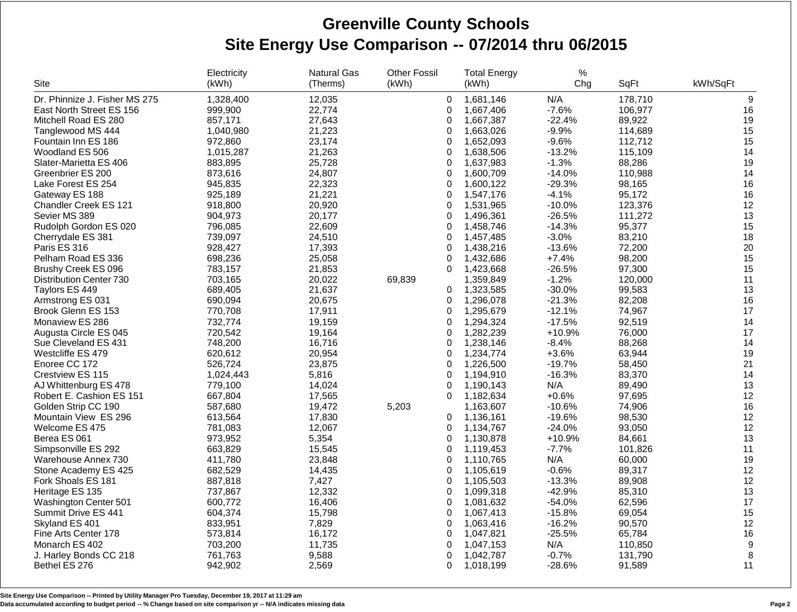## **Greenville County Schools Site Energy Use Comparison -- 07/2014 thru 06/2015**

|                                        | Electricity        | <b>Natural Gas</b> | <b>Other Fossil</b> |               | <b>Total Energy</b>    | $\%$     |         |                  |  |
|----------------------------------------|--------------------|--------------------|---------------------|---------------|------------------------|----------|---------|------------------|--|
| Site                                   | (kWh)              | (Therms)           | (kWh)               |               | (kWh)                  | Chg      | SqFt    | kWh/SqFt         |  |
| Dr. Phinnize J. Fisher MS 275          | 1,328,400          | 12,035             |                     | 0             | 1,681,146              | N/A      | 178,710 | 9                |  |
| East North Street ES 156               | 999,900            | 22,774             |                     | $\Omega$      | 1,667,406              | $-7.6%$  | 106,977 | 16               |  |
| Mitchell Road ES 280                   | 857,171            | 27,643             |                     | $\Omega$      | 1,667,387              | $-22.4%$ | 89,922  | 19               |  |
| Tanglewood MS 444                      | 1,040,980          | 21,223             |                     | 0             | 1,663,026              | $-9.9%$  | 114,689 | 15               |  |
| Fountain Inn ES 186                    | 972,860            | 23,174             |                     | $\Omega$      | 1,652,093              | $-9.6%$  | 112,712 | 15               |  |
| Woodland ES 506                        | 1,015,287          | 21,263             |                     | $\Omega$      | 1,638,506              | $-13.2%$ | 115,109 | 14               |  |
| Slater-Marietta ES 406                 | 883,895            | 25,728             |                     | $\Omega$      | 1,637,983              | $-1.3%$  | 88,286  | 19               |  |
| Greenbrier ES 200                      | 873,616            | 24,807             |                     | $\Omega$      | 1,600,709              | $-14.0%$ | 110,988 | 14               |  |
| Lake Forest ES 254                     | 945,835            | 22,323             |                     | $\Omega$      | 1,600,122              | $-29.3%$ | 98,165  | 16               |  |
| Gateway ES 188                         | 925,189            | 21,221             |                     | $\Omega$      | 1,547,176              | $-4.1%$  | 95,172  | 16               |  |
| Chandler Creek ES 121                  | 918,800            | 20,920             |                     | 0             | 1,531,965              | $-10.0%$ | 123,376 | 12               |  |
| Sevier MS 389                          | 904,973            | 20,177             |                     | 0             | 1,496,361              | $-26.5%$ | 111,272 | 13               |  |
| Rudolph Gordon ES 020                  | 796,085            | 22,609             |                     | $\Omega$      | 1,458,746              | $-14.3%$ | 95,377  | 15               |  |
| Cherrydale ES 381                      | 739,097            | 24,510             |                     | 0             | 1,457,485              | $-3.0%$  | 83,210  | 18               |  |
| Paris ES 316                           | 928,427            | 17,393             |                     | $\Omega$      | 1,438,216              | $-13.6%$ | 72,200  | 20               |  |
| Pelham Road ES 336                     | 698,236            | 25,058             |                     | $\Omega$      | 1,432,686              | $+7.4%$  | 98,200  | 15               |  |
| Brushy Creek ES 096                    | 783,157            | 21,853             |                     | 0             | 1,423,668              | $-26.5%$ | 97,300  | 15               |  |
| Distribution Center 730                | 703,165            | 20,022             | 69,839              |               | 1,359,849              | $-1.2%$  | 120,000 | 11               |  |
| Taylors ES 449                         | 689,405            | 21,637             |                     | 0             | 1,323,585              | $-30.0%$ | 99,583  | 13               |  |
|                                        | 690,094            | 20,675             |                     | 0             | 1,296,078              | $-21.3%$ | 82,208  | 16               |  |
| Armstrong ES 031<br>Brook Glenn ES 153 | 770,708            | 17,911             |                     | $\Omega$      | 1,295,679              | $-12.1%$ | 74,967  | 17               |  |
|                                        |                    |                    |                     | $\mathbf{0}$  | 1,294,324              | $-17.5%$ | 92,519  | 14               |  |
| Monaview ES 286                        | 732,774            | 19,159             |                     |               |                        | +10.9%   |         | 17               |  |
| Augusta Circle ES 045                  | 720,542<br>748,200 | 19,164<br>16,716   |                     | 0             | 1,282,239<br>1,238,146 | $-8.4%$  | 76,000  |                  |  |
| Sue Cleveland ES 431                   |                    |                    |                     | 0<br>$\Omega$ |                        |          | 88,268  | 14<br>19         |  |
| Westcliffe ES 479                      | 620,612            | 20,954             |                     |               | 1,234,774              | $+3.6%$  | 63,944  | 21               |  |
| Enoree CC 172                          | 526,724            | 23,875             |                     | 0             | 1,226,500              | $-19.7%$ | 58,450  | 14               |  |
| Crestview ES 115                       | 1,024,443          | 5,816              |                     | 0             | 1,194,910              | $-16.3%$ | 83,370  |                  |  |
| AJ Whittenburg ES 478                  | 779,100            | 14,024             |                     | $\Omega$      | 1,190,143              | N/A      | 89,490  | 13               |  |
| Robert E. Cashion ES 151               | 667,804            | 17,565             |                     | $\Omega$      | 1,182,634              | $+0.6%$  | 97,695  | 12               |  |
| Golden Strip CC 190                    | 587,680            | 19,472             | 5,203               |               | 1,163,607              | $-10.6%$ | 74,906  | 16               |  |
| Mountain View ES 296                   | 613,564            | 17,830             |                     | 0             | 1,136,161              | $-19.6%$ | 98,530  | 12               |  |
| Welcome ES 475                         | 781,083            | 12,067             |                     | $\mathbf{0}$  | 1,134,767              | $-24.0%$ | 93,050  | 12               |  |
| Berea ES 061                           | 973,952            | 5,354              |                     | 0             | 1,130,878              | +10.9%   | 84,661  | 13               |  |
| Simpsonville ES 292                    | 663,829            | 15,545             |                     | 0             | 1,119,453              | $-7.7%$  | 101,826 | 11               |  |
| Warehouse Annex 730                    | 411,780            | 23,848             |                     | $\Omega$      | 1,110,765              | N/A      | 60,000  | 19               |  |
| Stone Academy ES 425                   | 682,529            | 14,435             |                     | $\Omega$      | 1,105,619              | $-0.6%$  | 89,317  | 12               |  |
| Fork Shoals ES 181                     | 887,818            | 7,427              |                     | $\Omega$      | 1,105,503              | $-13.3%$ | 89,908  | 12               |  |
| Heritage ES 135                        | 737,867            | 12,332             |                     | 0             | 1,099,318              | $-42.9%$ | 85,310  | 13               |  |
| Washington Center 501                  | 600,772            | 16,406             |                     | 0             | 1,081,632              | $-54.0%$ | 62,596  | 17               |  |
| Summit Drive ES 441                    | 604,374            | 15,798             |                     | 0             | 1,067,413              | $-15.8%$ | 69,054  | 15               |  |
| Skyland ES 401                         | 833,951            | 7,829              |                     | 0             | 1,063,416              | $-16.2%$ | 90,570  | 12               |  |
| Fine Arts Center 178                   | 573,814            | 16,172             |                     | 0             | 1,047,821              | $-25.5%$ | 65,784  | 16               |  |
| Monarch ES 402                         | 703,200            | 11,735             |                     | 0             | 1,047,153              | N/A      | 110,850 | $\boldsymbol{9}$ |  |
| J. Harley Bonds CC 218                 | 761,763            | 9,588              |                     | $\Omega$      | 1,042,787              | $-0.7%$  | 131,790 | 8                |  |
| Bethel ES 276                          | 942,902            | 2,569              |                     | $\Omega$      | 1,018,199              | $-28.6%$ | 91,589  | 11               |  |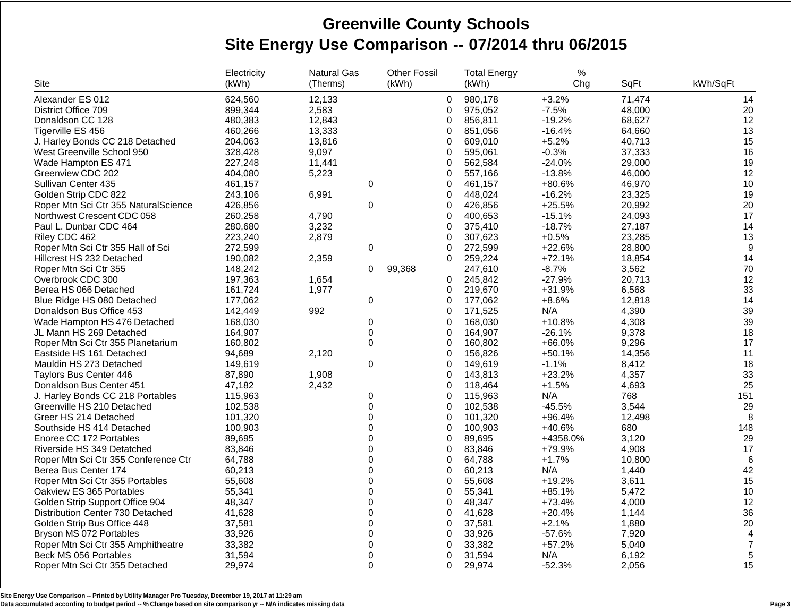## **Greenville County Schools Site Energy Use Comparison -- 07/2014 thru 06/2015**

|                                       | Electricity | <b>Natural Gas</b> |          | <b>Other Fossil</b> |              | <b>Total Energy</b> | %        |        |                |
|---------------------------------------|-------------|--------------------|----------|---------------------|--------------|---------------------|----------|--------|----------------|
| Site                                  | (kWh)       | (Therms)           |          | (kWh)               |              | (kWh)               | Chg      | SqFt   | kWh/SqFt       |
| Alexander ES 012                      | 624,560     | 12,133             |          |                     | 0            | 980.178             | $+3.2%$  | 71,474 | 14             |
| District Office 709                   | 899,344     | 2,583              |          |                     | 0            | 975,052             | $-7.5%$  | 48,000 | 20             |
| Donaldson CC 128                      | 480,383     | 12,843             |          |                     | 0            | 856,811             | $-19.2%$ | 68,627 | 12             |
| Tigerville ES 456                     | 460,266     | 13,333             |          |                     | $\Omega$     | 851,056             | $-16.4%$ | 64,660 | 13             |
| J. Harley Bonds CC 218 Detached       | 204,063     | 13,816             |          |                     | 0            | 609,010             | $+5.2%$  | 40,713 | 15             |
| West Greenville School 950            | 328,428     | 9,097              |          |                     | 0            | 595,061             | $-0.3%$  | 37,333 | 16             |
| Wade Hampton ES 471                   | 227,248     | 11,441             |          |                     | 0            | 562,584             | $-24.0%$ | 29,000 | 19             |
| Greenview CDC 202                     | 404,080     | 5,223              |          |                     | 0            | 557.166             | $-13.8%$ | 46,000 | 12             |
| Sullivan Center 435                   | 461,157     |                    | 0        |                     | 0            | 461,157             | +80.6%   | 46,970 | 10             |
| Golden Strip CDC 822                  | 243,106     | 6,991              |          |                     | 0            | 448,024             | $-16.2%$ | 23,325 | 19             |
| Roper Mtn Sci Ctr 355 Natural Science | 426,856     |                    | 0        |                     | 0            | 426,856             | $+25.5%$ | 20,992 | 20             |
| Northwest Crescent CDC 058            | 260,258     | 4,790              |          |                     | 0            | 400,653             | $-15.1%$ | 24,093 | 17             |
| Paul L. Dunbar CDC 464                | 280,680     | 3,232              |          |                     | $\mathbf{0}$ | 375,410             | $-18.7%$ | 27,187 | 14             |
| Riley CDC 462                         | 223,240     | 2,879              |          |                     | 0            | 307,623             | $+0.5%$  | 23,285 | 13             |
| Roper Mtn Sci Ctr 355 Hall of Sci     | 272,599     |                    | 0        |                     | 0            | 272,599             | $+22.6%$ | 28,800 | 9              |
| Hillcrest HS 232 Detached             | 190,082     | 2,359              |          |                     | $\Omega$     | 259,224             | $+72.1%$ | 18,854 | 14             |
| Roper Mtn Sci Ctr 355                 | 148,242     |                    | $\Omega$ | 99,368              |              | 247,610             | $-8.7%$  | 3,562  | 70             |
| Overbrook CDC 300                     | 197,363     | 1,654              |          |                     | 0            | 245,842             | $-27.9%$ | 20,713 | 12             |
| Berea HS 066 Detached                 | 161,724     | 1,977              |          |                     | $\Omega$     | 219,670             | +31.9%   | 6,568  | 33             |
| Blue Ridge HS 080 Detached            | 177,062     |                    | $\Omega$ |                     | $\mathbf{0}$ | 177,062             | $+8.6%$  | 12,818 | 14             |
| Donaldson Bus Office 453              | 142,449     | 992                |          |                     | 0            | 171,525             | N/A      | 4,390  | 39             |
| Wade Hampton HS 476 Detached          | 168,030     |                    | $\Omega$ |                     | $\Omega$     | 168.030             | $+10.8%$ | 4,308  | 39             |
| JL Mann HS 269 Detached               | 164,907     |                    | $\Omega$ |                     | 0            | 164,907             | $-26.1%$ | 9,378  | 18             |
| Roper Mtn Sci Ctr 355 Planetarium     | 160,802     |                    | $\Omega$ |                     | 0            | 160,802             | +66.0%   | 9,296  | 17             |
| Eastside HS 161 Detached              | 94,689      | 2,120              |          |                     | $\Omega$     | 156,826             | $+50.1%$ | 14,356 | 11             |
| Mauldin HS 273 Detached               | 149,619     |                    | 0        |                     | 0            | 149,619             | $-1.1%$  | 8,412  | 18             |
| Taylors Bus Center 446                | 87,890      | 1,908              |          |                     | $\mathbf{0}$ | 143,813             | $+23.2%$ | 4,357  | 33             |
|                                       |             |                    |          |                     | $\mathbf 0$  |                     | $+1.5%$  | 4,693  | 25             |
| Donaldson Bus Center 451              | 47,182      | 2,432              | $\Omega$ |                     | $\Omega$     | 118,464<br>115,963  | N/A      |        |                |
| J. Harley Bonds CC 218 Portables      | 115,963     |                    | $\Omega$ |                     |              |                     |          | 768    | 151            |
| Greenville HS 210 Detached            | 102,538     |                    |          |                     | 0            | 102,538             | $-45.5%$ | 3,544  | 29             |
| Greer HS 214 Detached                 | 101,320     |                    | $\Omega$ |                     | $\mathbf 0$  | 101,320             | +96.4%   | 12,498 | 8              |
| Southside HS 414 Detached             | 100,903     |                    | $\Omega$ |                     | $\Omega$     | 100,903             | +40.6%   | 680    | 148            |
| Enoree CC 172 Portables               | 89,695      |                    | $\Omega$ |                     | 0            | 89,695              | +4358.0% | 3,120  | 29             |
| Riverside HS 349 Detatched            | 83,846      |                    | $\Omega$ |                     | $\Omega$     | 83,846              | +79.9%   | 4,908  | 17             |
| Roper Mtn Sci Ctr 355 Conference Ctr  | 64,788      |                    | $\Omega$ |                     | 0            | 64,788              | $+1.7%$  | 10,800 | $\,6\,$        |
| Berea Bus Center 174                  | 60,213      |                    | $\Omega$ |                     | $\Omega$     | 60,213              | N/A      | 1,440  | 42             |
| Roper Mtn Sci Ctr 355 Portables       | 55,608      |                    | $\Omega$ |                     | 0            | 55,608              | $+19.2%$ | 3,611  | 15             |
| Oakview ES 365 Portables              | 55,341      |                    | $\Omega$ |                     | 0            | 55,341              | $+85.1%$ | 5,472  | $10$           |
| Golden Strip Support Office 904       | 48,347      |                    | $\Omega$ |                     | $\Omega$     | 48,347              | $+73.4%$ | 4,000  | 12             |
| Distribution Center 730 Detached      | 41,628      |                    | $\Omega$ |                     | 0            | 41,628              | $+20.4%$ | 1,144  | 36             |
| Golden Strip Bus Office 448           | 37,581      |                    | $\Omega$ |                     | $\Omega$     | 37,581              | $+2.1%$  | 1,880  | $20\,$         |
| Bryson MS 072 Portables               | 33,926      |                    | $\Omega$ |                     | 0            | 33,926              | $-57.6%$ | 7,920  | $\overline{4}$ |
| Roper Mtn Sci Ctr 355 Amphitheatre    | 33,382      |                    | $\Omega$ |                     | 0            | 33,382              | $+57.2%$ | 5,040  | $\overline{7}$ |
| Beck MS 056 Portables                 | 31,594      |                    | $\Omega$ |                     | 0            | 31,594              | N/A      | 6,192  | $\mathbf 5$    |
| Roper Mtn Sci Ctr 355 Detached        | 29,974      |                    | $\Omega$ |                     | 0            | 29,974              | $-52.3%$ | 2,056  | 15             |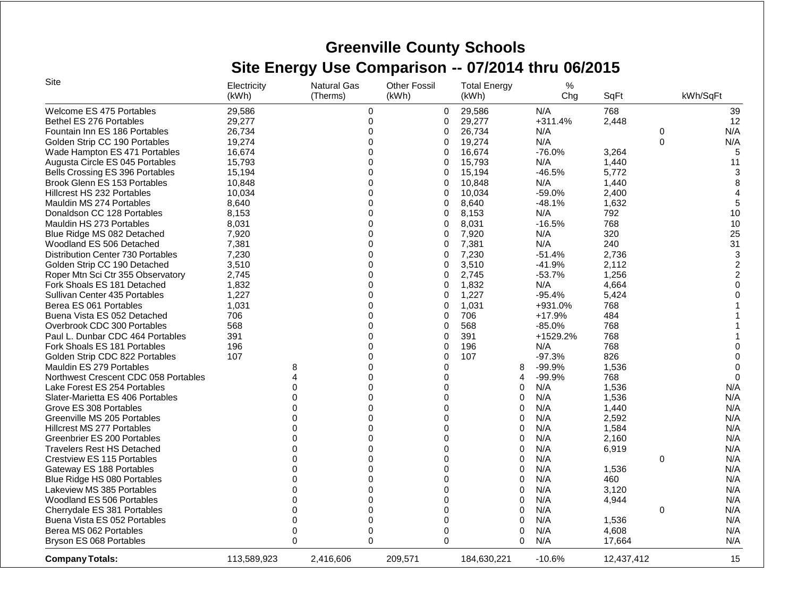# **Greenville County Schools Site Energy Use Comparison -- 07/2014 thru 06/2015**

| Site                                 | Electricity<br>(kWh) | <b>Natural Gas</b><br>(Therms) | <b>Other Fossil</b><br>(kWh) |          | <b>Total Energy</b><br>(kWh) | $\%$<br>Chg     | SqFt       | kWh/SqFt     |                  |
|--------------------------------------|----------------------|--------------------------------|------------------------------|----------|------------------------------|-----------------|------------|--------------|------------------|
| Welcome ES 475 Portables             | 29,586               |                                | 0                            | 0        | 29,586                       | N/A             | 768        |              | 39               |
| Bethel ES 276 Portables              | 29,277               |                                | 0                            | 0        | 29,277                       | $+311.4%$       | 2,448      |              | 12               |
| Fountain Inn ES 186 Portables        | 26,734               |                                | $\Omega$                     | 0        | 26,734                       | N/A             |            | 0            | N/A              |
| Golden Strip CC 190 Portables        | 19,274               |                                | 0                            | 0        | 19,274                       | N/A             |            | $\mathbf{0}$ | N/A              |
| Wade Hampton ES 471 Portables        | 16,674               |                                | $\Omega$                     | 0        | 16,674                       | $-76.0%$        | 3,264      |              | 5                |
| Augusta Circle ES 045 Portables      | 15,793               |                                | 0                            | 0        | 15,793                       | N/A             | 1,440      |              | 11               |
| Bells Crossing ES 396 Portables      | 15,194               |                                | O                            | $\Omega$ | 15,194                       | $-46.5%$        | 5,772      |              | 3                |
| Brook Glenn ES 153 Portables         | 10,848               |                                | O                            | 0        | 10,848                       | N/A             | 1,440      |              | 8                |
| Hillcrest HS 232 Portables           | 10,034               |                                | O                            | 0        | 10,034                       | $-59.0%$        | 2,400      |              | 4                |
| Mauldin MS 274 Portables             | 8,640                |                                | O                            | 0        | 8,640                        | $-48.1%$        | 1,632      |              | 5                |
| Donaldson CC 128 Portables           | 8,153                |                                | 0                            | 0        | 8,153                        | N/A             | 792        |              | 10               |
| Mauldin HS 273 Portables             | 8,031                |                                |                              | 0        | 8,031                        | $-16.5%$        | 768        |              | 10               |
| Blue Ridge MS 082 Detached           | 7,920                |                                |                              | 0        | 7,920                        | N/A             | 320        |              | 25               |
| Woodland ES 506 Detached             | 7,381                |                                | O                            | 0        | 7,381                        | N/A             | 240        |              | 31               |
| Distribution Center 730 Portables    | 7,230                |                                | 0                            | 0        | 7,230                        | $-51.4%$        | 2,736      |              | 3                |
| Golden Strip CC 190 Detached         | 3,510                |                                | O                            | 0        | 3,510                        | $-41.9%$        | 2,112      |              | $\boldsymbol{2}$ |
| Roper Mtn Sci Ctr 355 Observatory    | 2,745                |                                | 0                            | 0        | 2,745                        | $-53.7%$        | 1,256      |              | $\overline{c}$   |
| Fork Shoals ES 181 Detached          | 1,832                |                                | 0                            | 0        | 1,832                        | N/A             | 4,664      |              | 0                |
| Sullivan Center 435 Portables        | 1,227                |                                | $\Omega$                     | 0        | 1,227                        | $-95.4%$        | 5,424      |              | 0                |
| Berea ES 061 Portables               | 1,031                |                                | O                            | 0        | 1,031                        | +931.0%         | 768        |              | 1                |
| Buena Vista ES 052 Detached          | 706                  |                                | U                            | 0        | 706                          | $+17.9%$        | 484        |              |                  |
| Overbrook CDC 300 Portables          | 568                  |                                |                              | 0        | 568                          | $-85.0%$        | 768        |              |                  |
| Paul L. Dunbar CDC 464 Portables     | 391                  |                                |                              | 0        | 391                          | +1529.2%        | 768        |              |                  |
| Fork Shoals ES 181 Portables         | 196                  |                                |                              | 0        | 196                          | N/A             | 768        |              | 0                |
| Golden Strip CDC 822 Portables       | 107                  |                                |                              | 0        | 107                          | $-97.3%$        | 826        |              | $\mathbf 0$      |
| Mauldin ES 279 Portables             |                      | 8                              | 0                            | 0        |                              | $-99.9%$<br>8   | 1,536      |              | $\mathbf 0$      |
| Northwest Crescent CDC 058 Portables |                      |                                | $\Omega$                     | 0        |                              | $-99.9%$<br>4   | 768        |              | $\Omega$         |
| Lake Forest ES 254 Portables         |                      | $\Omega$                       | O                            | 0        |                              | N/A<br>$\Omega$ | 1,536      |              | N/A              |
| Slater-Marietta ES 406 Portables     |                      |                                | 0                            | 0        |                              | N/A<br>$\Omega$ | 1,536      |              | N/A              |
| Grove ES 308 Portables               |                      |                                | O                            | ŋ        |                              | N/A<br>$\Omega$ | 1,440      |              | N/A              |
| Greenville MS 205 Portables          |                      |                                | 0                            | 0        |                              | N/A<br>$\Omega$ | 2,592      |              | N/A              |
| <b>Hillcrest MS 277 Portables</b>    |                      |                                | O                            | 0        |                              | N/A<br>$\Omega$ | 1,584      |              | N/A              |
| Greenbrier ES 200 Portables          |                      |                                | O                            | 0        |                              | N/A<br>0        | 2,160      |              | N/A              |
| <b>Travelers Rest HS Detached</b>    |                      |                                | $\Omega$                     | $\Omega$ |                              | N/A<br>$\Omega$ | 6,919      |              | N/A              |
| Crestview ES 115 Portables           |                      |                                | O                            | O        |                              | N/A<br>0        |            | 0            | N/A              |
| Gateway ES 188 Portables             |                      |                                | 0                            |          |                              | N/A<br>0        | 1,536      |              | N/A              |
| Blue Ridge HS 080 Portables          |                      |                                | 0                            | 0        |                              | N/A<br>$\Omega$ | 460        |              | N/A              |
| Lakeview MS 385 Portables            |                      |                                | 0                            |          |                              | $\Omega$<br>N/A | 3,120      |              | N/A              |
| Woodland ES 506 Portables            |                      |                                | O                            | 0        |                              | N/A<br>0        | 4,944      |              | N/A              |
| Cherrydale ES 381 Portables          |                      | 0                              | $\Omega$                     | 0        |                              | N/A<br>0        |            | 0            | N/A              |
| Buena Vista ES 052 Portables         |                      | $\Omega$                       | $\Omega$                     | 0        |                              | $\Omega$<br>N/A | 1,536      |              | N/A              |
| Berea MS 062 Portables               |                      | $\mathbf 0$                    | 0                            | 0        |                              | N/A<br>$\Omega$ | 4,608      |              | N/A              |
| Bryson ES 068 Portables              |                      | $\Omega$                       | $\mathbf{0}$                 | 0        |                              | N/A<br>0        | 17,664     |              | N/A              |
| <b>Company Totals:</b>               | 113,589,923          | 2,416,606                      | 209,571                      |          | 184,630,221                  | $-10.6%$        | 12,437,412 |              | 15               |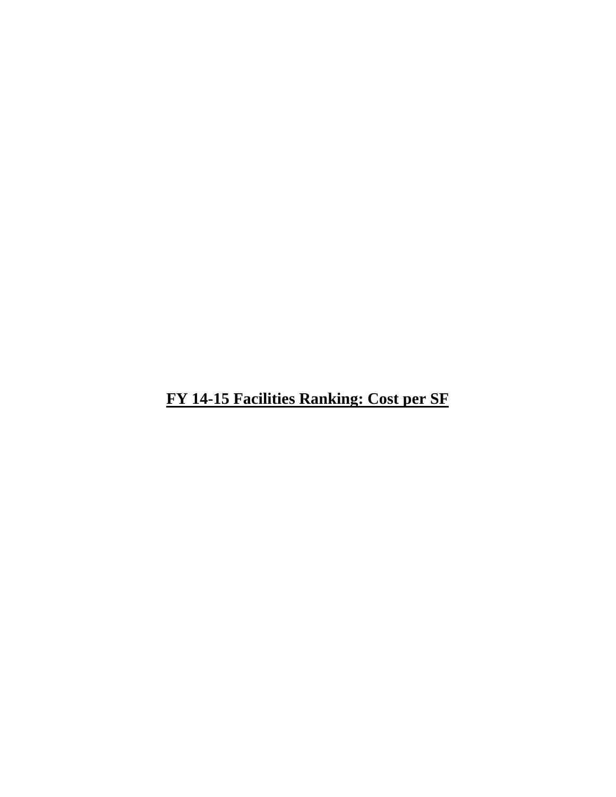# **FY 14-15 Facilities Ranking: Cost per SF**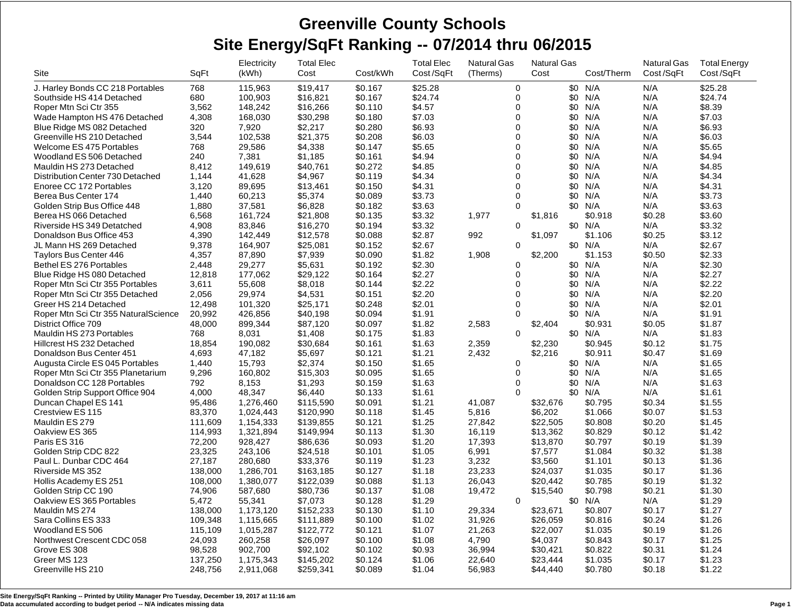| Cost<br>(Therms)<br>\$0 N/A<br>768<br>\$19,417<br>\$0.167<br>\$25.28<br>0<br>N/A<br>\$25.28<br>J. Harley Bonds CC 218 Portables<br>115,963<br>$\mathbf 0$<br>Southside HS 414 Detached<br>680<br>100,903<br>\$16,821<br>\$0.167<br>\$24.74<br>\$0<br>N/A<br>N/A<br>\$24.74<br>3,562<br>0<br>\$0<br>N/A<br>N/A<br>Roper Mtn Sci Ctr 355<br>148,242<br>\$16,266<br>\$0.110<br>\$4.57<br>\$8.39<br>4,308<br>0<br>\$0<br>N/A<br>168,030<br>\$30,298<br>\$0.180<br>\$7.03<br>N/A<br>\$7.03<br>Wade Hampton HS 476 Detached<br>320<br>7,920<br>\$2,217<br>\$0.280<br>\$6.93<br>0<br>\$0<br>N/A<br>N/A<br>\$6.93<br>Blue Ridge MS 082 Detached<br>\$0<br>N/A<br>Greenville HS 210 Detached<br>3,544<br>102,538<br>\$21,375<br>\$0.208<br>\$6.03<br>0<br>N/A<br>\$6.03<br>\$5.65<br>$\mathbf 0$<br>Welcome ES 475 Portables<br>768<br>29,586<br>\$4,338<br>\$0.147<br>\$0<br>N/A<br>N/A<br>\$5.65<br>7,381<br>\$0.161<br>0<br>\$0<br>N/A<br>Woodland ES 506 Detached<br>240<br>\$1,185<br>\$4.94<br>N/A<br>\$4.94<br>8,412<br>\$0.272<br>\$4.85<br>0<br>\$0<br>N/A<br>N/A<br>Mauldin HS 273 Detached<br>149,619<br>\$40,761<br>\$4.85<br>$\mathbf 0$<br>\$0<br>N/A<br>N/A<br>\$4.34<br>1,144<br>41,628<br>\$4,967<br>\$0.119<br>\$4.34<br>Distribution Center 730 Detached<br>\$0<br>N/A<br>Enoree CC 172 Portables<br>3,120<br>89,695<br>\$13,461<br>\$0.150<br>\$4.31<br>0<br>N/A<br>\$4.31<br>1,440<br>\$5,374<br>\$0.089<br>\$3.73<br>$\Omega$<br>\$0<br>N/A<br>N/A<br>\$3.73<br>Berea Bus Center 174<br>60,213<br>37,581<br>\$6,828<br>\$3.63<br>\$0<br>N/A<br>N/A<br>Golden Strip Bus Office 448<br>1,880<br>\$0.182<br>$\Omega$<br>\$3.63<br>6,568<br>\$0.135<br>\$3.32<br>\$1,816<br>\$0.918<br>\$0.28<br>\$3.60<br>Berea HS 066 Detached<br>161,724<br>\$21,808<br>1,977<br>0<br>4,908<br>83,846<br>\$0.194<br>\$3.32<br>\$0 N/A<br>N/A<br>\$3.32<br>Riverside HS 349 Detatched<br>\$16,270<br>4,390<br>142,449<br>\$12,578<br>\$0.088<br>\$2.87<br>992<br>\$1,097<br>\$1.106<br>\$0.25<br>\$3.12<br>Donaldson Bus Office 453<br>\$2.67<br>0<br>N/A<br>JL Mann HS 269 Detached<br>9,378<br>164,907<br>\$25,081<br>\$0.152<br>\$0 N/A<br>\$2.67<br>87,890<br>\$2,200<br>4,357<br>\$7,939<br>\$0.090<br>\$1.82<br>\$1.153<br>\$0.50<br>\$2.33<br>Taylors Bus Center 446<br>1,908<br>29,277<br>\$5,631<br>\$0.192<br>\$2.30<br>$\overline{0}$<br>\$0<br>N/A<br>N/A<br>\$2.30<br>Bethel ES 276 Portables<br>2,448<br>12,818<br>177,062<br>\$29,122<br>\$0.164<br>\$2.27<br>$\mathbf 0$<br>\$0<br>N/A<br>N/A<br>\$2.27<br>Blue Ridge HS 080 Detached<br>\$0.144<br>\$2.22<br>0<br>\$0<br>N/A<br>3,611<br>55,608<br>\$8,018<br>N/A<br>\$2.22<br>Roper Mtn Sci Ctr 355 Portables<br>\$2.20<br>$\mathbf 0$<br>\$0<br>N/A<br>\$2.20<br>2,056<br>29,974<br>\$4,531<br>\$0.151<br>N/A<br>Roper Mtn Sci Ctr 355 Detached<br>\$25,171<br>\$0.248<br>\$2.01<br>$\Omega$<br>\$0<br>N/A<br>N/A<br>\$2.01<br>Greer HS 214 Detached<br>12,498<br>101,320<br>$\Omega$<br>N/A<br>N/A<br>Roper Mtn Sci Ctr 355 NaturalScience<br>20,992<br>426,856<br>\$40,198<br>\$0.094<br>\$1.91<br>\$0<br>\$1.91<br>48,000<br>899,344<br>\$87,120<br>\$0.097<br>\$1.82<br>\$2,404<br>\$0.931<br>\$0.05<br>\$1.87<br>District Office 709<br>2,583<br>$\mathbf 0$<br>\$0<br>Mauldin HS 273 Portables<br>768<br>8,031<br>\$1,408<br>\$0.175<br>\$1.83<br>N/A<br>N/A<br>\$1.83<br>\$0.12<br>\$1.75<br>Hillcrest HS 232 Detached<br>18,854<br>190,082<br>\$30,684<br>\$0.161<br>\$1.63<br>2,359<br>\$2,230<br>\$0.945<br>Donaldson Bus Center 451<br>4,693<br>47,182<br>\$5,697<br>\$0.121<br>\$1.21<br>2,432<br>\$2,216<br>\$0.911<br>\$0.47<br>\$1.69<br>1,440<br>15,793<br>\$2,374<br>\$0.150<br>\$1.65<br>0<br>\$0<br>N/A<br>N/A<br>\$1.65<br>Augusta Circle ES 045 Portables<br>9,296<br>\$0.095<br>$\mathbf 0$<br>\$0<br>N/A<br>N/A<br>\$1.65<br>Roper Mtn Sci Ctr 355 Planetarium<br>160,802<br>\$15,303<br>\$1.65<br>Donaldson CC 128 Portables<br>792<br>8,153<br>\$1,293<br>\$0.159<br>\$1.63<br>$\mathbf 0$<br>\$0<br>N/A<br>N/A<br>\$1.63<br>N/A<br>Golden Strip Support Office 904<br>4,000<br>48,347<br>\$6,440<br>\$0.133<br>\$1.61<br>$\Omega$<br>\$0<br>N/A<br>\$1.61<br>\$0.091<br>\$1.21<br>\$0.795<br>\$1.55<br>Duncan Chapel ES 141<br>95,486<br>1,276,460<br>\$115,590<br>41,087<br>\$32,676<br>\$0.34<br>83,370<br>5,816<br>\$6,202<br>\$1.066<br>\$0.07<br>\$1.53<br>Crestview ES 115<br>1,024,443<br>\$120,990<br>\$0.118<br>\$1.45<br>Mauldin ES 279<br>111,609<br>1,154,333<br>\$139,855<br>\$0.121<br>\$1.25<br>27,842<br>\$22,505<br>\$0.808<br>\$0.20<br>\$1.45<br>114,993<br>1,321,894<br>\$0.113<br>\$1.30<br>\$0.829<br>\$0.12<br>\$1.42<br>Oakview ES 365<br>\$149,994<br>16,119<br>\$13,362<br>\$0.093<br>\$1.39<br>Paris ES 316<br>72,200<br>928,427<br>\$86,636<br>\$1.20<br>17,393<br>\$13,870<br>\$0.797<br>\$0.19<br>6,991<br>\$1.38<br>Golden Strip CDC 822<br>23,325<br>243,106<br>\$24,518<br>\$0.101<br>\$1.05<br>\$7,577<br>\$1.084<br>\$0.32<br>27,187<br>\$1.36<br>280,680<br>\$33,376<br>\$0.119<br>\$1.23<br>3,232<br>\$3,560<br>\$1.101<br>\$0.13<br>Paul L. Dunbar CDC 464<br>138,000<br>\$0.127<br>\$1.18<br>23,233<br>\$24,037<br>\$1.035<br>\$0.17<br>\$1.36<br>Riverside MS 352<br>1,286,701<br>\$163,185<br>\$1.32<br>108,000<br>\$0.088<br>\$1.13<br>26,043<br>\$20,442<br>\$0.785<br>\$0.19<br>Hollis Academy ES 251<br>1,380,077<br>\$122,039<br>74,906<br>587,680<br>\$80,736<br>\$0.137<br>\$1.08<br>\$15,540<br>\$0.798<br>\$0.21<br>\$1.30<br>Golden Strip CC 190<br>19,472<br>\$0.128<br>\$1.29<br>$\mathbf 0$<br>\$0 N/A<br>\$1.29<br>Oakview ES 365 Portables<br>5,472<br>55,341<br>\$7,073<br>N/A<br>\$0.130<br>\$1.10<br>\$0.17<br>\$1.27<br>Mauldin MS 274<br>138,000<br>1,173,120<br>\$152,233<br>29,334<br>\$23,671<br>\$0.807<br>\$0.100<br>31,926<br>\$1.26<br>Sara Collins ES 333<br>109,348<br>1,115,665<br>\$111,889<br>\$1.02<br>\$26,059<br>\$0.816<br>\$0.24<br>115,109<br>\$122,772<br>\$0.121<br>\$1.07<br>21,263<br>\$22,007<br>\$1.035<br>\$0.19<br>\$1.26<br>Woodland ES 506<br>1,015,287<br>260,258<br>\$26,097<br>\$0.100<br>4,790<br>\$0.843<br>\$1.25<br>Northwest Crescent CDC 058<br>24,093<br>\$1.08<br>\$4,037<br>\$0.17<br>Grove ES 308<br>98,528<br>902,700<br>\$92,102<br>\$0.102<br>\$0.93<br>36,994<br>\$30,421<br>\$0.822<br>\$0.31<br>\$1.24<br>\$0.124<br>\$23,444<br>\$1.23<br>Greer MS 123<br>137,250<br>1,175,343<br>\$145,202<br>\$1.06<br>22,640<br>\$1.035<br>\$0.17<br>\$0.089<br>\$1.22<br>Greenville HS 210<br>248,756<br>2,911,068<br>\$259,341<br>\$1.04<br>56,983<br>\$44,440<br>\$0.780<br>\$0.18 |      |      | Electricity | <b>Total Elec</b> |          | <b>Total Elec</b> | <b>Natural Gas</b> | Natural Gas |            | <b>Natural Gas</b> | <b>Total Energy</b> |
|-------------------------------------------------------------------------------------------------------------------------------------------------------------------------------------------------------------------------------------------------------------------------------------------------------------------------------------------------------------------------------------------------------------------------------------------------------------------------------------------------------------------------------------------------------------------------------------------------------------------------------------------------------------------------------------------------------------------------------------------------------------------------------------------------------------------------------------------------------------------------------------------------------------------------------------------------------------------------------------------------------------------------------------------------------------------------------------------------------------------------------------------------------------------------------------------------------------------------------------------------------------------------------------------------------------------------------------------------------------------------------------------------------------------------------------------------------------------------------------------------------------------------------------------------------------------------------------------------------------------------------------------------------------------------------------------------------------------------------------------------------------------------------------------------------------------------------------------------------------------------------------------------------------------------------------------------------------------------------------------------------------------------------------------------------------------------------------------------------------------------------------------------------------------------------------------------------------------------------------------------------------------------------------------------------------------------------------------------------------------------------------------------------------------------------------------------------------------------------------------------------------------------------------------------------------------------------------------------------------------------------------------------------------------------------------------------------------------------------------------------------------------------------------------------------------------------------------------------------------------------------------------------------------------------------------------------------------------------------------------------------------------------------------------------------------------------------------------------------------------------------------------------------------------------------------------------------------------------------------------------------------------------------------------------------------------------------------------------------------------------------------------------------------------------------------------------------------------------------------------------------------------------------------------------------------------------------------------------------------------------------------------------------------------------------------------------------------------------------------------------------------------------------------------------------------------------------------------------------------------------------------------------------------------------------------------------------------------------------------------------------------------------------------------------------------------------------------------------------------------------------------------------------------------------------------------------------------------------------------------------------------------------------------------------------------------------------------------------------------------------------------------------------------------------------------------------------------------------------------------------------------------------------------------------------------------------------------------------------------------------------------------------------------------------------------------------------------------------------------------------------------------------------------------------------------------------------------------------------------------------------------------------------------------------------------------------------------------------------------------------------------------------------------------------------------------------------------------------------------------------------------------------------------------------------------------------------------------------------------------------------------------------------------------------------------------------------------------------------------------------------------------------------------------------------------------------------------------------------------------------------------------------------------------------------------------------------------------------------------------------------------------------------------------------------------------------------------------------------------------------------------------------------------------------------------------------------------------------------------------------------------------------------------------------------------------------------------------------------------------------------------------------------------------------------------------------------------------------------------------------------------------------------------------------------------------------------------------------------------------------------------------------------------------------------------------------------------------------------------------------------------------------------------------------------------------------------------------------------------------------------------------------------------------------------------------------------|------|------|-------------|-------------------|----------|-------------------|--------------------|-------------|------------|--------------------|---------------------|
|                                                                                                                                                                                                                                                                                                                                                                                                                                                                                                                                                                                                                                                                                                                                                                                                                                                                                                                                                                                                                                                                                                                                                                                                                                                                                                                                                                                                                                                                                                                                                                                                                                                                                                                                                                                                                                                                                                                                                                                                                                                                                                                                                                                                                                                                                                                                                                                                                                                                                                                                                                                                                                                                                                                                                                                                                                                                                                                                                                                                                                                                                                                                                                                                                                                                                                                                                                                                                                                                                                                                                                                                                                                                                                                                                                                                                                                                                                                                                                                                                                                                                                                                                                                                                                                                                                                                                                                                                                                                                                                                                                                                                                                                                                                                                                                                                                                                                                                                                                                                                                                                                                                                                                                                                                                                                                                                                                                                                                                                                                                                                                                                                                                                                                                                                                                                                                                                                                                                                                                                                                                                                                                                                                                                                                                                                                                                                                                                                                                                                                                                                                               | Site | SqFt | (kWh)       | Cost              | Cost/kWh | Cost/SqFt         |                    |             | Cost/Therm | Cost/SqFt          | Cost/SqFt           |
|                                                                                                                                                                                                                                                                                                                                                                                                                                                                                                                                                                                                                                                                                                                                                                                                                                                                                                                                                                                                                                                                                                                                                                                                                                                                                                                                                                                                                                                                                                                                                                                                                                                                                                                                                                                                                                                                                                                                                                                                                                                                                                                                                                                                                                                                                                                                                                                                                                                                                                                                                                                                                                                                                                                                                                                                                                                                                                                                                                                                                                                                                                                                                                                                                                                                                                                                                                                                                                                                                                                                                                                                                                                                                                                                                                                                                                                                                                                                                                                                                                                                                                                                                                                                                                                                                                                                                                                                                                                                                                                                                                                                                                                                                                                                                                                                                                                                                                                                                                                                                                                                                                                                                                                                                                                                                                                                                                                                                                                                                                                                                                                                                                                                                                                                                                                                                                                                                                                                                                                                                                                                                                                                                                                                                                                                                                                                                                                                                                                                                                                                                                               |      |      |             |                   |          |                   |                    |             |            |                    |                     |
|                                                                                                                                                                                                                                                                                                                                                                                                                                                                                                                                                                                                                                                                                                                                                                                                                                                                                                                                                                                                                                                                                                                                                                                                                                                                                                                                                                                                                                                                                                                                                                                                                                                                                                                                                                                                                                                                                                                                                                                                                                                                                                                                                                                                                                                                                                                                                                                                                                                                                                                                                                                                                                                                                                                                                                                                                                                                                                                                                                                                                                                                                                                                                                                                                                                                                                                                                                                                                                                                                                                                                                                                                                                                                                                                                                                                                                                                                                                                                                                                                                                                                                                                                                                                                                                                                                                                                                                                                                                                                                                                                                                                                                                                                                                                                                                                                                                                                                                                                                                                                                                                                                                                                                                                                                                                                                                                                                                                                                                                                                                                                                                                                                                                                                                                                                                                                                                                                                                                                                                                                                                                                                                                                                                                                                                                                                                                                                                                                                                                                                                                                                               |      |      |             |                   |          |                   |                    |             |            |                    |                     |
|                                                                                                                                                                                                                                                                                                                                                                                                                                                                                                                                                                                                                                                                                                                                                                                                                                                                                                                                                                                                                                                                                                                                                                                                                                                                                                                                                                                                                                                                                                                                                                                                                                                                                                                                                                                                                                                                                                                                                                                                                                                                                                                                                                                                                                                                                                                                                                                                                                                                                                                                                                                                                                                                                                                                                                                                                                                                                                                                                                                                                                                                                                                                                                                                                                                                                                                                                                                                                                                                                                                                                                                                                                                                                                                                                                                                                                                                                                                                                                                                                                                                                                                                                                                                                                                                                                                                                                                                                                                                                                                                                                                                                                                                                                                                                                                                                                                                                                                                                                                                                                                                                                                                                                                                                                                                                                                                                                                                                                                                                                                                                                                                                                                                                                                                                                                                                                                                                                                                                                                                                                                                                                                                                                                                                                                                                                                                                                                                                                                                                                                                                                               |      |      |             |                   |          |                   |                    |             |            |                    |                     |
|                                                                                                                                                                                                                                                                                                                                                                                                                                                                                                                                                                                                                                                                                                                                                                                                                                                                                                                                                                                                                                                                                                                                                                                                                                                                                                                                                                                                                                                                                                                                                                                                                                                                                                                                                                                                                                                                                                                                                                                                                                                                                                                                                                                                                                                                                                                                                                                                                                                                                                                                                                                                                                                                                                                                                                                                                                                                                                                                                                                                                                                                                                                                                                                                                                                                                                                                                                                                                                                                                                                                                                                                                                                                                                                                                                                                                                                                                                                                                                                                                                                                                                                                                                                                                                                                                                                                                                                                                                                                                                                                                                                                                                                                                                                                                                                                                                                                                                                                                                                                                                                                                                                                                                                                                                                                                                                                                                                                                                                                                                                                                                                                                                                                                                                                                                                                                                                                                                                                                                                                                                                                                                                                                                                                                                                                                                                                                                                                                                                                                                                                                                               |      |      |             |                   |          |                   |                    |             |            |                    |                     |
|                                                                                                                                                                                                                                                                                                                                                                                                                                                                                                                                                                                                                                                                                                                                                                                                                                                                                                                                                                                                                                                                                                                                                                                                                                                                                                                                                                                                                                                                                                                                                                                                                                                                                                                                                                                                                                                                                                                                                                                                                                                                                                                                                                                                                                                                                                                                                                                                                                                                                                                                                                                                                                                                                                                                                                                                                                                                                                                                                                                                                                                                                                                                                                                                                                                                                                                                                                                                                                                                                                                                                                                                                                                                                                                                                                                                                                                                                                                                                                                                                                                                                                                                                                                                                                                                                                                                                                                                                                                                                                                                                                                                                                                                                                                                                                                                                                                                                                                                                                                                                                                                                                                                                                                                                                                                                                                                                                                                                                                                                                                                                                                                                                                                                                                                                                                                                                                                                                                                                                                                                                                                                                                                                                                                                                                                                                                                                                                                                                                                                                                                                                               |      |      |             |                   |          |                   |                    |             |            |                    |                     |
|                                                                                                                                                                                                                                                                                                                                                                                                                                                                                                                                                                                                                                                                                                                                                                                                                                                                                                                                                                                                                                                                                                                                                                                                                                                                                                                                                                                                                                                                                                                                                                                                                                                                                                                                                                                                                                                                                                                                                                                                                                                                                                                                                                                                                                                                                                                                                                                                                                                                                                                                                                                                                                                                                                                                                                                                                                                                                                                                                                                                                                                                                                                                                                                                                                                                                                                                                                                                                                                                                                                                                                                                                                                                                                                                                                                                                                                                                                                                                                                                                                                                                                                                                                                                                                                                                                                                                                                                                                                                                                                                                                                                                                                                                                                                                                                                                                                                                                                                                                                                                                                                                                                                                                                                                                                                                                                                                                                                                                                                                                                                                                                                                                                                                                                                                                                                                                                                                                                                                                                                                                                                                                                                                                                                                                                                                                                                                                                                                                                                                                                                                                               |      |      |             |                   |          |                   |                    |             |            |                    |                     |
|                                                                                                                                                                                                                                                                                                                                                                                                                                                                                                                                                                                                                                                                                                                                                                                                                                                                                                                                                                                                                                                                                                                                                                                                                                                                                                                                                                                                                                                                                                                                                                                                                                                                                                                                                                                                                                                                                                                                                                                                                                                                                                                                                                                                                                                                                                                                                                                                                                                                                                                                                                                                                                                                                                                                                                                                                                                                                                                                                                                                                                                                                                                                                                                                                                                                                                                                                                                                                                                                                                                                                                                                                                                                                                                                                                                                                                                                                                                                                                                                                                                                                                                                                                                                                                                                                                                                                                                                                                                                                                                                                                                                                                                                                                                                                                                                                                                                                                                                                                                                                                                                                                                                                                                                                                                                                                                                                                                                                                                                                                                                                                                                                                                                                                                                                                                                                                                                                                                                                                                                                                                                                                                                                                                                                                                                                                                                                                                                                                                                                                                                                                               |      |      |             |                   |          |                   |                    |             |            |                    |                     |
|                                                                                                                                                                                                                                                                                                                                                                                                                                                                                                                                                                                                                                                                                                                                                                                                                                                                                                                                                                                                                                                                                                                                                                                                                                                                                                                                                                                                                                                                                                                                                                                                                                                                                                                                                                                                                                                                                                                                                                                                                                                                                                                                                                                                                                                                                                                                                                                                                                                                                                                                                                                                                                                                                                                                                                                                                                                                                                                                                                                                                                                                                                                                                                                                                                                                                                                                                                                                                                                                                                                                                                                                                                                                                                                                                                                                                                                                                                                                                                                                                                                                                                                                                                                                                                                                                                                                                                                                                                                                                                                                                                                                                                                                                                                                                                                                                                                                                                                                                                                                                                                                                                                                                                                                                                                                                                                                                                                                                                                                                                                                                                                                                                                                                                                                                                                                                                                                                                                                                                                                                                                                                                                                                                                                                                                                                                                                                                                                                                                                                                                                                                               |      |      |             |                   |          |                   |                    |             |            |                    |                     |
|                                                                                                                                                                                                                                                                                                                                                                                                                                                                                                                                                                                                                                                                                                                                                                                                                                                                                                                                                                                                                                                                                                                                                                                                                                                                                                                                                                                                                                                                                                                                                                                                                                                                                                                                                                                                                                                                                                                                                                                                                                                                                                                                                                                                                                                                                                                                                                                                                                                                                                                                                                                                                                                                                                                                                                                                                                                                                                                                                                                                                                                                                                                                                                                                                                                                                                                                                                                                                                                                                                                                                                                                                                                                                                                                                                                                                                                                                                                                                                                                                                                                                                                                                                                                                                                                                                                                                                                                                                                                                                                                                                                                                                                                                                                                                                                                                                                                                                                                                                                                                                                                                                                                                                                                                                                                                                                                                                                                                                                                                                                                                                                                                                                                                                                                                                                                                                                                                                                                                                                                                                                                                                                                                                                                                                                                                                                                                                                                                                                                                                                                                                               |      |      |             |                   |          |                   |                    |             |            |                    |                     |
|                                                                                                                                                                                                                                                                                                                                                                                                                                                                                                                                                                                                                                                                                                                                                                                                                                                                                                                                                                                                                                                                                                                                                                                                                                                                                                                                                                                                                                                                                                                                                                                                                                                                                                                                                                                                                                                                                                                                                                                                                                                                                                                                                                                                                                                                                                                                                                                                                                                                                                                                                                                                                                                                                                                                                                                                                                                                                                                                                                                                                                                                                                                                                                                                                                                                                                                                                                                                                                                                                                                                                                                                                                                                                                                                                                                                                                                                                                                                                                                                                                                                                                                                                                                                                                                                                                                                                                                                                                                                                                                                                                                                                                                                                                                                                                                                                                                                                                                                                                                                                                                                                                                                                                                                                                                                                                                                                                                                                                                                                                                                                                                                                                                                                                                                                                                                                                                                                                                                                                                                                                                                                                                                                                                                                                                                                                                                                                                                                                                                                                                                                                               |      |      |             |                   |          |                   |                    |             |            |                    |                     |
|                                                                                                                                                                                                                                                                                                                                                                                                                                                                                                                                                                                                                                                                                                                                                                                                                                                                                                                                                                                                                                                                                                                                                                                                                                                                                                                                                                                                                                                                                                                                                                                                                                                                                                                                                                                                                                                                                                                                                                                                                                                                                                                                                                                                                                                                                                                                                                                                                                                                                                                                                                                                                                                                                                                                                                                                                                                                                                                                                                                                                                                                                                                                                                                                                                                                                                                                                                                                                                                                                                                                                                                                                                                                                                                                                                                                                                                                                                                                                                                                                                                                                                                                                                                                                                                                                                                                                                                                                                                                                                                                                                                                                                                                                                                                                                                                                                                                                                                                                                                                                                                                                                                                                                                                                                                                                                                                                                                                                                                                                                                                                                                                                                                                                                                                                                                                                                                                                                                                                                                                                                                                                                                                                                                                                                                                                                                                                                                                                                                                                                                                                                               |      |      |             |                   |          |                   |                    |             |            |                    |                     |
|                                                                                                                                                                                                                                                                                                                                                                                                                                                                                                                                                                                                                                                                                                                                                                                                                                                                                                                                                                                                                                                                                                                                                                                                                                                                                                                                                                                                                                                                                                                                                                                                                                                                                                                                                                                                                                                                                                                                                                                                                                                                                                                                                                                                                                                                                                                                                                                                                                                                                                                                                                                                                                                                                                                                                                                                                                                                                                                                                                                                                                                                                                                                                                                                                                                                                                                                                                                                                                                                                                                                                                                                                                                                                                                                                                                                                                                                                                                                                                                                                                                                                                                                                                                                                                                                                                                                                                                                                                                                                                                                                                                                                                                                                                                                                                                                                                                                                                                                                                                                                                                                                                                                                                                                                                                                                                                                                                                                                                                                                                                                                                                                                                                                                                                                                                                                                                                                                                                                                                                                                                                                                                                                                                                                                                                                                                                                                                                                                                                                                                                                                                               |      |      |             |                   |          |                   |                    |             |            |                    |                     |
|                                                                                                                                                                                                                                                                                                                                                                                                                                                                                                                                                                                                                                                                                                                                                                                                                                                                                                                                                                                                                                                                                                                                                                                                                                                                                                                                                                                                                                                                                                                                                                                                                                                                                                                                                                                                                                                                                                                                                                                                                                                                                                                                                                                                                                                                                                                                                                                                                                                                                                                                                                                                                                                                                                                                                                                                                                                                                                                                                                                                                                                                                                                                                                                                                                                                                                                                                                                                                                                                                                                                                                                                                                                                                                                                                                                                                                                                                                                                                                                                                                                                                                                                                                                                                                                                                                                                                                                                                                                                                                                                                                                                                                                                                                                                                                                                                                                                                                                                                                                                                                                                                                                                                                                                                                                                                                                                                                                                                                                                                                                                                                                                                                                                                                                                                                                                                                                                                                                                                                                                                                                                                                                                                                                                                                                                                                                                                                                                                                                                                                                                                                               |      |      |             |                   |          |                   |                    |             |            |                    |                     |
|                                                                                                                                                                                                                                                                                                                                                                                                                                                                                                                                                                                                                                                                                                                                                                                                                                                                                                                                                                                                                                                                                                                                                                                                                                                                                                                                                                                                                                                                                                                                                                                                                                                                                                                                                                                                                                                                                                                                                                                                                                                                                                                                                                                                                                                                                                                                                                                                                                                                                                                                                                                                                                                                                                                                                                                                                                                                                                                                                                                                                                                                                                                                                                                                                                                                                                                                                                                                                                                                                                                                                                                                                                                                                                                                                                                                                                                                                                                                                                                                                                                                                                                                                                                                                                                                                                                                                                                                                                                                                                                                                                                                                                                                                                                                                                                                                                                                                                                                                                                                                                                                                                                                                                                                                                                                                                                                                                                                                                                                                                                                                                                                                                                                                                                                                                                                                                                                                                                                                                                                                                                                                                                                                                                                                                                                                                                                                                                                                                                                                                                                                                               |      |      |             |                   |          |                   |                    |             |            |                    |                     |
|                                                                                                                                                                                                                                                                                                                                                                                                                                                                                                                                                                                                                                                                                                                                                                                                                                                                                                                                                                                                                                                                                                                                                                                                                                                                                                                                                                                                                                                                                                                                                                                                                                                                                                                                                                                                                                                                                                                                                                                                                                                                                                                                                                                                                                                                                                                                                                                                                                                                                                                                                                                                                                                                                                                                                                                                                                                                                                                                                                                                                                                                                                                                                                                                                                                                                                                                                                                                                                                                                                                                                                                                                                                                                                                                                                                                                                                                                                                                                                                                                                                                                                                                                                                                                                                                                                                                                                                                                                                                                                                                                                                                                                                                                                                                                                                                                                                                                                                                                                                                                                                                                                                                                                                                                                                                                                                                                                                                                                                                                                                                                                                                                                                                                                                                                                                                                                                                                                                                                                                                                                                                                                                                                                                                                                                                                                                                                                                                                                                                                                                                                                               |      |      |             |                   |          |                   |                    |             |            |                    |                     |
|                                                                                                                                                                                                                                                                                                                                                                                                                                                                                                                                                                                                                                                                                                                                                                                                                                                                                                                                                                                                                                                                                                                                                                                                                                                                                                                                                                                                                                                                                                                                                                                                                                                                                                                                                                                                                                                                                                                                                                                                                                                                                                                                                                                                                                                                                                                                                                                                                                                                                                                                                                                                                                                                                                                                                                                                                                                                                                                                                                                                                                                                                                                                                                                                                                                                                                                                                                                                                                                                                                                                                                                                                                                                                                                                                                                                                                                                                                                                                                                                                                                                                                                                                                                                                                                                                                                                                                                                                                                                                                                                                                                                                                                                                                                                                                                                                                                                                                                                                                                                                                                                                                                                                                                                                                                                                                                                                                                                                                                                                                                                                                                                                                                                                                                                                                                                                                                                                                                                                                                                                                                                                                                                                                                                                                                                                                                                                                                                                                                                                                                                                                               |      |      |             |                   |          |                   |                    |             |            |                    |                     |
|                                                                                                                                                                                                                                                                                                                                                                                                                                                                                                                                                                                                                                                                                                                                                                                                                                                                                                                                                                                                                                                                                                                                                                                                                                                                                                                                                                                                                                                                                                                                                                                                                                                                                                                                                                                                                                                                                                                                                                                                                                                                                                                                                                                                                                                                                                                                                                                                                                                                                                                                                                                                                                                                                                                                                                                                                                                                                                                                                                                                                                                                                                                                                                                                                                                                                                                                                                                                                                                                                                                                                                                                                                                                                                                                                                                                                                                                                                                                                                                                                                                                                                                                                                                                                                                                                                                                                                                                                                                                                                                                                                                                                                                                                                                                                                                                                                                                                                                                                                                                                                                                                                                                                                                                                                                                                                                                                                                                                                                                                                                                                                                                                                                                                                                                                                                                                                                                                                                                                                                                                                                                                                                                                                                                                                                                                                                                                                                                                                                                                                                                                                               |      |      |             |                   |          |                   |                    |             |            |                    |                     |
|                                                                                                                                                                                                                                                                                                                                                                                                                                                                                                                                                                                                                                                                                                                                                                                                                                                                                                                                                                                                                                                                                                                                                                                                                                                                                                                                                                                                                                                                                                                                                                                                                                                                                                                                                                                                                                                                                                                                                                                                                                                                                                                                                                                                                                                                                                                                                                                                                                                                                                                                                                                                                                                                                                                                                                                                                                                                                                                                                                                                                                                                                                                                                                                                                                                                                                                                                                                                                                                                                                                                                                                                                                                                                                                                                                                                                                                                                                                                                                                                                                                                                                                                                                                                                                                                                                                                                                                                                                                                                                                                                                                                                                                                                                                                                                                                                                                                                                                                                                                                                                                                                                                                                                                                                                                                                                                                                                                                                                                                                                                                                                                                                                                                                                                                                                                                                                                                                                                                                                                                                                                                                                                                                                                                                                                                                                                                                                                                                                                                                                                                                                               |      |      |             |                   |          |                   |                    |             |            |                    |                     |
|                                                                                                                                                                                                                                                                                                                                                                                                                                                                                                                                                                                                                                                                                                                                                                                                                                                                                                                                                                                                                                                                                                                                                                                                                                                                                                                                                                                                                                                                                                                                                                                                                                                                                                                                                                                                                                                                                                                                                                                                                                                                                                                                                                                                                                                                                                                                                                                                                                                                                                                                                                                                                                                                                                                                                                                                                                                                                                                                                                                                                                                                                                                                                                                                                                                                                                                                                                                                                                                                                                                                                                                                                                                                                                                                                                                                                                                                                                                                                                                                                                                                                                                                                                                                                                                                                                                                                                                                                                                                                                                                                                                                                                                                                                                                                                                                                                                                                                                                                                                                                                                                                                                                                                                                                                                                                                                                                                                                                                                                                                                                                                                                                                                                                                                                                                                                                                                                                                                                                                                                                                                                                                                                                                                                                                                                                                                                                                                                                                                                                                                                                                               |      |      |             |                   |          |                   |                    |             |            |                    |                     |
|                                                                                                                                                                                                                                                                                                                                                                                                                                                                                                                                                                                                                                                                                                                                                                                                                                                                                                                                                                                                                                                                                                                                                                                                                                                                                                                                                                                                                                                                                                                                                                                                                                                                                                                                                                                                                                                                                                                                                                                                                                                                                                                                                                                                                                                                                                                                                                                                                                                                                                                                                                                                                                                                                                                                                                                                                                                                                                                                                                                                                                                                                                                                                                                                                                                                                                                                                                                                                                                                                                                                                                                                                                                                                                                                                                                                                                                                                                                                                                                                                                                                                                                                                                                                                                                                                                                                                                                                                                                                                                                                                                                                                                                                                                                                                                                                                                                                                                                                                                                                                                                                                                                                                                                                                                                                                                                                                                                                                                                                                                                                                                                                                                                                                                                                                                                                                                                                                                                                                                                                                                                                                                                                                                                                                                                                                                                                                                                                                                                                                                                                                                               |      |      |             |                   |          |                   |                    |             |            |                    |                     |
|                                                                                                                                                                                                                                                                                                                                                                                                                                                                                                                                                                                                                                                                                                                                                                                                                                                                                                                                                                                                                                                                                                                                                                                                                                                                                                                                                                                                                                                                                                                                                                                                                                                                                                                                                                                                                                                                                                                                                                                                                                                                                                                                                                                                                                                                                                                                                                                                                                                                                                                                                                                                                                                                                                                                                                                                                                                                                                                                                                                                                                                                                                                                                                                                                                                                                                                                                                                                                                                                                                                                                                                                                                                                                                                                                                                                                                                                                                                                                                                                                                                                                                                                                                                                                                                                                                                                                                                                                                                                                                                                                                                                                                                                                                                                                                                                                                                                                                                                                                                                                                                                                                                                                                                                                                                                                                                                                                                                                                                                                                                                                                                                                                                                                                                                                                                                                                                                                                                                                                                                                                                                                                                                                                                                                                                                                                                                                                                                                                                                                                                                                                               |      |      |             |                   |          |                   |                    |             |            |                    |                     |
|                                                                                                                                                                                                                                                                                                                                                                                                                                                                                                                                                                                                                                                                                                                                                                                                                                                                                                                                                                                                                                                                                                                                                                                                                                                                                                                                                                                                                                                                                                                                                                                                                                                                                                                                                                                                                                                                                                                                                                                                                                                                                                                                                                                                                                                                                                                                                                                                                                                                                                                                                                                                                                                                                                                                                                                                                                                                                                                                                                                                                                                                                                                                                                                                                                                                                                                                                                                                                                                                                                                                                                                                                                                                                                                                                                                                                                                                                                                                                                                                                                                                                                                                                                                                                                                                                                                                                                                                                                                                                                                                                                                                                                                                                                                                                                                                                                                                                                                                                                                                                                                                                                                                                                                                                                                                                                                                                                                                                                                                                                                                                                                                                                                                                                                                                                                                                                                                                                                                                                                                                                                                                                                                                                                                                                                                                                                                                                                                                                                                                                                                                                               |      |      |             |                   |          |                   |                    |             |            |                    |                     |
|                                                                                                                                                                                                                                                                                                                                                                                                                                                                                                                                                                                                                                                                                                                                                                                                                                                                                                                                                                                                                                                                                                                                                                                                                                                                                                                                                                                                                                                                                                                                                                                                                                                                                                                                                                                                                                                                                                                                                                                                                                                                                                                                                                                                                                                                                                                                                                                                                                                                                                                                                                                                                                                                                                                                                                                                                                                                                                                                                                                                                                                                                                                                                                                                                                                                                                                                                                                                                                                                                                                                                                                                                                                                                                                                                                                                                                                                                                                                                                                                                                                                                                                                                                                                                                                                                                                                                                                                                                                                                                                                                                                                                                                                                                                                                                                                                                                                                                                                                                                                                                                                                                                                                                                                                                                                                                                                                                                                                                                                                                                                                                                                                                                                                                                                                                                                                                                                                                                                                                                                                                                                                                                                                                                                                                                                                                                                                                                                                                                                                                                                                                               |      |      |             |                   |          |                   |                    |             |            |                    |                     |
|                                                                                                                                                                                                                                                                                                                                                                                                                                                                                                                                                                                                                                                                                                                                                                                                                                                                                                                                                                                                                                                                                                                                                                                                                                                                                                                                                                                                                                                                                                                                                                                                                                                                                                                                                                                                                                                                                                                                                                                                                                                                                                                                                                                                                                                                                                                                                                                                                                                                                                                                                                                                                                                                                                                                                                                                                                                                                                                                                                                                                                                                                                                                                                                                                                                                                                                                                                                                                                                                                                                                                                                                                                                                                                                                                                                                                                                                                                                                                                                                                                                                                                                                                                                                                                                                                                                                                                                                                                                                                                                                                                                                                                                                                                                                                                                                                                                                                                                                                                                                                                                                                                                                                                                                                                                                                                                                                                                                                                                                                                                                                                                                                                                                                                                                                                                                                                                                                                                                                                                                                                                                                                                                                                                                                                                                                                                                                                                                                                                                                                                                                                               |      |      |             |                   |          |                   |                    |             |            |                    |                     |
|                                                                                                                                                                                                                                                                                                                                                                                                                                                                                                                                                                                                                                                                                                                                                                                                                                                                                                                                                                                                                                                                                                                                                                                                                                                                                                                                                                                                                                                                                                                                                                                                                                                                                                                                                                                                                                                                                                                                                                                                                                                                                                                                                                                                                                                                                                                                                                                                                                                                                                                                                                                                                                                                                                                                                                                                                                                                                                                                                                                                                                                                                                                                                                                                                                                                                                                                                                                                                                                                                                                                                                                                                                                                                                                                                                                                                                                                                                                                                                                                                                                                                                                                                                                                                                                                                                                                                                                                                                                                                                                                                                                                                                                                                                                                                                                                                                                                                                                                                                                                                                                                                                                                                                                                                                                                                                                                                                                                                                                                                                                                                                                                                                                                                                                                                                                                                                                                                                                                                                                                                                                                                                                                                                                                                                                                                                                                                                                                                                                                                                                                                                               |      |      |             |                   |          |                   |                    |             |            |                    |                     |
|                                                                                                                                                                                                                                                                                                                                                                                                                                                                                                                                                                                                                                                                                                                                                                                                                                                                                                                                                                                                                                                                                                                                                                                                                                                                                                                                                                                                                                                                                                                                                                                                                                                                                                                                                                                                                                                                                                                                                                                                                                                                                                                                                                                                                                                                                                                                                                                                                                                                                                                                                                                                                                                                                                                                                                                                                                                                                                                                                                                                                                                                                                                                                                                                                                                                                                                                                                                                                                                                                                                                                                                                                                                                                                                                                                                                                                                                                                                                                                                                                                                                                                                                                                                                                                                                                                                                                                                                                                                                                                                                                                                                                                                                                                                                                                                                                                                                                                                                                                                                                                                                                                                                                                                                                                                                                                                                                                                                                                                                                                                                                                                                                                                                                                                                                                                                                                                                                                                                                                                                                                                                                                                                                                                                                                                                                                                                                                                                                                                                                                                                                                               |      |      |             |                   |          |                   |                    |             |            |                    |                     |
|                                                                                                                                                                                                                                                                                                                                                                                                                                                                                                                                                                                                                                                                                                                                                                                                                                                                                                                                                                                                                                                                                                                                                                                                                                                                                                                                                                                                                                                                                                                                                                                                                                                                                                                                                                                                                                                                                                                                                                                                                                                                                                                                                                                                                                                                                                                                                                                                                                                                                                                                                                                                                                                                                                                                                                                                                                                                                                                                                                                                                                                                                                                                                                                                                                                                                                                                                                                                                                                                                                                                                                                                                                                                                                                                                                                                                                                                                                                                                                                                                                                                                                                                                                                                                                                                                                                                                                                                                                                                                                                                                                                                                                                                                                                                                                                                                                                                                                                                                                                                                                                                                                                                                                                                                                                                                                                                                                                                                                                                                                                                                                                                                                                                                                                                                                                                                                                                                                                                                                                                                                                                                                                                                                                                                                                                                                                                                                                                                                                                                                                                                                               |      |      |             |                   |          |                   |                    |             |            |                    |                     |
|                                                                                                                                                                                                                                                                                                                                                                                                                                                                                                                                                                                                                                                                                                                                                                                                                                                                                                                                                                                                                                                                                                                                                                                                                                                                                                                                                                                                                                                                                                                                                                                                                                                                                                                                                                                                                                                                                                                                                                                                                                                                                                                                                                                                                                                                                                                                                                                                                                                                                                                                                                                                                                                                                                                                                                                                                                                                                                                                                                                                                                                                                                                                                                                                                                                                                                                                                                                                                                                                                                                                                                                                                                                                                                                                                                                                                                                                                                                                                                                                                                                                                                                                                                                                                                                                                                                                                                                                                                                                                                                                                                                                                                                                                                                                                                                                                                                                                                                                                                                                                                                                                                                                                                                                                                                                                                                                                                                                                                                                                                                                                                                                                                                                                                                                                                                                                                                                                                                                                                                                                                                                                                                                                                                                                                                                                                                                                                                                                                                                                                                                                                               |      |      |             |                   |          |                   |                    |             |            |                    |                     |
|                                                                                                                                                                                                                                                                                                                                                                                                                                                                                                                                                                                                                                                                                                                                                                                                                                                                                                                                                                                                                                                                                                                                                                                                                                                                                                                                                                                                                                                                                                                                                                                                                                                                                                                                                                                                                                                                                                                                                                                                                                                                                                                                                                                                                                                                                                                                                                                                                                                                                                                                                                                                                                                                                                                                                                                                                                                                                                                                                                                                                                                                                                                                                                                                                                                                                                                                                                                                                                                                                                                                                                                                                                                                                                                                                                                                                                                                                                                                                                                                                                                                                                                                                                                                                                                                                                                                                                                                                                                                                                                                                                                                                                                                                                                                                                                                                                                                                                                                                                                                                                                                                                                                                                                                                                                                                                                                                                                                                                                                                                                                                                                                                                                                                                                                                                                                                                                                                                                                                                                                                                                                                                                                                                                                                                                                                                                                                                                                                                                                                                                                                                               |      |      |             |                   |          |                   |                    |             |            |                    |                     |
|                                                                                                                                                                                                                                                                                                                                                                                                                                                                                                                                                                                                                                                                                                                                                                                                                                                                                                                                                                                                                                                                                                                                                                                                                                                                                                                                                                                                                                                                                                                                                                                                                                                                                                                                                                                                                                                                                                                                                                                                                                                                                                                                                                                                                                                                                                                                                                                                                                                                                                                                                                                                                                                                                                                                                                                                                                                                                                                                                                                                                                                                                                                                                                                                                                                                                                                                                                                                                                                                                                                                                                                                                                                                                                                                                                                                                                                                                                                                                                                                                                                                                                                                                                                                                                                                                                                                                                                                                                                                                                                                                                                                                                                                                                                                                                                                                                                                                                                                                                                                                                                                                                                                                                                                                                                                                                                                                                                                                                                                                                                                                                                                                                                                                                                                                                                                                                                                                                                                                                                                                                                                                                                                                                                                                                                                                                                                                                                                                                                                                                                                                                               |      |      |             |                   |          |                   |                    |             |            |                    |                     |
|                                                                                                                                                                                                                                                                                                                                                                                                                                                                                                                                                                                                                                                                                                                                                                                                                                                                                                                                                                                                                                                                                                                                                                                                                                                                                                                                                                                                                                                                                                                                                                                                                                                                                                                                                                                                                                                                                                                                                                                                                                                                                                                                                                                                                                                                                                                                                                                                                                                                                                                                                                                                                                                                                                                                                                                                                                                                                                                                                                                                                                                                                                                                                                                                                                                                                                                                                                                                                                                                                                                                                                                                                                                                                                                                                                                                                                                                                                                                                                                                                                                                                                                                                                                                                                                                                                                                                                                                                                                                                                                                                                                                                                                                                                                                                                                                                                                                                                                                                                                                                                                                                                                                                                                                                                                                                                                                                                                                                                                                                                                                                                                                                                                                                                                                                                                                                                                                                                                                                                                                                                                                                                                                                                                                                                                                                                                                                                                                                                                                                                                                                                               |      |      |             |                   |          |                   |                    |             |            |                    |                     |
|                                                                                                                                                                                                                                                                                                                                                                                                                                                                                                                                                                                                                                                                                                                                                                                                                                                                                                                                                                                                                                                                                                                                                                                                                                                                                                                                                                                                                                                                                                                                                                                                                                                                                                                                                                                                                                                                                                                                                                                                                                                                                                                                                                                                                                                                                                                                                                                                                                                                                                                                                                                                                                                                                                                                                                                                                                                                                                                                                                                                                                                                                                                                                                                                                                                                                                                                                                                                                                                                                                                                                                                                                                                                                                                                                                                                                                                                                                                                                                                                                                                                                                                                                                                                                                                                                                                                                                                                                                                                                                                                                                                                                                                                                                                                                                                                                                                                                                                                                                                                                                                                                                                                                                                                                                                                                                                                                                                                                                                                                                                                                                                                                                                                                                                                                                                                                                                                                                                                                                                                                                                                                                                                                                                                                                                                                                                                                                                                                                                                                                                                                                               |      |      |             |                   |          |                   |                    |             |            |                    |                     |
|                                                                                                                                                                                                                                                                                                                                                                                                                                                                                                                                                                                                                                                                                                                                                                                                                                                                                                                                                                                                                                                                                                                                                                                                                                                                                                                                                                                                                                                                                                                                                                                                                                                                                                                                                                                                                                                                                                                                                                                                                                                                                                                                                                                                                                                                                                                                                                                                                                                                                                                                                                                                                                                                                                                                                                                                                                                                                                                                                                                                                                                                                                                                                                                                                                                                                                                                                                                                                                                                                                                                                                                                                                                                                                                                                                                                                                                                                                                                                                                                                                                                                                                                                                                                                                                                                                                                                                                                                                                                                                                                                                                                                                                                                                                                                                                                                                                                                                                                                                                                                                                                                                                                                                                                                                                                                                                                                                                                                                                                                                                                                                                                                                                                                                                                                                                                                                                                                                                                                                                                                                                                                                                                                                                                                                                                                                                                                                                                                                                                                                                                                                               |      |      |             |                   |          |                   |                    |             |            |                    |                     |
|                                                                                                                                                                                                                                                                                                                                                                                                                                                                                                                                                                                                                                                                                                                                                                                                                                                                                                                                                                                                                                                                                                                                                                                                                                                                                                                                                                                                                                                                                                                                                                                                                                                                                                                                                                                                                                                                                                                                                                                                                                                                                                                                                                                                                                                                                                                                                                                                                                                                                                                                                                                                                                                                                                                                                                                                                                                                                                                                                                                                                                                                                                                                                                                                                                                                                                                                                                                                                                                                                                                                                                                                                                                                                                                                                                                                                                                                                                                                                                                                                                                                                                                                                                                                                                                                                                                                                                                                                                                                                                                                                                                                                                                                                                                                                                                                                                                                                                                                                                                                                                                                                                                                                                                                                                                                                                                                                                                                                                                                                                                                                                                                                                                                                                                                                                                                                                                                                                                                                                                                                                                                                                                                                                                                                                                                                                                                                                                                                                                                                                                                                                               |      |      |             |                   |          |                   |                    |             |            |                    |                     |
|                                                                                                                                                                                                                                                                                                                                                                                                                                                                                                                                                                                                                                                                                                                                                                                                                                                                                                                                                                                                                                                                                                                                                                                                                                                                                                                                                                                                                                                                                                                                                                                                                                                                                                                                                                                                                                                                                                                                                                                                                                                                                                                                                                                                                                                                                                                                                                                                                                                                                                                                                                                                                                                                                                                                                                                                                                                                                                                                                                                                                                                                                                                                                                                                                                                                                                                                                                                                                                                                                                                                                                                                                                                                                                                                                                                                                                                                                                                                                                                                                                                                                                                                                                                                                                                                                                                                                                                                                                                                                                                                                                                                                                                                                                                                                                                                                                                                                                                                                                                                                                                                                                                                                                                                                                                                                                                                                                                                                                                                                                                                                                                                                                                                                                                                                                                                                                                                                                                                                                                                                                                                                                                                                                                                                                                                                                                                                                                                                                                                                                                                                                               |      |      |             |                   |          |                   |                    |             |            |                    |                     |
|                                                                                                                                                                                                                                                                                                                                                                                                                                                                                                                                                                                                                                                                                                                                                                                                                                                                                                                                                                                                                                                                                                                                                                                                                                                                                                                                                                                                                                                                                                                                                                                                                                                                                                                                                                                                                                                                                                                                                                                                                                                                                                                                                                                                                                                                                                                                                                                                                                                                                                                                                                                                                                                                                                                                                                                                                                                                                                                                                                                                                                                                                                                                                                                                                                                                                                                                                                                                                                                                                                                                                                                                                                                                                                                                                                                                                                                                                                                                                                                                                                                                                                                                                                                                                                                                                                                                                                                                                                                                                                                                                                                                                                                                                                                                                                                                                                                                                                                                                                                                                                                                                                                                                                                                                                                                                                                                                                                                                                                                                                                                                                                                                                                                                                                                                                                                                                                                                                                                                                                                                                                                                                                                                                                                                                                                                                                                                                                                                                                                                                                                                                               |      |      |             |                   |          |                   |                    |             |            |                    |                     |
|                                                                                                                                                                                                                                                                                                                                                                                                                                                                                                                                                                                                                                                                                                                                                                                                                                                                                                                                                                                                                                                                                                                                                                                                                                                                                                                                                                                                                                                                                                                                                                                                                                                                                                                                                                                                                                                                                                                                                                                                                                                                                                                                                                                                                                                                                                                                                                                                                                                                                                                                                                                                                                                                                                                                                                                                                                                                                                                                                                                                                                                                                                                                                                                                                                                                                                                                                                                                                                                                                                                                                                                                                                                                                                                                                                                                                                                                                                                                                                                                                                                                                                                                                                                                                                                                                                                                                                                                                                                                                                                                                                                                                                                                                                                                                                                                                                                                                                                                                                                                                                                                                                                                                                                                                                                                                                                                                                                                                                                                                                                                                                                                                                                                                                                                                                                                                                                                                                                                                                                                                                                                                                                                                                                                                                                                                                                                                                                                                                                                                                                                                                               |      |      |             |                   |          |                   |                    |             |            |                    |                     |
|                                                                                                                                                                                                                                                                                                                                                                                                                                                                                                                                                                                                                                                                                                                                                                                                                                                                                                                                                                                                                                                                                                                                                                                                                                                                                                                                                                                                                                                                                                                                                                                                                                                                                                                                                                                                                                                                                                                                                                                                                                                                                                                                                                                                                                                                                                                                                                                                                                                                                                                                                                                                                                                                                                                                                                                                                                                                                                                                                                                                                                                                                                                                                                                                                                                                                                                                                                                                                                                                                                                                                                                                                                                                                                                                                                                                                                                                                                                                                                                                                                                                                                                                                                                                                                                                                                                                                                                                                                                                                                                                                                                                                                                                                                                                                                                                                                                                                                                                                                                                                                                                                                                                                                                                                                                                                                                                                                                                                                                                                                                                                                                                                                                                                                                                                                                                                                                                                                                                                                                                                                                                                                                                                                                                                                                                                                                                                                                                                                                                                                                                                                               |      |      |             |                   |          |                   |                    |             |            |                    |                     |
|                                                                                                                                                                                                                                                                                                                                                                                                                                                                                                                                                                                                                                                                                                                                                                                                                                                                                                                                                                                                                                                                                                                                                                                                                                                                                                                                                                                                                                                                                                                                                                                                                                                                                                                                                                                                                                                                                                                                                                                                                                                                                                                                                                                                                                                                                                                                                                                                                                                                                                                                                                                                                                                                                                                                                                                                                                                                                                                                                                                                                                                                                                                                                                                                                                                                                                                                                                                                                                                                                                                                                                                                                                                                                                                                                                                                                                                                                                                                                                                                                                                                                                                                                                                                                                                                                                                                                                                                                                                                                                                                                                                                                                                                                                                                                                                                                                                                                                                                                                                                                                                                                                                                                                                                                                                                                                                                                                                                                                                                                                                                                                                                                                                                                                                                                                                                                                                                                                                                                                                                                                                                                                                                                                                                                                                                                                                                                                                                                                                                                                                                                                               |      |      |             |                   |          |                   |                    |             |            |                    |                     |
|                                                                                                                                                                                                                                                                                                                                                                                                                                                                                                                                                                                                                                                                                                                                                                                                                                                                                                                                                                                                                                                                                                                                                                                                                                                                                                                                                                                                                                                                                                                                                                                                                                                                                                                                                                                                                                                                                                                                                                                                                                                                                                                                                                                                                                                                                                                                                                                                                                                                                                                                                                                                                                                                                                                                                                                                                                                                                                                                                                                                                                                                                                                                                                                                                                                                                                                                                                                                                                                                                                                                                                                                                                                                                                                                                                                                                                                                                                                                                                                                                                                                                                                                                                                                                                                                                                                                                                                                                                                                                                                                                                                                                                                                                                                                                                                                                                                                                                                                                                                                                                                                                                                                                                                                                                                                                                                                                                                                                                                                                                                                                                                                                                                                                                                                                                                                                                                                                                                                                                                                                                                                                                                                                                                                                                                                                                                                                                                                                                                                                                                                                                               |      |      |             |                   |          |                   |                    |             |            |                    |                     |
|                                                                                                                                                                                                                                                                                                                                                                                                                                                                                                                                                                                                                                                                                                                                                                                                                                                                                                                                                                                                                                                                                                                                                                                                                                                                                                                                                                                                                                                                                                                                                                                                                                                                                                                                                                                                                                                                                                                                                                                                                                                                                                                                                                                                                                                                                                                                                                                                                                                                                                                                                                                                                                                                                                                                                                                                                                                                                                                                                                                                                                                                                                                                                                                                                                                                                                                                                                                                                                                                                                                                                                                                                                                                                                                                                                                                                                                                                                                                                                                                                                                                                                                                                                                                                                                                                                                                                                                                                                                                                                                                                                                                                                                                                                                                                                                                                                                                                                                                                                                                                                                                                                                                                                                                                                                                                                                                                                                                                                                                                                                                                                                                                                                                                                                                                                                                                                                                                                                                                                                                                                                                                                                                                                                                                                                                                                                                                                                                                                                                                                                                                                               |      |      |             |                   |          |                   |                    |             |            |                    |                     |
|                                                                                                                                                                                                                                                                                                                                                                                                                                                                                                                                                                                                                                                                                                                                                                                                                                                                                                                                                                                                                                                                                                                                                                                                                                                                                                                                                                                                                                                                                                                                                                                                                                                                                                                                                                                                                                                                                                                                                                                                                                                                                                                                                                                                                                                                                                                                                                                                                                                                                                                                                                                                                                                                                                                                                                                                                                                                                                                                                                                                                                                                                                                                                                                                                                                                                                                                                                                                                                                                                                                                                                                                                                                                                                                                                                                                                                                                                                                                                                                                                                                                                                                                                                                                                                                                                                                                                                                                                                                                                                                                                                                                                                                                                                                                                                                                                                                                                                                                                                                                                                                                                                                                                                                                                                                                                                                                                                                                                                                                                                                                                                                                                                                                                                                                                                                                                                                                                                                                                                                                                                                                                                                                                                                                                                                                                                                                                                                                                                                                                                                                                                               |      |      |             |                   |          |                   |                    |             |            |                    |                     |
|                                                                                                                                                                                                                                                                                                                                                                                                                                                                                                                                                                                                                                                                                                                                                                                                                                                                                                                                                                                                                                                                                                                                                                                                                                                                                                                                                                                                                                                                                                                                                                                                                                                                                                                                                                                                                                                                                                                                                                                                                                                                                                                                                                                                                                                                                                                                                                                                                                                                                                                                                                                                                                                                                                                                                                                                                                                                                                                                                                                                                                                                                                                                                                                                                                                                                                                                                                                                                                                                                                                                                                                                                                                                                                                                                                                                                                                                                                                                                                                                                                                                                                                                                                                                                                                                                                                                                                                                                                                                                                                                                                                                                                                                                                                                                                                                                                                                                                                                                                                                                                                                                                                                                                                                                                                                                                                                                                                                                                                                                                                                                                                                                                                                                                                                                                                                                                                                                                                                                                                                                                                                                                                                                                                                                                                                                                                                                                                                                                                                                                                                                                               |      |      |             |                   |          |                   |                    |             |            |                    |                     |
|                                                                                                                                                                                                                                                                                                                                                                                                                                                                                                                                                                                                                                                                                                                                                                                                                                                                                                                                                                                                                                                                                                                                                                                                                                                                                                                                                                                                                                                                                                                                                                                                                                                                                                                                                                                                                                                                                                                                                                                                                                                                                                                                                                                                                                                                                                                                                                                                                                                                                                                                                                                                                                                                                                                                                                                                                                                                                                                                                                                                                                                                                                                                                                                                                                                                                                                                                                                                                                                                                                                                                                                                                                                                                                                                                                                                                                                                                                                                                                                                                                                                                                                                                                                                                                                                                                                                                                                                                                                                                                                                                                                                                                                                                                                                                                                                                                                                                                                                                                                                                                                                                                                                                                                                                                                                                                                                                                                                                                                                                                                                                                                                                                                                                                                                                                                                                                                                                                                                                                                                                                                                                                                                                                                                                                                                                                                                                                                                                                                                                                                                                                               |      |      |             |                   |          |                   |                    |             |            |                    |                     |
|                                                                                                                                                                                                                                                                                                                                                                                                                                                                                                                                                                                                                                                                                                                                                                                                                                                                                                                                                                                                                                                                                                                                                                                                                                                                                                                                                                                                                                                                                                                                                                                                                                                                                                                                                                                                                                                                                                                                                                                                                                                                                                                                                                                                                                                                                                                                                                                                                                                                                                                                                                                                                                                                                                                                                                                                                                                                                                                                                                                                                                                                                                                                                                                                                                                                                                                                                                                                                                                                                                                                                                                                                                                                                                                                                                                                                                                                                                                                                                                                                                                                                                                                                                                                                                                                                                                                                                                                                                                                                                                                                                                                                                                                                                                                                                                                                                                                                                                                                                                                                                                                                                                                                                                                                                                                                                                                                                                                                                                                                                                                                                                                                                                                                                                                                                                                                                                                                                                                                                                                                                                                                                                                                                                                                                                                                                                                                                                                                                                                                                                                                                               |      |      |             |                   |          |                   |                    |             |            |                    |                     |
|                                                                                                                                                                                                                                                                                                                                                                                                                                                                                                                                                                                                                                                                                                                                                                                                                                                                                                                                                                                                                                                                                                                                                                                                                                                                                                                                                                                                                                                                                                                                                                                                                                                                                                                                                                                                                                                                                                                                                                                                                                                                                                                                                                                                                                                                                                                                                                                                                                                                                                                                                                                                                                                                                                                                                                                                                                                                                                                                                                                                                                                                                                                                                                                                                                                                                                                                                                                                                                                                                                                                                                                                                                                                                                                                                                                                                                                                                                                                                                                                                                                                                                                                                                                                                                                                                                                                                                                                                                                                                                                                                                                                                                                                                                                                                                                                                                                                                                                                                                                                                                                                                                                                                                                                                                                                                                                                                                                                                                                                                                                                                                                                                                                                                                                                                                                                                                                                                                                                                                                                                                                                                                                                                                                                                                                                                                                                                                                                                                                                                                                                                                               |      |      |             |                   |          |                   |                    |             |            |                    |                     |
|                                                                                                                                                                                                                                                                                                                                                                                                                                                                                                                                                                                                                                                                                                                                                                                                                                                                                                                                                                                                                                                                                                                                                                                                                                                                                                                                                                                                                                                                                                                                                                                                                                                                                                                                                                                                                                                                                                                                                                                                                                                                                                                                                                                                                                                                                                                                                                                                                                                                                                                                                                                                                                                                                                                                                                                                                                                                                                                                                                                                                                                                                                                                                                                                                                                                                                                                                                                                                                                                                                                                                                                                                                                                                                                                                                                                                                                                                                                                                                                                                                                                                                                                                                                                                                                                                                                                                                                                                                                                                                                                                                                                                                                                                                                                                                                                                                                                                                                                                                                                                                                                                                                                                                                                                                                                                                                                                                                                                                                                                                                                                                                                                                                                                                                                                                                                                                                                                                                                                                                                                                                                                                                                                                                                                                                                                                                                                                                                                                                                                                                                                                               |      |      |             |                   |          |                   |                    |             |            |                    |                     |
|                                                                                                                                                                                                                                                                                                                                                                                                                                                                                                                                                                                                                                                                                                                                                                                                                                                                                                                                                                                                                                                                                                                                                                                                                                                                                                                                                                                                                                                                                                                                                                                                                                                                                                                                                                                                                                                                                                                                                                                                                                                                                                                                                                                                                                                                                                                                                                                                                                                                                                                                                                                                                                                                                                                                                                                                                                                                                                                                                                                                                                                                                                                                                                                                                                                                                                                                                                                                                                                                                                                                                                                                                                                                                                                                                                                                                                                                                                                                                                                                                                                                                                                                                                                                                                                                                                                                                                                                                                                                                                                                                                                                                                                                                                                                                                                                                                                                                                                                                                                                                                                                                                                                                                                                                                                                                                                                                                                                                                                                                                                                                                                                                                                                                                                                                                                                                                                                                                                                                                                                                                                                                                                                                                                                                                                                                                                                                                                                                                                                                                                                                                               |      |      |             |                   |          |                   |                    |             |            |                    |                     |
|                                                                                                                                                                                                                                                                                                                                                                                                                                                                                                                                                                                                                                                                                                                                                                                                                                                                                                                                                                                                                                                                                                                                                                                                                                                                                                                                                                                                                                                                                                                                                                                                                                                                                                                                                                                                                                                                                                                                                                                                                                                                                                                                                                                                                                                                                                                                                                                                                                                                                                                                                                                                                                                                                                                                                                                                                                                                                                                                                                                                                                                                                                                                                                                                                                                                                                                                                                                                                                                                                                                                                                                                                                                                                                                                                                                                                                                                                                                                                                                                                                                                                                                                                                                                                                                                                                                                                                                                                                                                                                                                                                                                                                                                                                                                                                                                                                                                                                                                                                                                                                                                                                                                                                                                                                                                                                                                                                                                                                                                                                                                                                                                                                                                                                                                                                                                                                                                                                                                                                                                                                                                                                                                                                                                                                                                                                                                                                                                                                                                                                                                                                               |      |      |             |                   |          |                   |                    |             |            |                    |                     |
|                                                                                                                                                                                                                                                                                                                                                                                                                                                                                                                                                                                                                                                                                                                                                                                                                                                                                                                                                                                                                                                                                                                                                                                                                                                                                                                                                                                                                                                                                                                                                                                                                                                                                                                                                                                                                                                                                                                                                                                                                                                                                                                                                                                                                                                                                                                                                                                                                                                                                                                                                                                                                                                                                                                                                                                                                                                                                                                                                                                                                                                                                                                                                                                                                                                                                                                                                                                                                                                                                                                                                                                                                                                                                                                                                                                                                                                                                                                                                                                                                                                                                                                                                                                                                                                                                                                                                                                                                                                                                                                                                                                                                                                                                                                                                                                                                                                                                                                                                                                                                                                                                                                                                                                                                                                                                                                                                                                                                                                                                                                                                                                                                                                                                                                                                                                                                                                                                                                                                                                                                                                                                                                                                                                                                                                                                                                                                                                                                                                                                                                                                                               |      |      |             |                   |          |                   |                    |             |            |                    |                     |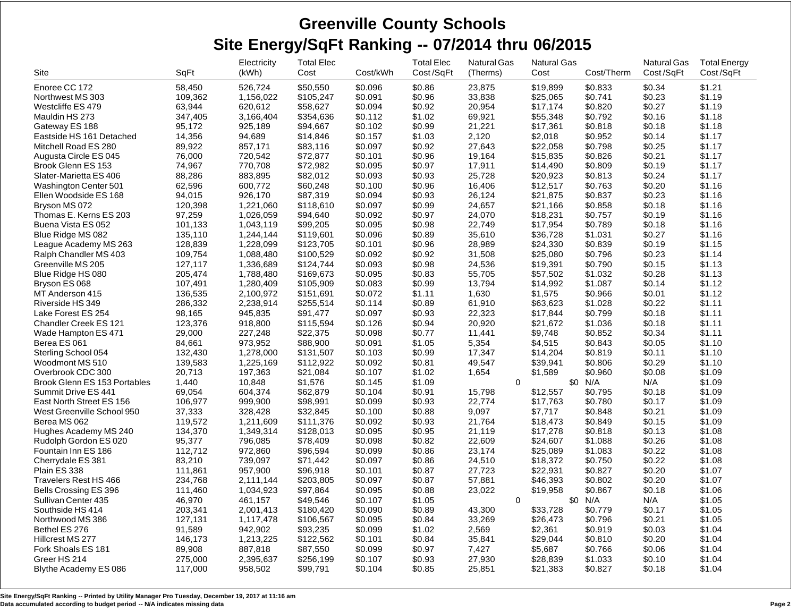|                              |         | Electricity | <b>Total Elec</b> |          | <b>Total Elec</b> | <b>Natural Gas</b> | <b>Natural Gas</b> |            | <b>Natural Gas</b> | <b>Total Energy</b> |
|------------------------------|---------|-------------|-------------------|----------|-------------------|--------------------|--------------------|------------|--------------------|---------------------|
| Site                         | SqFt    | (kWh)       | Cost              | Cost/kWh | Cost/SqFt         | (Therms)           | Cost               | Cost/Therm | Cost/SqFt          | Cost/SqFt           |
| Enoree CC 172                | 58,450  | 526,724     | \$50,550          | \$0.096  | \$0.86            | 23,875             | \$19,899           | \$0.833    | \$0.34             | \$1.21              |
| Northwest MS 303             | 109,362 | 1,156,022   | \$105,247         | \$0.091  | \$0.96            | 33,838             | \$25,065           | \$0.741    | \$0.23             | \$1.19              |
| Westcliffe ES 479            | 63,944  | 620,612     | \$58,627          | \$0.094  | \$0.92            | 20,954             | \$17,174           | \$0.820    | \$0.27             | \$1.19              |
| Mauldin HS 273               | 347,405 | 3,166,404   | \$354,636         | \$0.112  | \$1.02            | 69,921             | \$55,348           | \$0.792    | \$0.16             | \$1.18              |
| Gateway ES 188               | 95,172  | 925,189     | \$94,667          | \$0.102  | \$0.99            | 21,221             | \$17,361           | \$0.818    | \$0.18             | \$1.18              |
| Eastside HS 161 Detached     | 14,356  | 94,689      | \$14,846          | \$0.157  | \$1.03            | 2,120              | \$2,018            | \$0.952    | \$0.14             | \$1.17              |
| Mitchell Road ES 280         | 89,922  | 857,171     | \$83,116          | \$0.097  | \$0.92            | 27,643             | \$22,058           | \$0.798    | \$0.25             | \$1.17              |
| Augusta Circle ES 045        | 76,000  | 720,542     | \$72,877          | \$0.101  | \$0.96            | 19,164             | \$15,835           | \$0.826    | \$0.21             | \$1.17              |
| Brook Glenn ES 153           | 74,967  | 770,708     | \$72,982          | \$0.095  | \$0.97            | 17,911             | \$14,490           | \$0.809    | \$0.19             | \$1.17              |
| Slater-Marietta ES 406       | 88,286  | 883,895     | \$82,012          | \$0.093  | \$0.93            | 25,728             | \$20,923           | \$0.813    | \$0.24             | \$1.17              |
| Washington Center 501        | 62,596  | 600,772     | \$60,248          | \$0.100  | \$0.96            | 16,406             | \$12,517           | \$0.763    | \$0.20             | \$1.16              |
| Ellen Woodside ES 168        | 94,015  | 926,170     | \$87,319          | \$0.094  | \$0.93            | 26,124             | \$21,875           | \$0.837    | \$0.23             | \$1.16              |
| Bryson MS 072                | 120,398 | 1,221,060   | \$118,610         | \$0.097  | \$0.99            | 24,657             | \$21,166           | \$0.858    | \$0.18             | \$1.16              |
| Thomas E. Kerns ES 203       | 97,259  | 1,026,059   | \$94,640          | \$0.092  | \$0.97            | 24,070             | \$18,231           | \$0.757    | \$0.19             | \$1.16              |
| Buena Vista ES 052           | 101,133 | 1,043,119   | \$99,205          | \$0.095  | \$0.98            | 22,749             | \$17,954           | \$0.789    | \$0.18             | \$1.16              |
| Blue Ridge MS 082            | 135,110 | 1,244,144   | \$119,601         | \$0.096  | \$0.89            | 35,610             | \$36,728           | \$1.031    | \$0.27             | \$1.16              |
| League Academy MS 263        | 128,839 | 1,228,099   | \$123,705         | \$0.101  | \$0.96            | 28,989             | \$24,330           | \$0.839    | \$0.19             | \$1.15              |
| Ralph Chandler MS 403        | 109,754 | 1,088,480   | \$100,529         | \$0.092  | \$0.92            | 31,508             | \$25,080           | \$0.796    | \$0.23             | \$1.14              |
| Greenville MS 205            | 127,117 | 1,336,689   | \$124,744         | \$0.093  | \$0.98            | 24,536             | \$19,391           | \$0.790    | \$0.15             | \$1.13              |
| Blue Ridge HS 080            | 205,474 | 1,788,480   | \$169,673         | \$0.095  | \$0.83            | 55,705             | \$57,502           | \$1.032    | \$0.28             | \$1.13              |
| Bryson ES 068                | 107,491 | 1,280,409   | \$105,909         | \$0.083  | \$0.99            | 13,794             | \$14,992           | \$1.087    | \$0.14             | \$1.12              |
| MT Anderson 415              | 136,535 | 2,100,972   | \$151,691         | \$0.072  | \$1.11            | 1,630              | \$1,575            | \$0.966    | \$0.01             | \$1.12              |
| Riverside HS 349             | 286,332 | 2,238,914   | \$255,514         | \$0.114  | \$0.89            | 61,910             | \$63,623           | \$1.028    | \$0.22             | \$1.11              |
| Lake Forest ES 254           | 98,165  | 945,835     | \$91,477          | \$0.097  | \$0.93            | 22,323             | \$17,844           | \$0.799    | \$0.18             | \$1.11              |
| Chandler Creek ES 121        | 123,376 | 918,800     | \$115,594         | \$0.126  | \$0.94            | 20,920             | \$21,672           | \$1.036    | \$0.18             | \$1.11              |
| Wade Hampton ES 471          | 29,000  | 227,248     | \$22,375          | \$0.098  | \$0.77            | 11,441             | \$9,748            | \$0.852    | \$0.34             | \$1.11              |
| Berea ES 061                 | 84,661  | 973,952     | \$88,900          | \$0.091  | \$1.05            | 5,354              | \$4,515            | \$0.843    | \$0.05             | \$1.10              |
| Sterling School 054          | 132,430 | 1,278,000   | \$131,507         | \$0.103  | \$0.99            | 17,347             | \$14,204           | \$0.819    | \$0.11             | \$1.10              |
| Woodmont MS 510              | 139,583 | 1,225,169   | \$112,922         | \$0.092  | \$0.81            | 49,547             | \$39,941           | \$0.806    | \$0.29             | \$1.10              |
| Overbrook CDC 300            | 20,713  | 197,363     | \$21,084          | \$0.107  | \$1.02            | 1,654              | \$1,589            | \$0.960    | \$0.08             | \$1.09              |
| Brook Glenn ES 153 Portables | 1,440   | 10,848      | \$1,576           | \$0.145  | \$1.09            | $\mathbf 0$        | \$0                | N/A        | N/A                | \$1.09              |
| Summit Drive ES 441          | 69,054  | 604,374     | \$62,879          | \$0.104  | \$0.91            | 15,798             | \$12,557           | \$0.795    | \$0.18             | \$1.09              |
| East North Street ES 156     | 106,977 | 999,900     | \$98,991          | \$0.099  | \$0.93            | 22,774             | \$17,763           | \$0.780    | \$0.17             | \$1.09              |
| West Greenville School 950   | 37,333  | 328,428     | \$32,845          | \$0.100  | \$0.88            | 9,097              | \$7,717            | \$0.848    | \$0.21             | \$1.09              |
| Berea MS 062                 | 119,572 | 1,211,609   | \$111,376         | \$0.092  | \$0.93            | 21,764             | \$18,473           | \$0.849    | \$0.15             | \$1.09              |
| Hughes Academy MS 240        | 134,370 | 1,349,314   | \$128,013         | \$0.095  | \$0.95            | 21,119             | \$17,278           | \$0.818    | \$0.13             | \$1.08              |
| Rudolph Gordon ES 020        | 95,377  | 796,085     | \$78,409          | \$0.098  | \$0.82            | 22,609             | \$24,607           | \$1.088    | \$0.26             | \$1.08              |
| Fountain Inn ES 186          | 112,712 | 972,860     | \$96,594          | \$0.099  | \$0.86            | 23,174             | \$25,089           | \$1.083    | \$0.22             | \$1.08              |
| Cherrydale ES 381            | 83,210  | 739,097     | \$71,442          | \$0.097  | \$0.86            | 24,510             | \$18,372           | \$0.750    | \$0.22             | \$1.08              |
| Plain ES 338                 | 111,861 | 957,900     | \$96,918          | \$0.101  | \$0.87            | 27,723             | \$22,931           | \$0.827    | \$0.20             | \$1.07              |
| Travelers Rest HS 466        | 234,768 | 2,111,144   | \$203,805         | \$0.097  | \$0.87            | 57,881             | \$46,393           | \$0.802    | \$0.20             | \$1.07              |
| Bells Crossing ES 396        | 111,460 | 1,034,923   | \$97,864          | \$0.095  | \$0.88            | 23,022             | \$19,958           | \$0.867    | \$0.18             | \$1.06              |
| Sullivan Center 435          | 46,970  | 461,157     | \$49,546          | \$0.107  | \$1.05            | $\Omega$           | \$0                | N/A        | N/A                | \$1.05              |
| Southside HS 414             | 203,341 | 2,001,413   | \$180,420         | \$0.090  | \$0.89            | 43,300             | \$33,728           | \$0.779    | \$0.17             | \$1.05              |
| Northwood MS 386             | 127,131 | 1,117,478   | \$106,567         | \$0.095  | \$0.84            | 33,269             | \$26,473           | \$0.796    | \$0.21             | \$1.05              |
| Bethel ES 276                | 91,589  | 942,902     |                   | \$0.099  | \$1.02            | 2,569              | \$2,361            | \$0.919    | \$0.03             | \$1.04              |
|                              |         |             | \$93,235          |          |                   |                    |                    |            |                    |                     |
| Hillcrest MS 277             | 146,173 | 1,213,225   | \$122,562         | \$0.101  | \$0.84            | 35,841             | \$29,044           | \$0.810    | \$0.20             | \$1.04              |
| Fork Shoals ES 181           | 89,908  | 887,818     | \$87,550          | \$0.099  | \$0.97            | 7,427              | \$5,687            | \$0.766    | \$0.06             | \$1.04              |
| Greer HS 214                 | 275,000 | 2,395,637   | \$256,199         | \$0.107  | \$0.93            | 27,930             | \$28,839           | \$1.033    | \$0.10             | \$1.04              |
| Blythe Academy ES 086        | 117,000 | 958,502     | \$99,791          | \$0.104  | \$0.85            | 25,851             | \$21,383           | \$0.827    | \$0.18             | \$1.04              |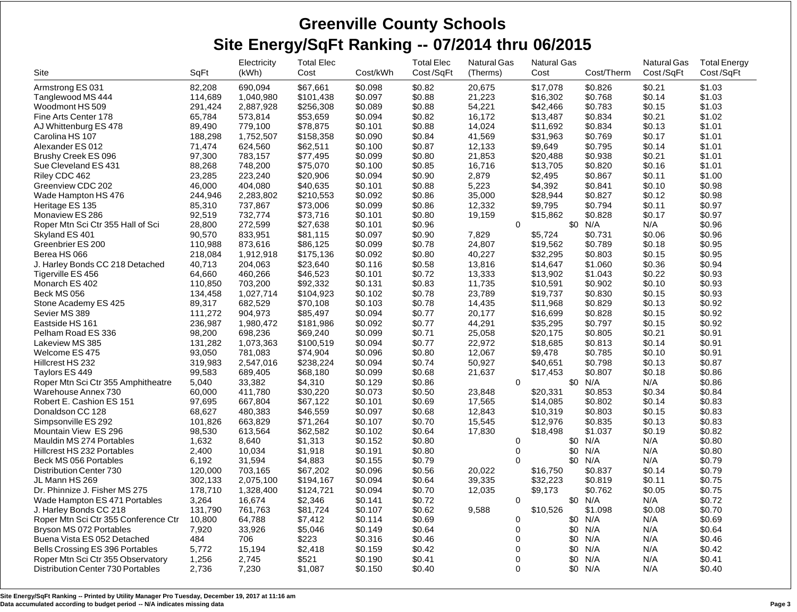|                                      |         | Electricity | <b>Total Elec</b> |          | <b>Total Elec</b> | <b>Natural Gas</b> | <b>Natural Gas</b> |            | <b>Natural Gas</b> | <b>Total Energy</b> |
|--------------------------------------|---------|-------------|-------------------|----------|-------------------|--------------------|--------------------|------------|--------------------|---------------------|
| Site                                 | SqFt    | (kWh)       | Cost              | Cost/kWh | Cost/SqFt         | (Therms)           | Cost               | Cost/Therm | Cost/SqFt          | Cost/SqFt           |
| Armstrong ES 031                     | 82,208  | 690.094     | \$67,661          | \$0.098  | \$0.82            | 20,675             | \$17,078           | \$0.826    | \$0.21             | \$1.03              |
| Tanglewood MS 444                    | 114,689 | 1,040,980   | \$101,438         | \$0.097  | \$0.88            | 21,223             | \$16,302           | \$0.768    | \$0.14             | \$1.03              |
| Woodmont HS 509                      | 291,424 | 2,887,928   | \$256,308         | \$0.089  | \$0.88            | 54,221             | \$42,466           | \$0.783    | \$0.15             | \$1.03              |
| Fine Arts Center 178                 | 65,784  | 573,814     | \$53,659          | \$0.094  | \$0.82            | 16,172             | \$13,487           | \$0.834    | \$0.21             | \$1.02              |
| AJ Whittenburg ES 478                | 89,490  | 779,100     | \$78,875          | \$0.101  | \$0.88            | 14,024             | \$11,692           | \$0.834    | \$0.13             | \$1.01              |
| Carolina HS 107                      | 188,298 | 1,752,507   | \$158,358         | \$0.090  | \$0.84            | 41,569             | \$31,963           | \$0.769    | \$0.17             | \$1.01              |
| Alexander ES 012                     | 71,474  | 624,560     | \$62,511          | \$0.100  | \$0.87            | 12,133             | \$9,649            | \$0.795    | \$0.14             | \$1.01              |
| Brushy Creek ES 096                  | 97,300  | 783,157     | \$77,495          | \$0.099  | \$0.80            | 21,853             | \$20,488           | \$0.938    | \$0.21             | \$1.01              |
| Sue Cleveland ES 431                 | 88,268  | 748,200     | \$75,070          | \$0.100  | \$0.85            | 16,716             | \$13,705           | \$0.820    | \$0.16             | \$1.01              |
| Riley CDC 462                        | 23,285  | 223,240     | \$20,906          | \$0.094  | \$0.90            | 2,879              | \$2,495            | \$0.867    | \$0.11             | \$1.00              |
| Greenview CDC 202                    | 46,000  | 404,080     | \$40,635          | \$0.101  | \$0.88            | 5,223              | \$4,392            | \$0.841    | \$0.10             | \$0.98              |
| Wade Hampton HS 476                  | 244,946 | 2,283,802   | \$210,553         | \$0.092  | \$0.86            | 35,000             | \$28,944           | \$0.827    | \$0.12             | \$0.98              |
| Heritage ES 135                      | 85,310  | 737,867     | \$73,006          | \$0.099  | \$0.86            | 12,332             | \$9,795            | \$0.794    | \$0.11             | \$0.97              |
| Monaview ES 286                      | 92,519  | 732,774     | \$73,716          | \$0.101  | \$0.80            | 19,159             | \$15,862           | \$0.828    | \$0.17             | \$0.97              |
| Roper Mtn Sci Ctr 355 Hall of Sci    | 28,800  | 272,599     | \$27,638          | \$0.101  | \$0.96            | $\mathbf 0$        |                    | \$0 N/A    | N/A                | \$0.96              |
| Skyland ES 401                       | 90,570  | 833,951     | \$81,115          | \$0.097  | \$0.90            | 7,829              | \$5,724            | \$0.731    | \$0.06             | \$0.96              |
| Greenbrier ES 200                    | 110,988 | 873,616     | \$86,125          | \$0.099  | \$0.78            | 24,807             | \$19,562           | \$0.789    | \$0.18             | \$0.95              |
| Berea HS 066                         | 218,084 | 1,912,918   | \$175,136         | \$0.092  | \$0.80            | 40,227             | \$32,295           | \$0.803    | \$0.15             | \$0.95              |
| J. Harley Bonds CC 218 Detached      | 40,713  | 204,063     | \$23,640          | \$0.116  | \$0.58            | 13,816             | \$14,647           | \$1.060    | \$0.36             | \$0.94              |
| Tigerville ES 456                    | 64,660  | 460,266     | \$46,523          | \$0.101  | \$0.72            | 13,333             | \$13,902           | \$1.043    | \$0.22             | \$0.93              |
| Monarch ES 402                       | 110,850 | 703,200     | \$92,332          | \$0.131  | \$0.83            | 11,735             | \$10,591           | \$0.902    | \$0.10             | \$0.93              |
| Beck MS 056                          | 134,458 | 1,027,714   | \$104,923         | \$0.102  | \$0.78            | 23,789             | \$19,737           | \$0.830    | \$0.15             | \$0.93              |
| Stone Academy ES 425                 | 89,317  | 682,529     | \$70,108          | \$0.103  | \$0.78            | 14,435             | \$11,968           | \$0.829    | \$0.13             | \$0.92              |
| Sevier MS 389                        | 111,272 | 904,973     | \$85,497          | \$0.094  | \$0.77            | 20,177             | \$16,699           | \$0.828    | \$0.15             | \$0.92              |
| Eastside HS 161                      | 236,987 | 1,980,472   | \$181,986         | \$0.092  | \$0.77            | 44,291             | \$35,295           | \$0.797    | \$0.15             | \$0.92              |
| Pelham Road ES 336                   | 98,200  | 698,236     | \$69,240          | \$0.099  | \$0.71            | 25,058             | \$20,175           | \$0.805    | \$0.21             | \$0.91              |
| Lakeview MS 385                      | 131,282 | 1,073,363   | \$100,519         | \$0.094  | \$0.77            | 22,972             | \$18,685           | \$0.813    | \$0.14             | \$0.91              |
| Welcome ES 475                       | 93,050  | 781,083     | \$74,904          | \$0.096  | \$0.80            | 12,067             | \$9,478            | \$0.785    | \$0.10             | \$0.91              |
| Hillcrest HS 232                     | 319,983 | 2,547,016   | \$238,224         | \$0.094  | \$0.74            | 50,927             | \$40,651           | \$0.798    | \$0.13             | \$0.87              |
| Taylors ES 449                       | 99,583  | 689,405     | \$68,180          | \$0.099  | \$0.68            | 21,637             | \$17,453           | \$0.807    | \$0.18             | \$0.86              |
| Roper Mtn Sci Ctr 355 Amphitheatre   | 5,040   | 33,382      | \$4,310           | \$0.129  | \$0.86            | $\mathbf 0$        | \$0                | N/A        | N/A                | \$0.86              |
| Warehouse Annex 730                  | 60,000  | 411,780     | \$30,220          | \$0.073  | \$0.50            | 23,848             | \$20,331           | \$0.853    | \$0.34             | \$0.84              |
| Robert E. Cashion ES 151             | 97,695  | 667,804     | \$67,122          | \$0.101  | \$0.69            | 17,565             | \$14,085           | \$0.802    | \$0.14             | \$0.83              |
| Donaldson CC 128                     | 68,627  | 480,383     | \$46,559          | \$0.097  | \$0.68            | 12,843             | \$10,319           | \$0.803    | \$0.15             | \$0.83              |
| Simpsonville ES 292                  | 101,826 | 663,829     | \$71,264          | \$0.107  | \$0.70            | 15,545             | \$12,976           | \$0.835    | \$0.13             | \$0.83              |
| Mountain View ES 296                 | 98,530  | 613,564     | \$62,582          | \$0.102  | \$0.64            | 17,830             | \$18,498           | \$1.037    | \$0.19             | \$0.82              |
| Mauldin MS 274 Portables             | 1,632   | 8,640       | \$1,313           | \$0.152  | \$0.80            | 0                  |                    | \$0 N/A    | N/A                | \$0.80              |
| Hillcrest HS 232 Portables           | 2,400   | 10,034      | \$1,918           | \$0.191  | \$0.80            | 0                  | \$0                | N/A        | N/A                | \$0.80              |
| Beck MS 056 Portables                | 6,192   | 31,594      | \$4,883           | \$0.155  | \$0.79            | $\Omega$           | \$0                | N/A        | N/A                | \$0.79              |
| Distribution Center 730              | 120,000 | 703,165     | \$67,202          | \$0.096  | \$0.56            | 20,022             | \$16,750           | \$0.837    | \$0.14             | \$0.79              |
| JL Mann HS 269                       | 302,133 | 2,075,100   | \$194,167         | \$0.094  | \$0.64            | 39,335             | \$32,223           | \$0.819    | \$0.11             | \$0.75              |
| Dr. Phinnize J. Fisher MS 275        | 178,710 | 1,328,400   | \$124,721         | \$0.094  | \$0.70            | 12,035             | \$9,173            | \$0.762    | \$0.05             | \$0.75              |
| Wade Hampton ES 471 Portables        | 3,264   | 16,674      | \$2,346           | \$0.141  | \$0.72            | 0                  | \$0                | N/A        | N/A                | \$0.72              |
| J. Harley Bonds CC 218               | 131,790 | 761,763     | \$81,724          | \$0.107  | \$0.62            | 9,588              | \$10,526           | \$1.098    | \$0.08             | \$0.70              |
| Roper Mtn Sci Ctr 355 Conference Ctr | 10,800  | 64,788      | \$7,412           | \$0.114  | \$0.69            | 0                  | \$0                | N/A        | N/A                | \$0.69              |
| Bryson MS 072 Portables              | 7,920   | 33,926      | \$5,046           | \$0.149  | \$0.64            | 0                  | \$0                | N/A        | N/A                | \$0.64              |
| Buena Vista ES 052 Detached          | 484     | 706         | \$223             | \$0.316  | \$0.46            | 0                  | \$0                | N/A        | N/A                | \$0.46              |
| Bells Crossing ES 396 Portables      | 5,772   | 15,194      | \$2,418           | \$0.159  | \$0.42            | 0                  | \$0                | N/A        | N/A                | \$0.42              |
| Roper Mtn Sci Ctr 355 Observatory    | 1,256   | 2,745       | \$521             | \$0.190  | \$0.41            | 0                  | \$0                | N/A        | N/A                | \$0.41              |
| Distribution Center 730 Portables    | 2,736   | 7,230       | \$1,087           | \$0.150  | \$0.40            | 0                  | \$0                | N/A        | N/A                | \$0.40              |